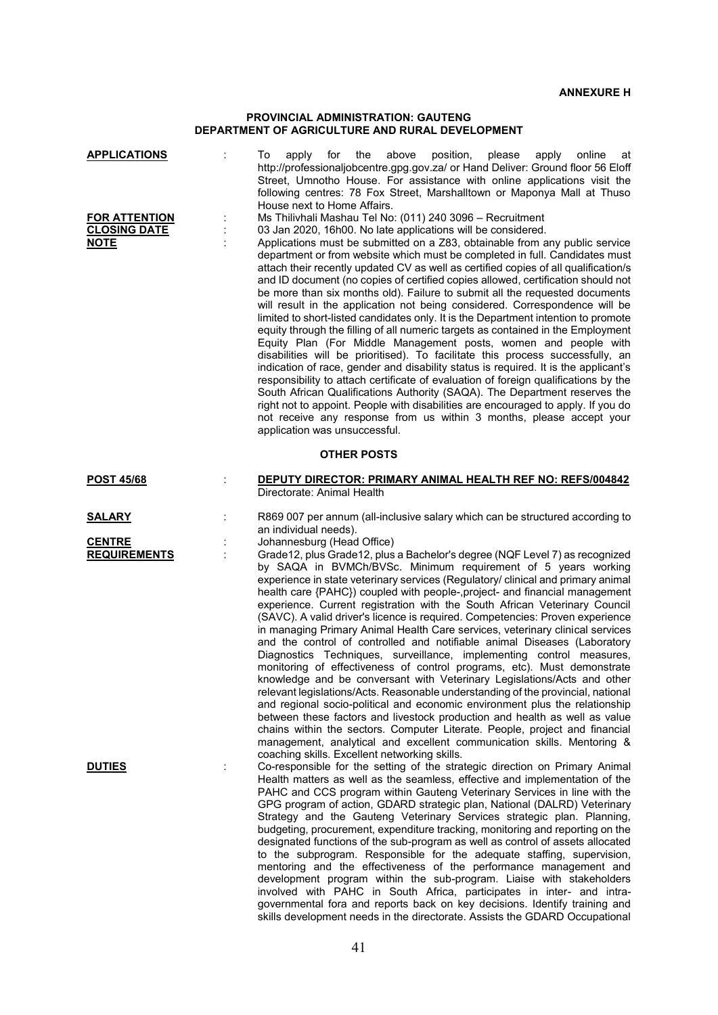## **PROVINCIAL ADMINISTRATION: GAUTENG DEPARTMENT OF AGRICULTURE AND RURAL DEVELOPMENT**

| <b>APPLICATIONS</b><br><b>FOR ATTENTION</b> |   | for<br>the<br>above<br>position,<br>please<br>online<br>To<br>apply<br>apply<br>at<br>http://professionaljobcentre.gpg.gov.za/ or Hand Deliver: Ground floor 56 Eloff<br>Street, Umnotho House. For assistance with online applications visit the<br>following centres: 78 Fox Street, Marshalltown or Maponya Mall at Thuso<br>House next to Home Affairs.<br>Ms Thilivhali Mashau Tel No: (011) 240 3096 - Recruitment                                                                                                                                                                                                                                                                                                                                                                                                                                                                                                                                                                                                                                                                                                                                                                                                                                                                                                                                     |  |  |  |  |  |
|---------------------------------------------|---|--------------------------------------------------------------------------------------------------------------------------------------------------------------------------------------------------------------------------------------------------------------------------------------------------------------------------------------------------------------------------------------------------------------------------------------------------------------------------------------------------------------------------------------------------------------------------------------------------------------------------------------------------------------------------------------------------------------------------------------------------------------------------------------------------------------------------------------------------------------------------------------------------------------------------------------------------------------------------------------------------------------------------------------------------------------------------------------------------------------------------------------------------------------------------------------------------------------------------------------------------------------------------------------------------------------------------------------------------------------|--|--|--|--|--|
| <b>CLOSING DATE</b><br><b>NOTE</b>          |   | 03 Jan 2020, 16h00. No late applications will be considered.<br>Applications must be submitted on a Z83, obtainable from any public service<br>department or from website which must be completed in full. Candidates must<br>attach their recently updated CV as well as certified copies of all qualification/s<br>and ID document (no copies of certified copies allowed, certification should not<br>be more than six months old). Failure to submit all the requested documents<br>will result in the application not being considered. Correspondence will be<br>limited to short-listed candidates only. It is the Department intention to promote<br>equity through the filling of all numeric targets as contained in the Employment<br>Equity Plan (For Middle Management posts, women and people with<br>disabilities will be prioritised). To facilitate this process successfully, an<br>indication of race, gender and disability status is required. It is the applicant's<br>responsibility to attach certificate of evaluation of foreign qualifications by the<br>South African Qualifications Authority (SAQA). The Department reserves the<br>right not to appoint. People with disabilities are encouraged to apply. If you do<br>not receive any response from us within 3 months, please accept your<br>application was unsuccessful. |  |  |  |  |  |
| <b>OTHER POSTS</b>                          |   |                                                                                                                                                                                                                                                                                                                                                                                                                                                                                                                                                                                                                                                                                                                                                                                                                                                                                                                                                                                                                                                                                                                                                                                                                                                                                                                                                              |  |  |  |  |  |
| <b>POST 45/68</b>                           |   | <b>DEPUTY DIRECTOR: PRIMARY ANIMAL HEALTH REF NO: REFS/004842</b><br>Directorate: Animal Health                                                                                                                                                                                                                                                                                                                                                                                                                                                                                                                                                                                                                                                                                                                                                                                                                                                                                                                                                                                                                                                                                                                                                                                                                                                              |  |  |  |  |  |
| <b>SALARY</b>                               |   | R869 007 per annum (all-inclusive salary which can be structured according to<br>an individual needs).                                                                                                                                                                                                                                                                                                                                                                                                                                                                                                                                                                                                                                                                                                                                                                                                                                                                                                                                                                                                                                                                                                                                                                                                                                                       |  |  |  |  |  |
| <b>CENTRE</b><br><b>REQUIREMENTS</b>        | ÷ | Johannesburg (Head Office)<br>Grade12, plus Grade12, plus a Bachelor's degree (NQF Level 7) as recognized<br>by SAQA in BVMCh/BVSc. Minimum requirement of 5 years working<br>experience in state veterinary services (Regulatory/ clinical and primary animal<br>health care {PAHC}) coupled with people-, project- and financial management<br>experience. Current registration with the South African Veterinary Council<br>(SAVC). A valid driver's licence is required. Competencies: Proven experience<br>in managing Primary Animal Health Care services, veterinary clinical services<br>and the control of controlled and notifiable animal Diseases (Laboratory<br>Diagnostics Techniques, surveillance, implementing control measures,<br>monitoring of effectiveness of control programs, etc). Must demonstrate<br>knowledge and be conversant with Veterinary Legislations/Acts and other<br>relevant legislations/Acts. Reasonable understanding of the provincial, national<br>and regional socio-political and economic environment plus the relationship<br>between these factors and livestock production and health as well as value<br>chains within the sectors. Computer Literate. People, project and financial<br>management, analytical and excellent communication skills. Mentoring &                                            |  |  |  |  |  |
| <b>DUTIES</b>                               | ÷ | coaching skills. Excellent networking skills.<br>Co-responsible for the setting of the strategic direction on Primary Animal<br>Health matters as well as the seamless, effective and implementation of the<br>PAHC and CCS program within Gauteng Veterinary Services in line with the<br>GPG program of action, GDARD strategic plan, National (DALRD) Veterinary<br>Strategy and the Gauteng Veterinary Services strategic plan. Planning,<br>budgeting, procurement, expenditure tracking, monitoring and reporting on the<br>designated functions of the sub-program as well as control of assets allocated<br>to the subprogram. Responsible for the adequate staffing, supervision,<br>mentoring and the effectiveness of the performance management and<br>development program within the sub-program. Liaise with stakeholders<br>involved with PAHC in South Africa, participates in inter- and intra-<br>governmental fora and reports back on key decisions. Identify training and<br>skills development needs in the directorate. Assists the GDARD Occupational                                                                                                                                                                                                                                                                                |  |  |  |  |  |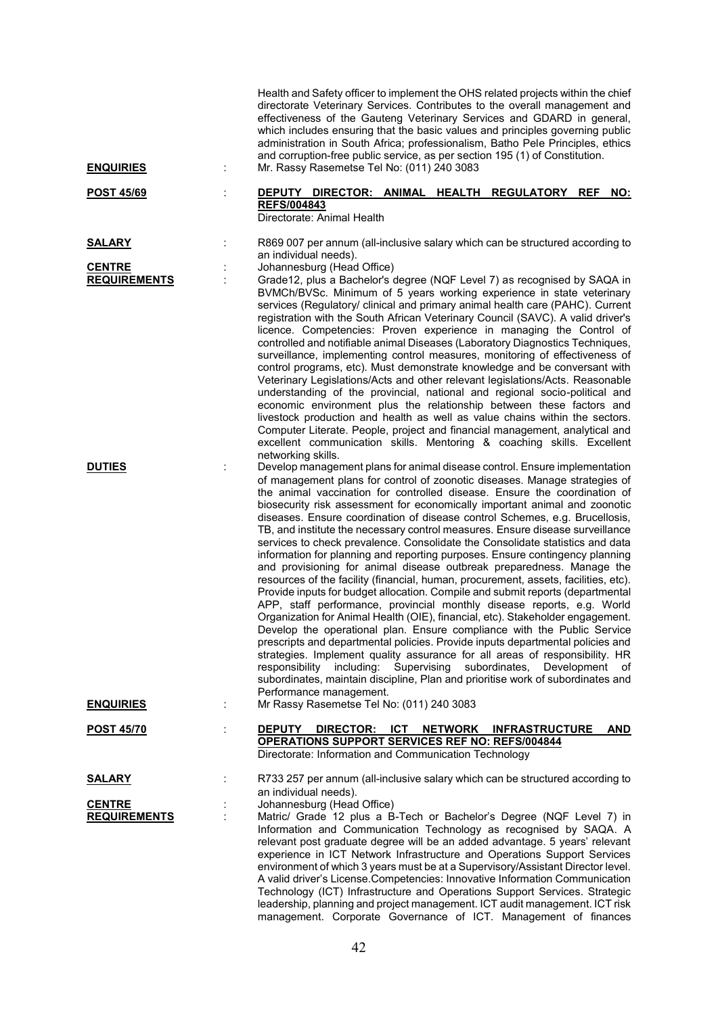|                                      |   | Health and Safety officer to implement the OHS related projects within the chief<br>directorate Veterinary Services. Contributes to the overall management and<br>effectiveness of the Gauteng Veterinary Services and GDARD in general,<br>which includes ensuring that the basic values and principles governing public<br>administration in South Africa; professionalism, Batho Pele Principles, ethics<br>and corruption-free public service, as per section 195 (1) of Constitution.                                                                                                                                                                                                                                                                                                                                                                                                                                                                                                                                                                                                                                                                                                                                                                                                                                                                                                                                                                                                               |
|--------------------------------------|---|----------------------------------------------------------------------------------------------------------------------------------------------------------------------------------------------------------------------------------------------------------------------------------------------------------------------------------------------------------------------------------------------------------------------------------------------------------------------------------------------------------------------------------------------------------------------------------------------------------------------------------------------------------------------------------------------------------------------------------------------------------------------------------------------------------------------------------------------------------------------------------------------------------------------------------------------------------------------------------------------------------------------------------------------------------------------------------------------------------------------------------------------------------------------------------------------------------------------------------------------------------------------------------------------------------------------------------------------------------------------------------------------------------------------------------------------------------------------------------------------------------|
| <b>ENQUIRIES</b>                     | ÷ | Mr. Rassy Rasemetse Tel No: (011) 240 3083                                                                                                                                                                                                                                                                                                                                                                                                                                                                                                                                                                                                                                                                                                                                                                                                                                                                                                                                                                                                                                                                                                                                                                                                                                                                                                                                                                                                                                                               |
| <b>POST 45/69</b>                    |   | DIRECTOR: ANIMAL HEALTH REGULATORY REF<br><b>DEPUTY</b><br>NO:<br><b>REFS/004843</b><br>Directorate: Animal Health                                                                                                                                                                                                                                                                                                                                                                                                                                                                                                                                                                                                                                                                                                                                                                                                                                                                                                                                                                                                                                                                                                                                                                                                                                                                                                                                                                                       |
| <b>SALARY</b>                        |   | R869 007 per annum (all-inclusive salary which can be structured according to<br>an individual needs).                                                                                                                                                                                                                                                                                                                                                                                                                                                                                                                                                                                                                                                                                                                                                                                                                                                                                                                                                                                                                                                                                                                                                                                                                                                                                                                                                                                                   |
| <b>CENTRE</b><br><b>REQUIREMENTS</b> |   | Johannesburg (Head Office)<br>Grade12, plus a Bachelor's degree (NQF Level 7) as recognised by SAQA in<br>BVMCh/BVSc. Minimum of 5 years working experience in state veterinary<br>services (Regulatory/ clinical and primary animal health care (PAHC). Current<br>registration with the South African Veterinary Council (SAVC). A valid driver's<br>licence. Competencies: Proven experience in managing the Control of<br>controlled and notifiable animal Diseases (Laboratory Diagnostics Techniques,<br>surveillance, implementing control measures, monitoring of effectiveness of<br>control programs, etc). Must demonstrate knowledge and be conversant with<br>Veterinary Legislations/Acts and other relevant legislations/Acts. Reasonable<br>understanding of the provincial, national and regional socio-political and<br>economic environment plus the relationship between these factors and<br>livestock production and health as well as value chains within the sectors.<br>Computer Literate. People, project and financial management, analytical and<br>excellent communication skills. Mentoring & coaching skills. Excellent<br>networking skills.                                                                                                                                                                                                                                                                                                                             |
| <b>DUTIES</b>                        |   | Develop management plans for animal disease control. Ensure implementation<br>of management plans for control of zoonotic diseases. Manage strategies of<br>the animal vaccination for controlled disease. Ensure the coordination of<br>biosecurity risk assessment for economically important animal and zoonotic<br>diseases. Ensure coordination of disease control Schemes, e.g. Brucellosis,<br>TB, and institute the necessary control measures. Ensure disease surveillance<br>services to check prevalence. Consolidate the Consolidate statistics and data<br>information for planning and reporting purposes. Ensure contingency planning<br>and provisioning for animal disease outbreak preparedness. Manage the<br>resources of the facility (financial, human, procurement, assets, facilities, etc).<br>Provide inputs for budget allocation. Compile and submit reports (departmental<br>APP, staff performance, provincial monthly disease reports, e.g. World<br>Organization for Animal Health (OIE), financial, etc). Stakeholder engagement.<br>Develop the operational plan. Ensure compliance with the Public Service<br>prescripts and departmental policies. Provide inputs departmental policies and<br>strategies. Implement quality assurance for all areas of responsibility. HR<br>responsibility including: Supervising subordinates,<br>Development<br>of<br>subordinates, maintain discipline, Plan and prioritise work of subordinates and<br>Performance management. |
| <b>ENQUIRIES</b>                     | ÷ | Mr Rassy Rasemetse Tel No: (011) 240 3083                                                                                                                                                                                                                                                                                                                                                                                                                                                                                                                                                                                                                                                                                                                                                                                                                                                                                                                                                                                                                                                                                                                                                                                                                                                                                                                                                                                                                                                                |
| <b>POST 45/70</b>                    | ÷ | DIRECTOR: ICT NETWORK INFRASTRUCTURE<br><b>AND</b><br><b>DEPUTY</b><br><b>OPERATIONS SUPPORT SERVICES REF NO: REFS/004844</b><br>Directorate: Information and Communication Technology                                                                                                                                                                                                                                                                                                                                                                                                                                                                                                                                                                                                                                                                                                                                                                                                                                                                                                                                                                                                                                                                                                                                                                                                                                                                                                                   |
| <u>SALARY</u>                        |   | R733 257 per annum (all-inclusive salary which can be structured according to                                                                                                                                                                                                                                                                                                                                                                                                                                                                                                                                                                                                                                                                                                                                                                                                                                                                                                                                                                                                                                                                                                                                                                                                                                                                                                                                                                                                                            |
| <b>CENTRE</b><br><b>REQUIREMENTS</b> | t | an individual needs).<br>Johannesburg (Head Office)<br>Matric/ Grade 12 plus a B-Tech or Bachelor's Degree (NQF Level 7) in<br>Information and Communication Technology as recognised by SAQA. A<br>relevant post graduate degree will be an added advantage. 5 years' relevant<br>experience in ICT Network Infrastructure and Operations Support Services<br>environment of which 3 years must be at a Supervisory/Assistant Director level.<br>A valid driver's License. Competencies: Innovative Information Communication<br>Technology (ICT) Infrastructure and Operations Support Services. Strategic<br>leadership, planning and project management. ICT audit management. ICT risk<br>management. Corporate Governance of ICT. Management of finances                                                                                                                                                                                                                                                                                                                                                                                                                                                                                                                                                                                                                                                                                                                                           |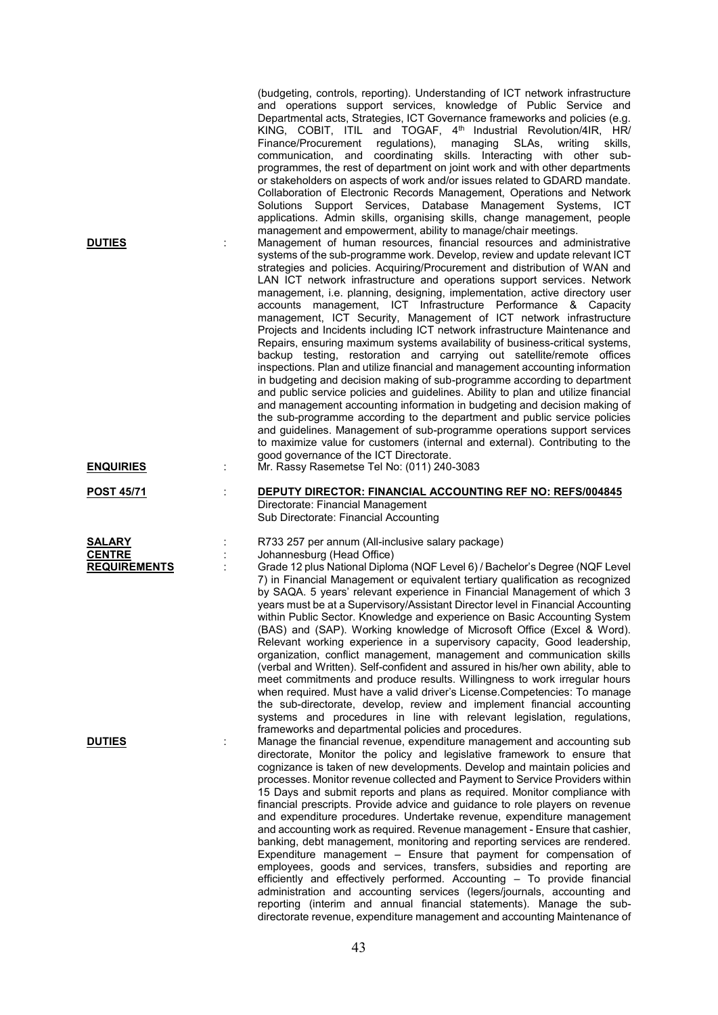| <b>DUTIES</b><br><b>ENQUIRIES</b>                     | (budgeting, controls, reporting). Understanding of ICT network infrastructure<br>and operations support services, knowledge of Public Service and<br>Departmental acts, Strategies, ICT Governance frameworks and policies (e.g.<br>KING, COBIT, ITIL and TOGAF, 4 <sup>th</sup> Industrial Revolution/4IR, HR/<br>Finance/Procurement<br>regulations), managing SLAs,<br>writing<br>skills,<br>communication, and coordinating skills. Interacting with other sub-<br>programmes, the rest of department on joint work and with other departments<br>or stakeholders on aspects of work and/or issues related to GDARD mandate.<br>Collaboration of Electronic Records Management, Operations and Network<br>Solutions Support Services, Database Management Systems, ICT<br>applications. Admin skills, organising skills, change management, people<br>management and empowerment, ability to manage/chair meetings.<br>Management of human resources, financial resources and administrative<br>systems of the sub-programme work. Develop, review and update relevant ICT<br>strategies and policies. Acquiring/Procurement and distribution of WAN and<br>LAN ICT network infrastructure and operations support services. Network<br>management, i.e. planning, designing, implementation, active directory user<br>accounts management, ICT Infrastructure Performance & Capacity<br>management, ICT Security, Management of ICT network infrastructure<br>Projects and Incidents including ICT network infrastructure Maintenance and<br>Repairs, ensuring maximum systems availability of business-critical systems,<br>backup testing, restoration and carrying out satellite/remote offices<br>inspections. Plan and utilize financial and management accounting information<br>in budgeting and decision making of sub-programme according to department<br>and public service policies and guidelines. Ability to plan and utilize financial<br>and management accounting information in budgeting and decision making of<br>the sub-programme according to the department and public service policies<br>and guidelines. Management of sub-programme operations support services<br>to maximize value for customers (internal and external). Contributing to the<br>good governance of the ICT Directorate.<br>Mr. Rassy Rasemetse Tel No: (011) 240-3083 |
|-------------------------------------------------------|-------------------------------------------------------------------------------------------------------------------------------------------------------------------------------------------------------------------------------------------------------------------------------------------------------------------------------------------------------------------------------------------------------------------------------------------------------------------------------------------------------------------------------------------------------------------------------------------------------------------------------------------------------------------------------------------------------------------------------------------------------------------------------------------------------------------------------------------------------------------------------------------------------------------------------------------------------------------------------------------------------------------------------------------------------------------------------------------------------------------------------------------------------------------------------------------------------------------------------------------------------------------------------------------------------------------------------------------------------------------------------------------------------------------------------------------------------------------------------------------------------------------------------------------------------------------------------------------------------------------------------------------------------------------------------------------------------------------------------------------------------------------------------------------------------------------------------------------------------------------------------------------------------------------------------------------------------------------------------------------------------------------------------------------------------------------------------------------------------------------------------------------------------------------------------------------------------------------------------------------------------------------------------------------------------------------------------------------------------------------------|
| <b>POST 45/71</b>                                     | DEPUTY DIRECTOR: FINANCIAL ACCOUNTING REF NO: REFS/004845<br>Directorate: Financial Management<br>Sub Directorate: Financial Accounting                                                                                                                                                                                                                                                                                                                                                                                                                                                                                                                                                                                                                                                                                                                                                                                                                                                                                                                                                                                                                                                                                                                                                                                                                                                                                                                                                                                                                                                                                                                                                                                                                                                                                                                                                                                                                                                                                                                                                                                                                                                                                                                                                                                                                                 |
| <b>SALARY</b><br><b>CENTRE</b><br><b>REQUIREMENTS</b> | R733 257 per annum (All-inclusive salary package)<br>Johannesburg (Head Office)<br>Grade 12 plus National Diploma (NQF Level 6) / Bachelor's Degree (NQF Level<br>7) in Financial Management or equivalent tertiary qualification as recognized<br>by SAQA. 5 years' relevant experience in Financial Management of which 3<br>years must be at a Supervisory/Assistant Director level in Financial Accounting<br>within Public Sector. Knowledge and experience on Basic Accounting System<br>(BAS) and (SAP). Working knowledge of Microsoft Office (Excel & Word).<br>Relevant working experience in a supervisory capacity, Good leadership,<br>organization, conflict management, management and communication skills<br>(verbal and Written). Self-confident and assured in his/her own ability, able to<br>meet commitments and produce results. Willingness to work irregular hours<br>when required. Must have a valid driver's License. Competencies: To manage<br>the sub-directorate, develop, review and implement financial accounting<br>systems and procedures in line with relevant legislation, regulations,<br>frameworks and departmental policies and procedures.                                                                                                                                                                                                                                                                                                                                                                                                                                                                                                                                                                                                                                                                                                                                                                                                                                                                                                                                                                                                                                                                                                                                                                                  |
| <b>DUTIES</b>                                         | Manage the financial revenue, expenditure management and accounting sub<br>directorate, Monitor the policy and legislative framework to ensure that<br>cognizance is taken of new developments. Develop and maintain policies and<br>processes. Monitor revenue collected and Payment to Service Providers within<br>15 Days and submit reports and plans as required. Monitor compliance with<br>financial prescripts. Provide advice and guidance to role players on revenue<br>and expenditure procedures. Undertake revenue, expenditure management<br>and accounting work as required. Revenue management - Ensure that cashier,<br>banking, debt management, monitoring and reporting services are rendered.<br>Expenditure management - Ensure that payment for compensation of<br>employees, goods and services, transfers, subsidies and reporting are<br>efficiently and effectively performed. Accounting - To provide financial<br>administration and accounting services (legers/journals, accounting and<br>reporting (interim and annual financial statements). Manage the sub-<br>directorate revenue, expenditure management and accounting Maintenance of                                                                                                                                                                                                                                                                                                                                                                                                                                                                                                                                                                                                                                                                                                                                                                                                                                                                                                                                                                                                                                                                                                                                                                                             |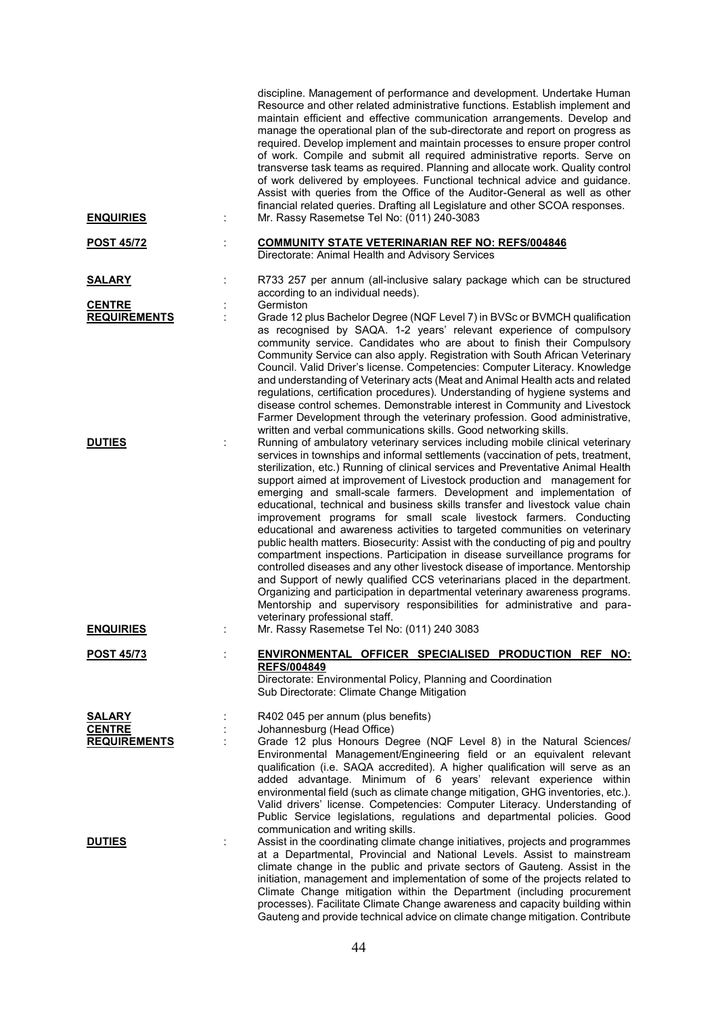| <b>ENQUIRIES</b>                     | discipline. Management of performance and development. Undertake Human<br>Resource and other related administrative functions. Establish implement and<br>maintain efficient and effective communication arrangements. Develop and<br>manage the operational plan of the sub-directorate and report on progress as<br>required. Develop implement and maintain processes to ensure proper control<br>of work. Compile and submit all required administrative reports. Serve on<br>transverse task teams as required. Planning and allocate work. Quality control<br>of work delivered by employees. Functional technical advice and guidance.<br>Assist with queries from the Office of the Auditor-General as well as other<br>financial related queries. Drafting all Legislature and other SCOA responses.<br>Mr. Rassy Rasemetse Tel No: (011) 240-3083                                                                                                                                                                                                                                                                                                                  |
|--------------------------------------|------------------------------------------------------------------------------------------------------------------------------------------------------------------------------------------------------------------------------------------------------------------------------------------------------------------------------------------------------------------------------------------------------------------------------------------------------------------------------------------------------------------------------------------------------------------------------------------------------------------------------------------------------------------------------------------------------------------------------------------------------------------------------------------------------------------------------------------------------------------------------------------------------------------------------------------------------------------------------------------------------------------------------------------------------------------------------------------------------------------------------------------------------------------------------|
| <b>POST 45/72</b>                    | <b>COMMUNITY STATE VETERINARIAN REF NO: REFS/004846</b><br>Directorate: Animal Health and Advisory Services                                                                                                                                                                                                                                                                                                                                                                                                                                                                                                                                                                                                                                                                                                                                                                                                                                                                                                                                                                                                                                                                  |
| <b>SALARY</b>                        | R733 257 per annum (all-inclusive salary package which can be structured<br>according to an individual needs).                                                                                                                                                                                                                                                                                                                                                                                                                                                                                                                                                                                                                                                                                                                                                                                                                                                                                                                                                                                                                                                               |
| <b>CENTRE</b><br><b>REQUIREMENTS</b> | Germiston<br>Grade 12 plus Bachelor Degree (NQF Level 7) in BVSc or BVMCH qualification<br>as recognised by SAQA. 1-2 years' relevant experience of compulsory<br>community service. Candidates who are about to finish their Compulsory<br>Community Service can also apply. Registration with South African Veterinary<br>Council. Valid Driver's license. Competencies: Computer Literacy. Knowledge                                                                                                                                                                                                                                                                                                                                                                                                                                                                                                                                                                                                                                                                                                                                                                      |
|                                      | and understanding of Veterinary acts (Meat and Animal Health acts and related<br>regulations, certification procedures). Understanding of hygiene systems and<br>disease control schemes. Demonstrable interest in Community and Livestock<br>Farmer Development through the veterinary profession. Good administrative,<br>written and verbal communications skills. Good networking skills.                                                                                                                                                                                                                                                                                                                                                                                                                                                                                                                                                                                                                                                                                                                                                                                |
| <b>DUTIES</b>                        | Running of ambulatory veterinary services including mobile clinical veterinary<br>services in townships and informal settlements (vaccination of pets, treatment,<br>sterilization, etc.) Running of clinical services and Preventative Animal Health<br>support aimed at improvement of Livestock production and management for<br>emerging and small-scale farmers. Development and implementation of<br>educational, technical and business skills transfer and livestock value chain<br>improvement programs for small scale livestock farmers. Conducting<br>educational and awareness activities to targeted communities on veterinary<br>public health matters. Biosecurity: Assist with the conducting of pig and poultry<br>compartment inspections. Participation in disease surveillance programs for<br>controlled diseases and any other livestock disease of importance. Mentorship<br>and Support of newly qualified CCS veterinarians placed in the department.<br>Organizing and participation in departmental veterinary awareness programs.<br>Mentorship and supervisory responsibilities for administrative and para-<br>veterinary professional staff. |
| <b>ENQUIRIES</b>                     | Mr. Rassy Rasemetse Tel No: (011) 240 3083                                                                                                                                                                                                                                                                                                                                                                                                                                                                                                                                                                                                                                                                                                                                                                                                                                                                                                                                                                                                                                                                                                                                   |
| <b>POST 45/73</b>                    | ENVIRONMENTAL OFFICER SPECIALISED PRODUCTION REF NO:<br><b>REFS/004849</b><br>Directorate: Environmental Policy, Planning and Coordination<br>Sub Directorate: Climate Change Mitigation                                                                                                                                                                                                                                                                                                                                                                                                                                                                                                                                                                                                                                                                                                                                                                                                                                                                                                                                                                                     |
| <b>SALARY</b>                        | R402 045 per annum (plus benefits)                                                                                                                                                                                                                                                                                                                                                                                                                                                                                                                                                                                                                                                                                                                                                                                                                                                                                                                                                                                                                                                                                                                                           |
| <b>CENTRE</b>                        | Johannesburg (Head Office)                                                                                                                                                                                                                                                                                                                                                                                                                                                                                                                                                                                                                                                                                                                                                                                                                                                                                                                                                                                                                                                                                                                                                   |
| <b>REQUIREMENTS</b>                  | Grade 12 plus Honours Degree (NQF Level 8) in the Natural Sciences/<br>Environmental Management/Engineering field or an equivalent relevant<br>qualification (i.e. SAQA accredited). A higher qualification will serve as an<br>added advantage. Minimum of 6 years' relevant experience within<br>environmental field (such as climate change mitigation, GHG inventories, etc.).<br>Valid drivers' license. Competencies: Computer Literacy. Understanding of<br>Public Service legislations, regulations and departmental policies. Good<br>communication and writing skills.                                                                                                                                                                                                                                                                                                                                                                                                                                                                                                                                                                                             |
| <b>DUTIES</b>                        | Assist in the coordinating climate change initiatives, projects and programmes<br>at a Departmental, Provincial and National Levels. Assist to mainstream<br>climate change in the public and private sectors of Gauteng. Assist in the<br>initiation, management and implementation of some of the projects related to<br>Climate Change mitigation within the Department (including procurement<br>processes). Facilitate Climate Change awareness and capacity building within<br>Gauteng and provide technical advice on climate change mitigation. Contribute                                                                                                                                                                                                                                                                                                                                                                                                                                                                                                                                                                                                           |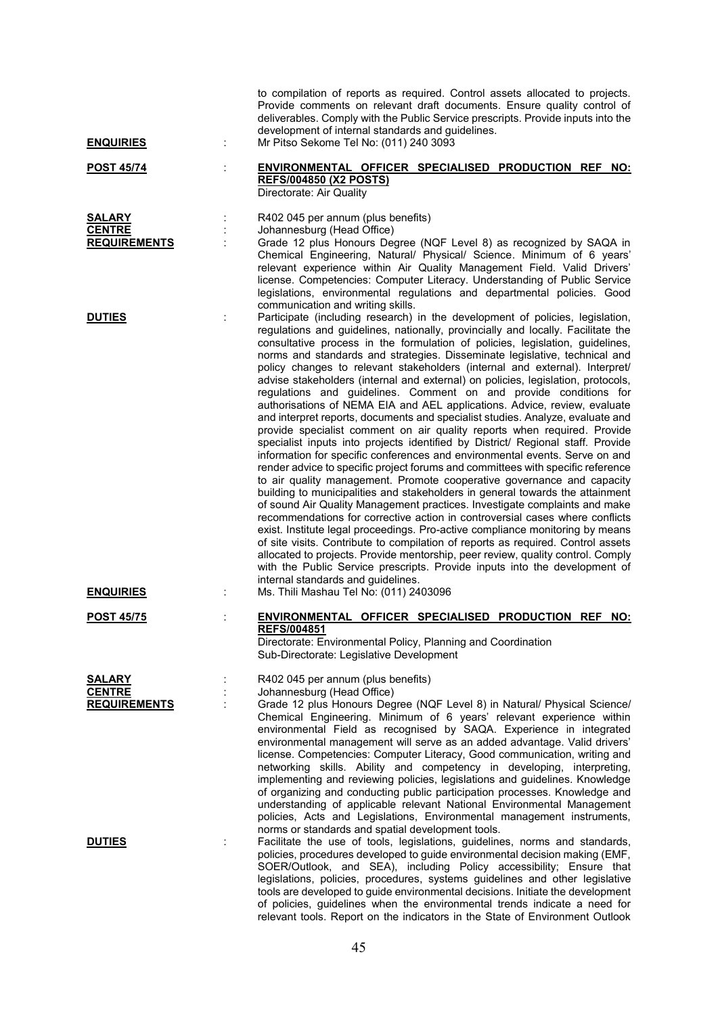| <b>ENQUIRIES</b>                                      | to compilation of reports as required. Control assets allocated to projects.<br>Provide comments on relevant draft documents. Ensure quality control of<br>deliverables. Comply with the Public Service prescripts. Provide inputs into the<br>development of internal standards and guidelines.<br>Mr Pitso Sekome Tel No: (011) 240 3093                                                                                                                                                                                                                                                                                                                                                                                                                                                                                                                                                                                                                                                                                                                                                                                                                                                                                                                                                                                                                                                                                                                                                                                                                                                                                                                                                                                                                                    |
|-------------------------------------------------------|-------------------------------------------------------------------------------------------------------------------------------------------------------------------------------------------------------------------------------------------------------------------------------------------------------------------------------------------------------------------------------------------------------------------------------------------------------------------------------------------------------------------------------------------------------------------------------------------------------------------------------------------------------------------------------------------------------------------------------------------------------------------------------------------------------------------------------------------------------------------------------------------------------------------------------------------------------------------------------------------------------------------------------------------------------------------------------------------------------------------------------------------------------------------------------------------------------------------------------------------------------------------------------------------------------------------------------------------------------------------------------------------------------------------------------------------------------------------------------------------------------------------------------------------------------------------------------------------------------------------------------------------------------------------------------------------------------------------------------------------------------------------------------|
| <u>POST 45/74</u>                                     | ENVIRONMENTAL OFFICER SPECIALISED PRODUCTION REF NO:<br><b>REFS/004850 (X2 POSTS)</b><br>Directorate: Air Quality                                                                                                                                                                                                                                                                                                                                                                                                                                                                                                                                                                                                                                                                                                                                                                                                                                                                                                                                                                                                                                                                                                                                                                                                                                                                                                                                                                                                                                                                                                                                                                                                                                                             |
| SALARY<br><b>CENTRE</b><br><b>REQUIREMENTS</b>        | R402 045 per annum (plus benefits)<br>Johannesburg (Head Office)<br>Grade 12 plus Honours Degree (NQF Level 8) as recognized by SAQA in<br>Chemical Engineering, Natural/ Physical/ Science. Minimum of 6 years'<br>relevant experience within Air Quality Management Field. Valid Drivers'<br>license. Competencies: Computer Literacy. Understanding of Public Service<br>legislations, environmental regulations and departmental policies. Good<br>communication and writing skills.                                                                                                                                                                                                                                                                                                                                                                                                                                                                                                                                                                                                                                                                                                                                                                                                                                                                                                                                                                                                                                                                                                                                                                                                                                                                                      |
| <b>DUTIES</b>                                         | Participate (including research) in the development of policies, legislation,<br>regulations and guidelines, nationally, provincially and locally. Facilitate the<br>consultative process in the formulation of policies, legislation, guidelines,<br>norms and standards and strategies. Disseminate legislative, technical and<br>policy changes to relevant stakeholders (internal and external). Interpret/<br>advise stakeholders (internal and external) on policies, legislation, protocols,<br>regulations and guidelines. Comment on and provide conditions for<br>authorisations of NEMA EIA and AEL applications. Advice, review, evaluate<br>and interpret reports, documents and specialist studies. Analyze, evaluate and<br>provide specialist comment on air quality reports when required. Provide<br>specialist inputs into projects identified by District/ Regional staff. Provide<br>information for specific conferences and environmental events. Serve on and<br>render advice to specific project forums and committees with specific reference<br>to air quality management. Promote cooperative governance and capacity<br>building to municipalities and stakeholders in general towards the attainment<br>of sound Air Quality Management practices. Investigate complaints and make<br>recommendations for corrective action in controversial cases where conflicts<br>exist. Institute legal proceedings. Pro-active compliance monitoring by means<br>of site visits. Contribute to compilation of reports as required. Control assets<br>allocated to projects. Provide mentorship, peer review, quality control. Comply<br>with the Public Service prescripts. Provide inputs into the development of<br>internal standards and guidelines. |
| <b>ENQUIRIES</b><br><b>POST 45/75</b>                 | Ms. Thili Mashau Tel No: (011) 2403096<br>ENVIRONMENTAL OFFICER SPECIALISED PRODUCTION REF NO:                                                                                                                                                                                                                                                                                                                                                                                                                                                                                                                                                                                                                                                                                                                                                                                                                                                                                                                                                                                                                                                                                                                                                                                                                                                                                                                                                                                                                                                                                                                                                                                                                                                                                |
|                                                       | <b>REFS/004851</b><br>Directorate: Environmental Policy, Planning and Coordination<br>Sub-Directorate: Legislative Development                                                                                                                                                                                                                                                                                                                                                                                                                                                                                                                                                                                                                                                                                                                                                                                                                                                                                                                                                                                                                                                                                                                                                                                                                                                                                                                                                                                                                                                                                                                                                                                                                                                |
| <b>SALARY</b><br><b>CENTRE</b><br><b>REQUIREMENTS</b> | R402 045 per annum (plus benefits)<br>Johannesburg (Head Office)<br>Grade 12 plus Honours Degree (NQF Level 8) in Natural/ Physical Science/<br>Chemical Engineering. Minimum of 6 years' relevant experience within<br>environmental Field as recognised by SAQA. Experience in integrated<br>environmental management will serve as an added advantage. Valid drivers'<br>license. Competencies: Computer Literacy, Good communication, writing and<br>networking skills. Ability and competency in developing, interpreting,<br>implementing and reviewing policies, legislations and guidelines. Knowledge<br>of organizing and conducting public participation processes. Knowledge and<br>understanding of applicable relevant National Environmental Management<br>policies, Acts and Legislations, Environmental management instruments,<br>norms or standards and spatial development tools.                                                                                                                                                                                                                                                                                                                                                                                                                                                                                                                                                                                                                                                                                                                                                                                                                                                                         |
| <b>DUTIES</b>                                         | Facilitate the use of tools, legislations, guidelines, norms and standards,<br>policies, procedures developed to guide environmental decision making (EMF,<br>SOER/Outlook, and SEA), including Policy accessibility; Ensure that<br>legislations, policies, procedures, systems guidelines and other legislative<br>tools are developed to guide environmental decisions. Initiate the development<br>of policies, guidelines when the environmental trends indicate a need for                                                                                                                                                                                                                                                                                                                                                                                                                                                                                                                                                                                                                                                                                                                                                                                                                                                                                                                                                                                                                                                                                                                                                                                                                                                                                              |

relevant tools. Report on the indicators in the State of Environment Outlook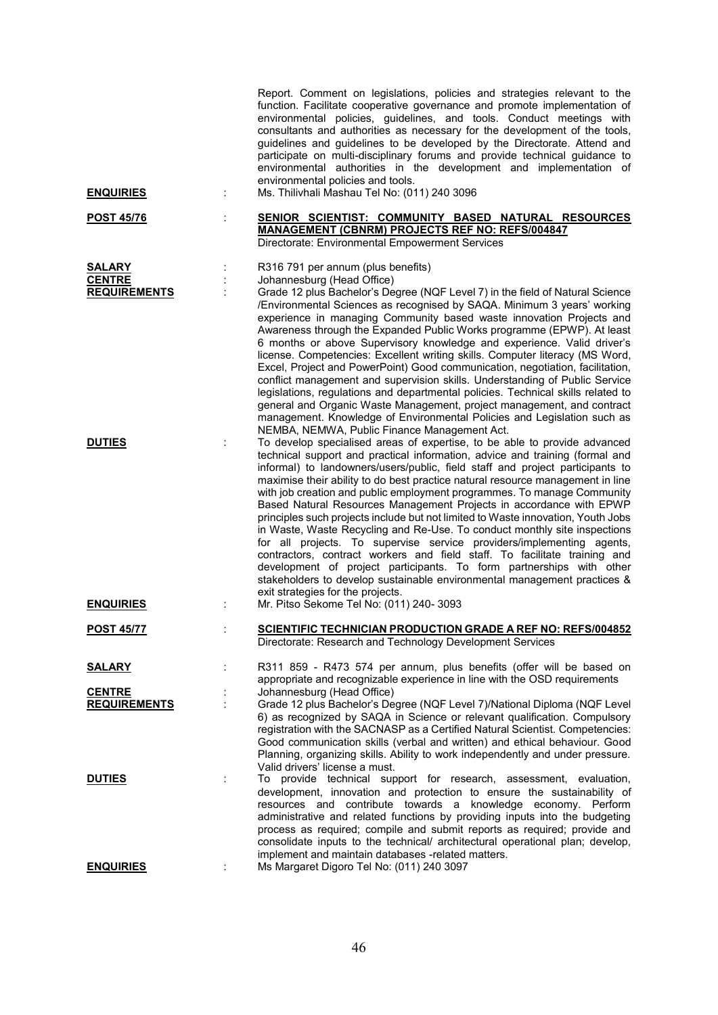|                                                       |   | Report. Comment on legislations, policies and strategies relevant to the<br>function. Facilitate cooperative governance and promote implementation of<br>environmental policies, guidelines, and tools. Conduct meetings with<br>consultants and authorities as necessary for the development of the tools,<br>guidelines and guidelines to be developed by the Directorate. Attend and<br>participate on multi-disciplinary forums and provide technical guidance to<br>environmental authorities in the development and implementation of<br>environmental policies and tools.                                                                                                                                                                                                                                                                                                                                                                                                                  |
|-------------------------------------------------------|---|---------------------------------------------------------------------------------------------------------------------------------------------------------------------------------------------------------------------------------------------------------------------------------------------------------------------------------------------------------------------------------------------------------------------------------------------------------------------------------------------------------------------------------------------------------------------------------------------------------------------------------------------------------------------------------------------------------------------------------------------------------------------------------------------------------------------------------------------------------------------------------------------------------------------------------------------------------------------------------------------------|
| <b>ENQUIRIES</b>                                      |   | Ms. Thilivhali Mashau Tel No: (011) 240 3096                                                                                                                                                                                                                                                                                                                                                                                                                                                                                                                                                                                                                                                                                                                                                                                                                                                                                                                                                      |
| <b>POST 45/76</b>                                     |   | SENIOR SCIENTIST: COMMUNITY BASED NATURAL RESOURCES<br><b>MANAGEMENT (CBNRM) PROJECTS REF NO: REFS/004847</b><br>Directorate: Environmental Empowerment Services                                                                                                                                                                                                                                                                                                                                                                                                                                                                                                                                                                                                                                                                                                                                                                                                                                  |
| <b>SALARY</b><br><b>CENTRE</b><br><b>REQUIREMENTS</b> |   | R316 791 per annum (plus benefits)<br>Johannesburg (Head Office)<br>Grade 12 plus Bachelor's Degree (NQF Level 7) in the field of Natural Science<br>/Environmental Sciences as recognised by SAQA. Minimum 3 years' working<br>experience in managing Community based waste innovation Projects and<br>Awareness through the Expanded Public Works programme (EPWP). At least<br>6 months or above Supervisory knowledge and experience. Valid driver's<br>license. Competencies: Excellent writing skills. Computer literacy (MS Word,<br>Excel, Project and PowerPoint) Good communication, negotiation, facilitation,<br>conflict management and supervision skills. Understanding of Public Service<br>legislations, regulations and departmental policies. Technical skills related to<br>general and Organic Waste Management, project management, and contract<br>management. Knowledge of Environmental Policies and Legislation such as<br>NEMBA, NEMWA, Public Finance Management Act. |
| <b>DUTIES</b>                                         |   | To develop specialised areas of expertise, to be able to provide advanced<br>technical support and practical information, advice and training (formal and<br>informal) to landowners/users/public, field staff and project participants to<br>maximise their ability to do best practice natural resource management in line<br>with job creation and public employment programmes. To manage Community<br>Based Natural Resources Management Projects in accordance with EPWP<br>principles such projects include but not limited to Waste innovation, Youth Jobs<br>in Waste, Waste Recycling and Re-Use. To conduct monthly site inspections<br>for all projects. To supervise service providers/implementing agents,<br>contractors, contract workers and field staff. To facilitate training and<br>development of project participants. To form partnerships with other<br>stakeholders to develop sustainable environmental management practices &<br>exit strategies for the projects.    |
| <b>ENQUIRIES</b>                                      |   | Mr. Pitso Sekome Tel No: (011) 240- 3093                                                                                                                                                                                                                                                                                                                                                                                                                                                                                                                                                                                                                                                                                                                                                                                                                                                                                                                                                          |
| <b>POST 45/77</b>                                     |   | SCIENTIFIC TECHNICIAN PRODUCTION GRADE A REF NO: REFS/004852<br>Directorate: Research and Technology Development Services                                                                                                                                                                                                                                                                                                                                                                                                                                                                                                                                                                                                                                                                                                                                                                                                                                                                         |
| <b>SALARY</b>                                         |   | R311 859 - R473 574 per annum, plus benefits (offer will be based on<br>appropriate and recognizable experience in line with the OSD requirements                                                                                                                                                                                                                                                                                                                                                                                                                                                                                                                                                                                                                                                                                                                                                                                                                                                 |
| <b>CENTRE</b><br><b>REQUIREMENTS</b>                  |   | Johannesburg (Head Office)<br>Grade 12 plus Bachelor's Degree (NQF Level 7)/National Diploma (NQF Level<br>6) as recognized by SAQA in Science or relevant qualification. Compulsory<br>registration with the SACNASP as a Certified Natural Scientist. Competencies:<br>Good communication skills (verbal and written) and ethical behaviour. Good<br>Planning, organizing skills. Ability to work independently and under pressure.<br>Valid drivers' license a must.                                                                                                                                                                                                                                                                                                                                                                                                                                                                                                                           |
| <b>DUTIES</b>                                         |   | To provide technical support for research, assessment, evaluation,<br>development, innovation and protection to ensure the sustainability of<br>resources and contribute towards a<br>knowledge economy. Perform<br>administrative and related functions by providing inputs into the budgeting<br>process as required; compile and submit reports as required; provide and<br>consolidate inputs to the technical/ architectural operational plan; develop,<br>implement and maintain databases -related matters.                                                                                                                                                                                                                                                                                                                                                                                                                                                                                |
| <b>ENQUIRIES</b>                                      | ÷ | Ms Margaret Digoro Tel No: (011) 240 3097                                                                                                                                                                                                                                                                                                                                                                                                                                                                                                                                                                                                                                                                                                                                                                                                                                                                                                                                                         |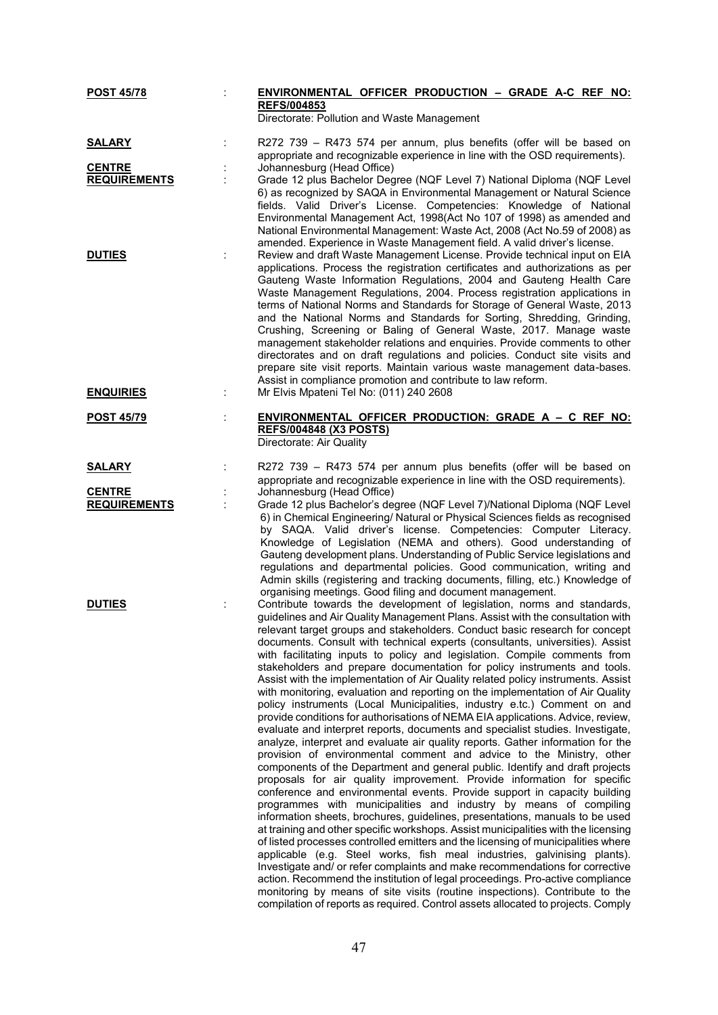| <b>POST 45/78</b>                    | ENVIRONMENTAL OFFICER PRODUCTION - GRADE A-C REF NO:<br><b>REFS/004853</b>                                                                                                                                                                                                                                                                                                                                                                                                                                                                                                                                                                                                                                                                                                                                                                                                                                                                                                                                                                                                                                                                                                                                                                                                                                                                                                                                                                                                                                                                                                                                                                                                                                                                                                                                                                                                                                                                                                                                                                                   |
|--------------------------------------|--------------------------------------------------------------------------------------------------------------------------------------------------------------------------------------------------------------------------------------------------------------------------------------------------------------------------------------------------------------------------------------------------------------------------------------------------------------------------------------------------------------------------------------------------------------------------------------------------------------------------------------------------------------------------------------------------------------------------------------------------------------------------------------------------------------------------------------------------------------------------------------------------------------------------------------------------------------------------------------------------------------------------------------------------------------------------------------------------------------------------------------------------------------------------------------------------------------------------------------------------------------------------------------------------------------------------------------------------------------------------------------------------------------------------------------------------------------------------------------------------------------------------------------------------------------------------------------------------------------------------------------------------------------------------------------------------------------------------------------------------------------------------------------------------------------------------------------------------------------------------------------------------------------------------------------------------------------------------------------------------------------------------------------------------------------|
|                                      | Directorate: Pollution and Waste Management                                                                                                                                                                                                                                                                                                                                                                                                                                                                                                                                                                                                                                                                                                                                                                                                                                                                                                                                                                                                                                                                                                                                                                                                                                                                                                                                                                                                                                                                                                                                                                                                                                                                                                                                                                                                                                                                                                                                                                                                                  |
| <b>SALARY</b>                        | R272 739 - R473 574 per annum, plus benefits (offer will be based on<br>appropriate and recognizable experience in line with the OSD requirements).                                                                                                                                                                                                                                                                                                                                                                                                                                                                                                                                                                                                                                                                                                                                                                                                                                                                                                                                                                                                                                                                                                                                                                                                                                                                                                                                                                                                                                                                                                                                                                                                                                                                                                                                                                                                                                                                                                          |
| <b>CENTRE</b>                        | Johannesburg (Head Office)                                                                                                                                                                                                                                                                                                                                                                                                                                                                                                                                                                                                                                                                                                                                                                                                                                                                                                                                                                                                                                                                                                                                                                                                                                                                                                                                                                                                                                                                                                                                                                                                                                                                                                                                                                                                                                                                                                                                                                                                                                   |
| <b>REQUIREMENTS</b>                  | Grade 12 plus Bachelor Degree (NQF Level 7) National Diploma (NQF Level<br>6) as recognized by SAQA in Environmental Management or Natural Science<br>fields. Valid Driver's License. Competencies: Knowledge of National<br>Environmental Management Act, 1998(Act No 107 of 1998) as amended and<br>National Environmental Management: Waste Act, 2008 (Act No.59 of 2008) as<br>amended. Experience in Waste Management field. A valid driver's license.                                                                                                                                                                                                                                                                                                                                                                                                                                                                                                                                                                                                                                                                                                                                                                                                                                                                                                                                                                                                                                                                                                                                                                                                                                                                                                                                                                                                                                                                                                                                                                                                  |
| <b>DUTIES</b><br><b>ENQUIRIES</b>    | Review and draft Waste Management License. Provide technical input on EIA<br>applications. Process the registration certificates and authorizations as per<br>Gauteng Waste Information Regulations, 2004 and Gauteng Health Care<br>Waste Management Regulations, 2004. Process registration applications in<br>terms of National Norms and Standards for Storage of General Waste, 2013<br>and the National Norms and Standards for Sorting, Shredding, Grinding,<br>Crushing, Screening or Baling of General Waste, 2017. Manage waste<br>management stakeholder relations and enquiries. Provide comments to other<br>directorates and on draft regulations and policies. Conduct site visits and<br>prepare site visit reports. Maintain various waste management data-bases.<br>Assist in compliance promotion and contribute to law reform.<br>Mr Elvis Mpateni Tel No: (011) 240 2608                                                                                                                                                                                                                                                                                                                                                                                                                                                                                                                                                                                                                                                                                                                                                                                                                                                                                                                                                                                                                                                                                                                                                                |
|                                      |                                                                                                                                                                                                                                                                                                                                                                                                                                                                                                                                                                                                                                                                                                                                                                                                                                                                                                                                                                                                                                                                                                                                                                                                                                                                                                                                                                                                                                                                                                                                                                                                                                                                                                                                                                                                                                                                                                                                                                                                                                                              |
| <b>POST 45/79</b>                    | ENVIRONMENTAL OFFICER PRODUCTION: GRADE A - C REF NO:<br><b>REFS/004848 (X3 POSTS)</b><br>Directorate: Air Quality                                                                                                                                                                                                                                                                                                                                                                                                                                                                                                                                                                                                                                                                                                                                                                                                                                                                                                                                                                                                                                                                                                                                                                                                                                                                                                                                                                                                                                                                                                                                                                                                                                                                                                                                                                                                                                                                                                                                           |
| <b>SALARY</b>                        | R272 739 - R473 574 per annum plus benefits (offer will be based on<br>appropriate and recognizable experience in line with the OSD requirements).                                                                                                                                                                                                                                                                                                                                                                                                                                                                                                                                                                                                                                                                                                                                                                                                                                                                                                                                                                                                                                                                                                                                                                                                                                                                                                                                                                                                                                                                                                                                                                                                                                                                                                                                                                                                                                                                                                           |
| <b>CENTRE</b><br><b>REQUIREMENTS</b> | Johannesburg (Head Office)<br>Grade 12 plus Bachelor's degree (NQF Level 7)/National Diploma (NQF Level<br>6) in Chemical Engineering/ Natural or Physical Sciences fields as recognised<br>by SAQA. Valid driver's license. Competencies: Computer Literacy.<br>Knowledge of Legislation (NEMA and others). Good understanding of<br>Gauteng development plans. Understanding of Public Service legislations and<br>regulations and departmental policies. Good communication, writing and<br>Admin skills (registering and tracking documents, filling, etc.) Knowledge of<br>organising meetings. Good filing and document management.                                                                                                                                                                                                                                                                                                                                                                                                                                                                                                                                                                                                                                                                                                                                                                                                                                                                                                                                                                                                                                                                                                                                                                                                                                                                                                                                                                                                                    |
| <b>DUTIES</b>                        | Contribute towards the development of legislation, norms and standards,<br>guidelines and Air Quality Management Plans. Assist with the consultation with<br>relevant target groups and stakeholders. Conduct basic research for concept<br>documents. Consult with technical experts (consultants, universities). Assist<br>with facilitating inputs to policy and legislation. Compile comments from<br>stakeholders and prepare documentation for policy instruments and tools.<br>Assist with the implementation of Air Quality related policy instruments. Assist<br>with monitoring, evaluation and reporting on the implementation of Air Quality<br>policy instruments (Local Municipalities, industry e.tc.) Comment on and<br>provide conditions for authorisations of NEMA EIA applications. Advice, review,<br>evaluate and interpret reports, documents and specialist studies. Investigate,<br>analyze, interpret and evaluate air quality reports. Gather information for the<br>provision of environmental comment and advice to the Ministry, other<br>components of the Department and general public. Identify and draft projects<br>proposals for air quality improvement. Provide information for specific<br>conference and environmental events. Provide support in capacity building<br>programmes with municipalities and industry by means of compiling<br>information sheets, brochures, guidelines, presentations, manuals to be used<br>at training and other specific workshops. Assist municipalities with the licensing<br>of listed processes controlled emitters and the licensing of municipalities where<br>applicable (e.g. Steel works, fish meal industries, galvinising plants).<br>Investigate and/ or refer complaints and make recommendations for corrective<br>action. Recommend the institution of legal proceedings. Pro-active compliance<br>monitoring by means of site visits (routine inspections). Contribute to the<br>compilation of reports as required. Control assets allocated to projects. Comply |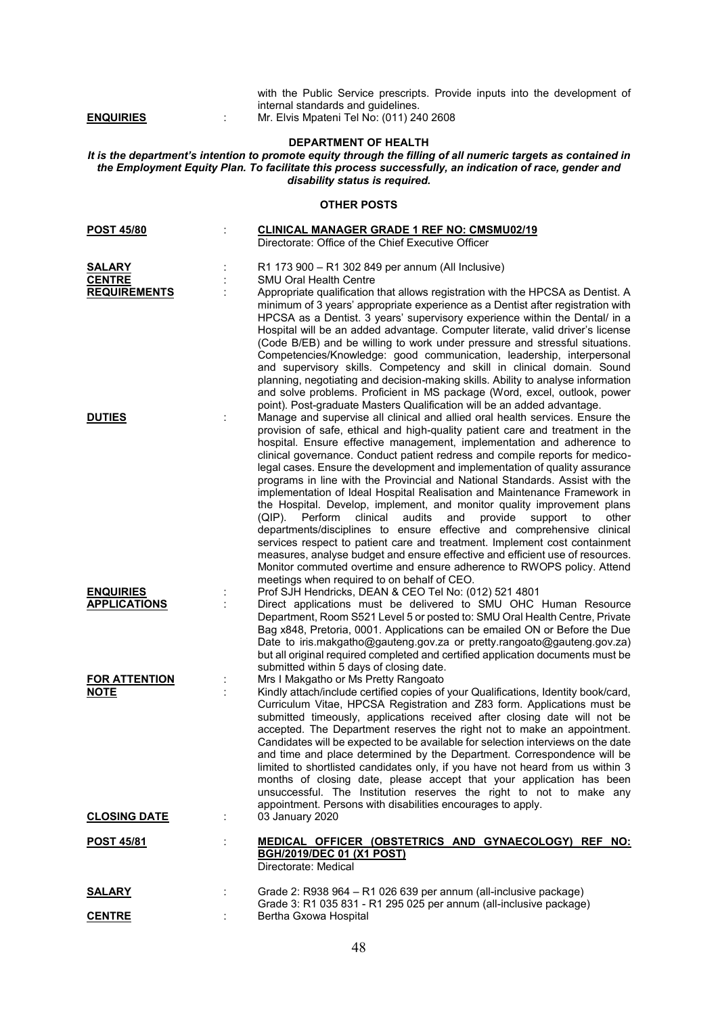with the Public Service prescripts. Provide inputs into the development of internal standards and guidelines. **ENQUIRIES** : Mr. Elvis Mpateni Tel No: (011) 240 2608

## **DEPARTMENT OF HEALTH**

*It is the department's intention to promote equity through the filling of all numeric targets as contained in the Employment Equity Plan. To facilitate this process successfully, an indication of race, gender and disability status is required.*

## **OTHER POSTS**

| <b>POST 45/80</b>                                     |                | <b>CLINICAL MANAGER GRADE 1 REF NO: CMSMU02/19</b><br>Directorate: Office of the Chief Executive Officer                                                                                                                                                                                                                                                                                                                                                                                                                                                                                                                                                                                                                                                                                                                                                                                                                                                                                                                                                                                                                                                                         |
|-------------------------------------------------------|----------------|----------------------------------------------------------------------------------------------------------------------------------------------------------------------------------------------------------------------------------------------------------------------------------------------------------------------------------------------------------------------------------------------------------------------------------------------------------------------------------------------------------------------------------------------------------------------------------------------------------------------------------------------------------------------------------------------------------------------------------------------------------------------------------------------------------------------------------------------------------------------------------------------------------------------------------------------------------------------------------------------------------------------------------------------------------------------------------------------------------------------------------------------------------------------------------|
| <b>SALARY</b><br><b>CENTRE</b><br><b>REQUIREMENTS</b> |                | R1 173 900 - R1 302 849 per annum (All Inclusive)<br><b>SMU Oral Health Centre</b><br>Appropriate qualification that allows registration with the HPCSA as Dentist. A<br>minimum of 3 years' appropriate experience as a Dentist after registration with<br>HPCSA as a Dentist. 3 years' supervisory experience within the Dental/ in a<br>Hospital will be an added advantage. Computer literate, valid driver's license<br>(Code B/EB) and be willing to work under pressure and stressful situations.<br>Competencies/Knowledge: good communication, leadership, interpersonal<br>and supervisory skills. Competency and skill in clinical domain. Sound<br>planning, negotiating and decision-making skills. Ability to analyse information<br>and solve problems. Proficient in MS package (Word, excel, outlook, power                                                                                                                                                                                                                                                                                                                                                     |
| <b>DUTIES</b>                                         | $\ddot{\cdot}$ | point). Post-graduate Masters Qualification will be an added advantage.<br>Manage and supervise all clinical and allied oral health services. Ensure the<br>provision of safe, ethical and high-quality patient care and treatment in the<br>hospital. Ensure effective management, implementation and adherence to<br>clinical governance. Conduct patient redress and compile reports for medico-<br>legal cases. Ensure the development and implementation of quality assurance<br>programs in line with the Provincial and National Standards. Assist with the<br>implementation of Ideal Hospital Realisation and Maintenance Framework in<br>the Hospital. Develop, implement, and monitor quality improvement plans<br>clinical<br>audits<br>and<br>provide<br>support<br>(QIP). Perform<br>other<br>to<br>departments/disciplines to ensure effective and comprehensive clinical<br>services respect to patient care and treatment. Implement cost containment<br>measures, analyse budget and ensure effective and efficient use of resources.<br>Monitor commuted overtime and ensure adherence to RWOPS policy. Attend<br>meetings when required to on behalf of CEO. |
| <b>ENQUIRIES</b><br><b>APPLICATIONS</b>               |                | Prof SJH Hendricks, DEAN & CEO Tel No: (012) 521 4801<br>Direct applications must be delivered to SMU OHC Human Resource<br>Department, Room S521 Level 5 or posted to: SMU Oral Health Centre, Private<br>Bag x848, Pretoria, 0001. Applications can be emailed ON or Before the Due<br>Date to iris.makgatho@gauteng.gov.za or pretty.rangoato@gauteng.gov.za)<br>but all original required completed and certified application documents must be<br>submitted within 5 days of closing date.                                                                                                                                                                                                                                                                                                                                                                                                                                                                                                                                                                                                                                                                                  |
| <b>FOR ATTENTION</b><br><b>NOTE</b>                   |                | Mrs I Makgatho or Ms Pretty Rangoato<br>Kindly attach/include certified copies of your Qualifications, Identity book/card,<br>Curriculum Vitae, HPCSA Registration and Z83 form. Applications must be<br>submitted timeously, applications received after closing date will not be<br>accepted. The Department reserves the right not to make an appointment.<br>Candidates will be expected to be available for selection interviews on the date<br>and time and place determined by the Department. Correspondence will be<br>limited to shortlisted candidates only, if you have not heard from us within 3<br>months of closing date, please accept that your application has been<br>unsuccessful. The Institution reserves the right to not to make any<br>appointment. Persons with disabilities encourages to apply.                                                                                                                                                                                                                                                                                                                                                     |
| <b>CLOSING DATE</b>                                   |                | 03 January 2020                                                                                                                                                                                                                                                                                                                                                                                                                                                                                                                                                                                                                                                                                                                                                                                                                                                                                                                                                                                                                                                                                                                                                                  |
| <b>POST 45/81</b>                                     |                | MEDICAL OFFICER (OBSTETRICS AND GYNAECOLOGY) REF NO:<br><b>BGH/2019/DEC 01 (X1 POST)</b><br>Directorate: Medical                                                                                                                                                                                                                                                                                                                                                                                                                                                                                                                                                                                                                                                                                                                                                                                                                                                                                                                                                                                                                                                                 |
| <b>SALARY</b>                                         |                | Grade 2: R938 964 - R1 026 639 per annum (all-inclusive package)<br>Grade 3: R1 035 831 - R1 295 025 per annum (all-inclusive package)                                                                                                                                                                                                                                                                                                                                                                                                                                                                                                                                                                                                                                                                                                                                                                                                                                                                                                                                                                                                                                           |
| <b>CENTRE</b>                                         |                | Bertha Gxowa Hospital                                                                                                                                                                                                                                                                                                                                                                                                                                                                                                                                                                                                                                                                                                                                                                                                                                                                                                                                                                                                                                                                                                                                                            |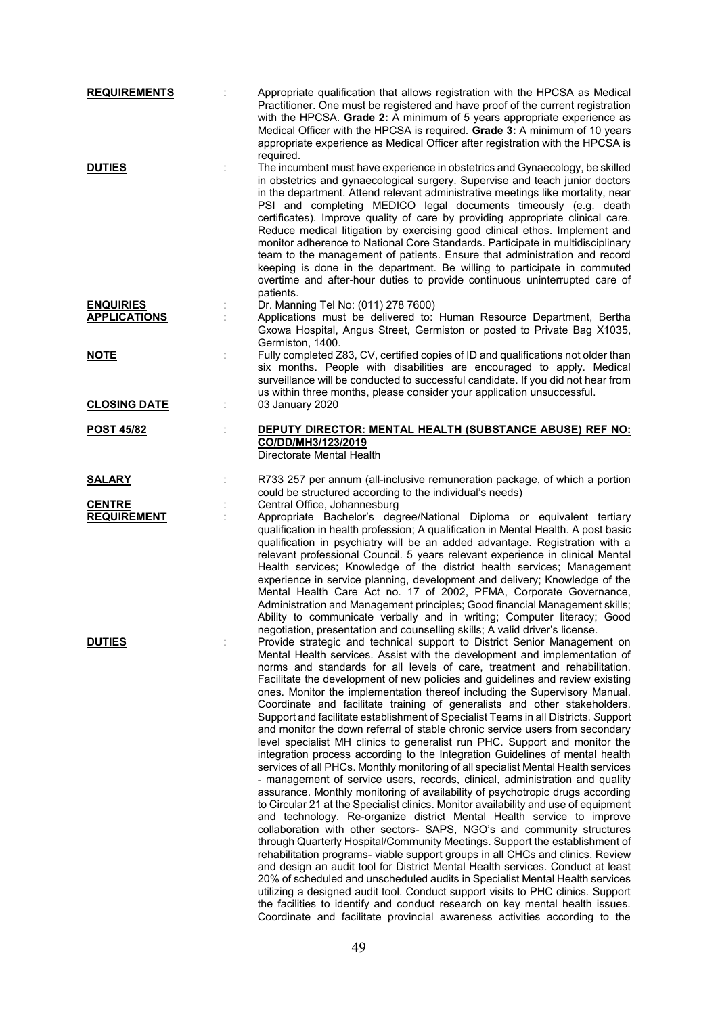| <b>REQUIREMENTS</b>                     |   | Appropriate qualification that allows registration with the HPCSA as Medical<br>Practitioner. One must be registered and have proof of the current registration<br>with the HPCSA. Grade 2: A minimum of 5 years appropriate experience as<br>Medical Officer with the HPCSA is required. Grade 3: A minimum of 10 years<br>appropriate experience as Medical Officer after registration with the HPCSA is<br>required.                                                                                                                                                                                                                                                                                                                                                                                                                                                                                                                                                                                                                                                                                                                                                                                                                                                                                                                                                                                                                                                                                                                                                                                                                                                                                                                                                                                                                                                                                |
|-----------------------------------------|---|--------------------------------------------------------------------------------------------------------------------------------------------------------------------------------------------------------------------------------------------------------------------------------------------------------------------------------------------------------------------------------------------------------------------------------------------------------------------------------------------------------------------------------------------------------------------------------------------------------------------------------------------------------------------------------------------------------------------------------------------------------------------------------------------------------------------------------------------------------------------------------------------------------------------------------------------------------------------------------------------------------------------------------------------------------------------------------------------------------------------------------------------------------------------------------------------------------------------------------------------------------------------------------------------------------------------------------------------------------------------------------------------------------------------------------------------------------------------------------------------------------------------------------------------------------------------------------------------------------------------------------------------------------------------------------------------------------------------------------------------------------------------------------------------------------------------------------------------------------------------------------------------------------|
| <b>DUTIES</b>                           |   | The incumbent must have experience in obstetrics and Gynaecology, be skilled<br>in obstetrics and gynaecological surgery. Supervise and teach junior doctors<br>in the department. Attend relevant administrative meetings like mortality, near<br>PSI and completing MEDICO legal documents timeously (e.g. death<br>certificates). Improve quality of care by providing appropriate clinical care.<br>Reduce medical litigation by exercising good clinical ethos. Implement and<br>monitor adherence to National Core Standards. Participate in multidisciplinary<br>team to the management of patients. Ensure that administration and record<br>keeping is done in the department. Be willing to participate in commuted<br>overtime and after-hour duties to provide continuous uninterrupted care of<br>patients.                                                                                                                                                                                                                                                                                                                                                                                                                                                                                                                                                                                                                                                                                                                                                                                                                                                                                                                                                                                                                                                                               |
| <b>ENQUIRIES</b><br><b>APPLICATIONS</b> |   | Dr. Manning Tel No: (011) 278 7600)<br>Applications must be delivered to: Human Resource Department, Bertha<br>Gxowa Hospital, Angus Street, Germiston or posted to Private Bag X1035,<br>Germiston, 1400.                                                                                                                                                                                                                                                                                                                                                                                                                                                                                                                                                                                                                                                                                                                                                                                                                                                                                                                                                                                                                                                                                                                                                                                                                                                                                                                                                                                                                                                                                                                                                                                                                                                                                             |
| <u>NOTE</u>                             |   | Fully completed Z83, CV, certified copies of ID and qualifications not older than<br>six months. People with disabilities are encouraged to apply. Medical<br>surveillance will be conducted to successful candidate. If you did not hear from<br>us within three months, please consider your application unsuccessful.                                                                                                                                                                                                                                                                                                                                                                                                                                                                                                                                                                                                                                                                                                                                                                                                                                                                                                                                                                                                                                                                                                                                                                                                                                                                                                                                                                                                                                                                                                                                                                               |
| <b>CLOSING DATE</b>                     | ÷ | 03 January 2020                                                                                                                                                                                                                                                                                                                                                                                                                                                                                                                                                                                                                                                                                                                                                                                                                                                                                                                                                                                                                                                                                                                                                                                                                                                                                                                                                                                                                                                                                                                                                                                                                                                                                                                                                                                                                                                                                        |
| <u>POST 45/82</u>                       | t | DEPUTY DIRECTOR: MENTAL HEALTH (SUBSTANCE ABUSE) REF NO:<br>CO/DD/MH3/123/2019<br>Directorate Mental Health                                                                                                                                                                                                                                                                                                                                                                                                                                                                                                                                                                                                                                                                                                                                                                                                                                                                                                                                                                                                                                                                                                                                                                                                                                                                                                                                                                                                                                                                                                                                                                                                                                                                                                                                                                                            |
| <b>SALARY</b>                           |   | R733 257 per annum (all-inclusive remuneration package, of which a portion<br>could be structured according to the individual's needs)                                                                                                                                                                                                                                                                                                                                                                                                                                                                                                                                                                                                                                                                                                                                                                                                                                                                                                                                                                                                                                                                                                                                                                                                                                                                                                                                                                                                                                                                                                                                                                                                                                                                                                                                                                 |
| <b>CENTRE</b>                           |   | Central Office, Johannesburg                                                                                                                                                                                                                                                                                                                                                                                                                                                                                                                                                                                                                                                                                                                                                                                                                                                                                                                                                                                                                                                                                                                                                                                                                                                                                                                                                                                                                                                                                                                                                                                                                                                                                                                                                                                                                                                                           |
| <b>REQUIREMENT</b>                      | t | Appropriate Bachelor's degree/National Diploma or equivalent tertiary<br>qualification in health profession; A qualification in Mental Health. A post basic<br>qualification in psychiatry will be an added advantage. Registration with a<br>relevant professional Council. 5 years relevant experience in clinical Mental<br>Health services; Knowledge of the district health services; Management<br>experience in service planning, development and delivery; Knowledge of the<br>Mental Health Care Act no. 17 of 2002, PFMA, Corporate Governance,<br>Administration and Management principles; Good financial Management skills;<br>Ability to communicate verbally and in writing; Computer literacy; Good<br>negotiation, presentation and counselling skills; A valid driver's license.                                                                                                                                                                                                                                                                                                                                                                                                                                                                                                                                                                                                                                                                                                                                                                                                                                                                                                                                                                                                                                                                                                     |
| <b>DUTIES</b>                           |   | Provide strategic and technical support to District Senior Management on<br>Mental Health services. Assist with the development and implementation of<br>norms and standards for all levels of care, treatment and rehabilitation.<br>Facilitate the development of new policies and guidelines and review existing<br>ones. Monitor the implementation thereof including the Supervisory Manual.<br>Coordinate and facilitate training of generalists and other stakeholders.<br>Support and facilitate establishment of Specialist Teams in all Districts. Support<br>and monitor the down referral of stable chronic service users from secondary<br>level specialist MH clinics to generalist run PHC. Support and monitor the<br>integration process according to the Integration Guidelines of mental health<br>services of all PHCs. Monthly monitoring of all specialist Mental Health services<br>- management of service users, records, clinical, administration and quality<br>assurance. Monthly monitoring of availability of psychotropic drugs according<br>to Circular 21 at the Specialist clinics. Monitor availability and use of equipment<br>and technology. Re-organize district Mental Health service to improve<br>collaboration with other sectors- SAPS, NGO's and community structures<br>through Quarterly Hospital/Community Meetings. Support the establishment of<br>rehabilitation programs- viable support groups in all CHCs and clinics. Review<br>and design an audit tool for District Mental Health services. Conduct at least<br>20% of scheduled and unscheduled audits in Specialist Mental Health services<br>utilizing a designed audit tool. Conduct support visits to PHC clinics. Support<br>the facilities to identify and conduct research on key mental health issues.<br>Coordinate and facilitate provincial awareness activities according to the |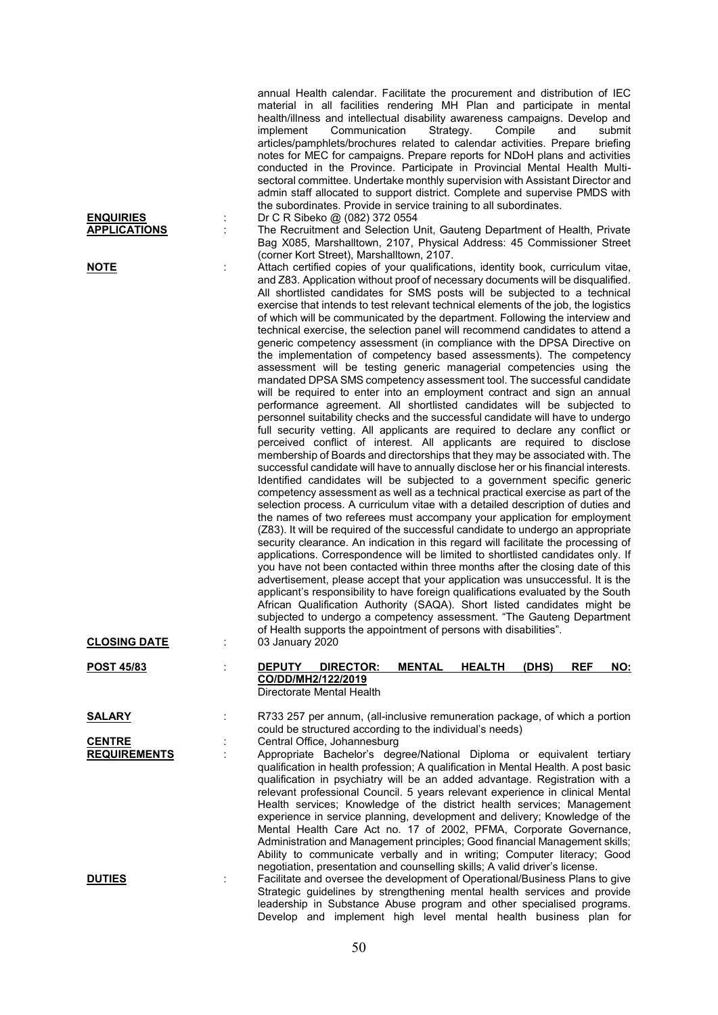|                                         | annual Health calendar. Facilitate the procurement and distribution of IEC<br>material in all facilities rendering MH Plan and participate in mental<br>health/illness and intellectual disability awareness campaigns. Develop and<br>Communication<br>Strategy.<br>Compile<br>implement<br>and<br>submit<br>articles/pamphlets/brochures related to calendar activities. Prepare briefing<br>notes for MEC for campaigns. Prepare reports for NDoH plans and activities<br>conducted in the Province. Participate in Provincial Mental Health Multi-<br>sectoral committee. Undertake monthly supervision with Assistant Director and<br>admin staff allocated to support district. Complete and supervise PMDS with<br>the subordinates. Provide in service training to all subordinates.                                                                                                                                                                                                                                                                                                                                                                                                                                                                                                                                                                                                                                                                                                                                                                                                                                                                                                                                                                                                                                                                                                                                                                                                                                                                                                                                                                                                                                                                                                                                                                                                                                                                                                                     |
|-----------------------------------------|------------------------------------------------------------------------------------------------------------------------------------------------------------------------------------------------------------------------------------------------------------------------------------------------------------------------------------------------------------------------------------------------------------------------------------------------------------------------------------------------------------------------------------------------------------------------------------------------------------------------------------------------------------------------------------------------------------------------------------------------------------------------------------------------------------------------------------------------------------------------------------------------------------------------------------------------------------------------------------------------------------------------------------------------------------------------------------------------------------------------------------------------------------------------------------------------------------------------------------------------------------------------------------------------------------------------------------------------------------------------------------------------------------------------------------------------------------------------------------------------------------------------------------------------------------------------------------------------------------------------------------------------------------------------------------------------------------------------------------------------------------------------------------------------------------------------------------------------------------------------------------------------------------------------------------------------------------------------------------------------------------------------------------------------------------------------------------------------------------------------------------------------------------------------------------------------------------------------------------------------------------------------------------------------------------------------------------------------------------------------------------------------------------------------------------------------------------------------------------------------------------------|
| <b>ENQUIRIES</b><br><b>APPLICATIONS</b> | Dr C R Sibeko @ (082) 372 0554<br>The Recruitment and Selection Unit, Gauteng Department of Health, Private<br>Bag X085, Marshalltown, 2107, Physical Address: 45 Commissioner Street                                                                                                                                                                                                                                                                                                                                                                                                                                                                                                                                                                                                                                                                                                                                                                                                                                                                                                                                                                                                                                                                                                                                                                                                                                                                                                                                                                                                                                                                                                                                                                                                                                                                                                                                                                                                                                                                                                                                                                                                                                                                                                                                                                                                                                                                                                                            |
| <u>NOTE</u>                             | (corner Kort Street), Marshalltown, 2107.<br>Attach certified copies of your qualifications, identity book, curriculum vitae,<br>and Z83. Application without proof of necessary documents will be disqualified.<br>All shortlisted candidates for SMS posts will be subjected to a technical<br>exercise that intends to test relevant technical elements of the job, the logistics<br>of which will be communicated by the department. Following the interview and<br>technical exercise, the selection panel will recommend candidates to attend a<br>generic competency assessment (in compliance with the DPSA Directive on<br>the implementation of competency based assessments). The competency<br>assessment will be testing generic managerial competencies using the<br>mandated DPSA SMS competency assessment tool. The successful candidate<br>will be required to enter into an employment contract and sign an annual<br>performance agreement. All shortlisted candidates will be subjected to<br>personnel suitability checks and the successful candidate will have to undergo<br>full security vetting. All applicants are required to declare any conflict or<br>perceived conflict of interest. All applicants are required to disclose<br>membership of Boards and directorships that they may be associated with. The<br>successful candidate will have to annually disclose her or his financial interests.<br>Identified candidates will be subjected to a government specific generic<br>competency assessment as well as a technical practical exercise as part of the<br>selection process. A curriculum vitae with a detailed description of duties and<br>the names of two referees must accompany your application for employment<br>(Z83). It will be required of the successful candidate to undergo an appropriate<br>security clearance. An indication in this regard will facilitate the processing of<br>applications. Correspondence will be limited to shortlisted candidates only. If<br>you have not been contacted within three months after the closing date of this<br>advertisement, please accept that your application was unsuccessful. It is the<br>applicant's responsibility to have foreign qualifications evaluated by the South<br>African Qualification Authority (SAQA). Short listed candidates might be<br>subjected to undergo a competency assessment. "The Gauteng Department<br>of Health supports the appointment of persons with disabilities". |
| <b>CLOSING DATE</b>                     | 03 January 2020                                                                                                                                                                                                                                                                                                                                                                                                                                                                                                                                                                                                                                                                                                                                                                                                                                                                                                                                                                                                                                                                                                                                                                                                                                                                                                                                                                                                                                                                                                                                                                                                                                                                                                                                                                                                                                                                                                                                                                                                                                                                                                                                                                                                                                                                                                                                                                                                                                                                                                  |
| <u>POST 45/83</u>                       | <b>REF</b><br><b>DEPUTY</b><br><b>DIRECTOR:</b><br><b>MENTAL</b><br><b>HEALTH</b><br>(DHS)<br>NO:<br>CO/DD/MH2/122/2019<br>Directorate Mental Health                                                                                                                                                                                                                                                                                                                                                                                                                                                                                                                                                                                                                                                                                                                                                                                                                                                                                                                                                                                                                                                                                                                                                                                                                                                                                                                                                                                                                                                                                                                                                                                                                                                                                                                                                                                                                                                                                                                                                                                                                                                                                                                                                                                                                                                                                                                                                             |
| <u>SALARY</u>                           | R733 257 per annum, (all-inclusive remuneration package, of which a portion                                                                                                                                                                                                                                                                                                                                                                                                                                                                                                                                                                                                                                                                                                                                                                                                                                                                                                                                                                                                                                                                                                                                                                                                                                                                                                                                                                                                                                                                                                                                                                                                                                                                                                                                                                                                                                                                                                                                                                                                                                                                                                                                                                                                                                                                                                                                                                                                                                      |
| <b>CENTRE</b><br><b>REQUIREMENTS</b>    | could be structured according to the individual's needs)<br>Central Office, Johannesburg<br>Appropriate Bachelor's degree/National Diploma or equivalent tertiary<br>qualification in health profession; A qualification in Mental Health. A post basic<br>qualification in psychiatry will be an added advantage. Registration with a<br>relevant professional Council. 5 years relevant experience in clinical Mental<br>Health services; Knowledge of the district health services; Management<br>experience in service planning, development and delivery; Knowledge of the<br>Mental Health Care Act no. 17 of 2002, PFMA, Corporate Governance,<br>Administration and Management principles; Good financial Management skills;<br>Ability to communicate verbally and in writing; Computer literacy; Good                                                                                                                                                                                                                                                                                                                                                                                                                                                                                                                                                                                                                                                                                                                                                                                                                                                                                                                                                                                                                                                                                                                                                                                                                                                                                                                                                                                                                                                                                                                                                                                                                                                                                                  |
| <b>DUTIES</b>                           | negotiation, presentation and counselling skills; A valid driver's license.<br>Facilitate and oversee the development of Operational/Business Plans to give<br>Strategic guidelines by strengthening mental health services and provide<br>leadership in Substance Abuse program and other specialised programs.<br>Develop and implement high level mental health business plan for                                                                                                                                                                                                                                                                                                                                                                                                                                                                                                                                                                                                                                                                                                                                                                                                                                                                                                                                                                                                                                                                                                                                                                                                                                                                                                                                                                                                                                                                                                                                                                                                                                                                                                                                                                                                                                                                                                                                                                                                                                                                                                                             |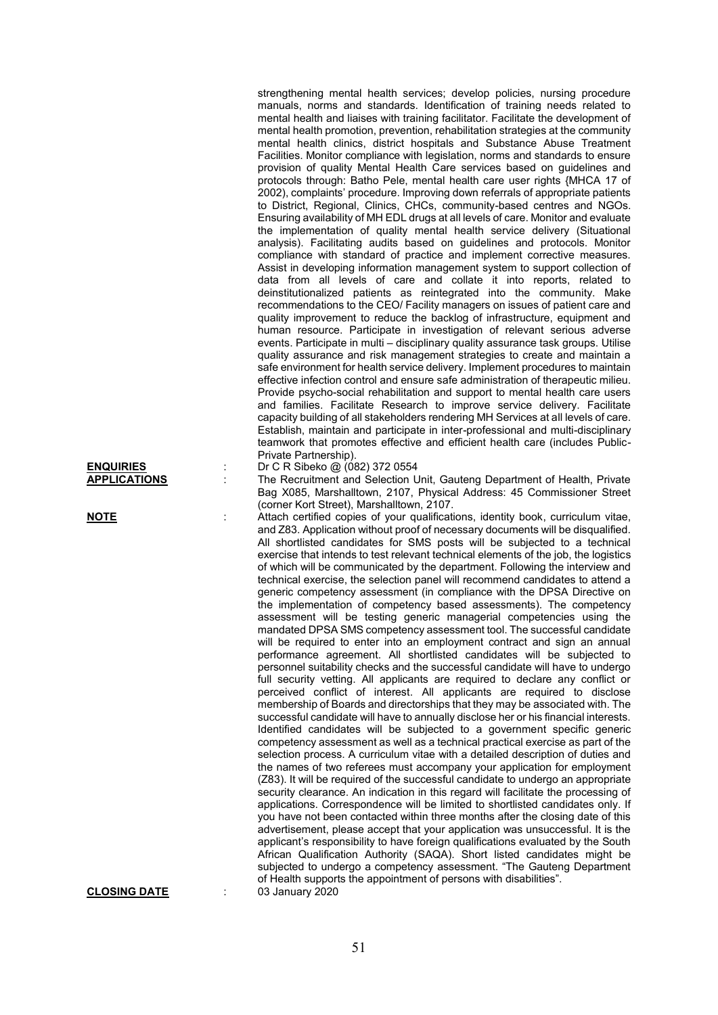strengthening mental health services; develop policies, nursing procedure manuals, norms and standards. Identification of training needs related to mental health and liaises with training facilitator. Facilitate the development of mental health promotion, prevention, rehabilitation strategies at the community mental health clinics, district hospitals and Substance Abuse Treatment Facilities. Monitor compliance with legislation, norms and standards to ensure provision of quality Mental Health Care services based on guidelines and protocols through: Batho Pele, mental health care user rights {MHCA 17 of 2002), complaints' procedure. Improving down referrals of appropriate patients to District, Regional, Clinics, CHCs, community-based centres and NGOs. Ensuring availability of MH EDL drugs at all levels of care. Monitor and evaluate the implementation of quality mental health service delivery (Situational analysis). Facilitating audits based on guidelines and protocols. Monitor compliance with standard of practice and implement corrective measures. Assist in developing information management system to support collection of data from all levels of care and collate it into reports, related to deinstitutionalized patients as reintegrated into the community. Make recommendations to the CEO/ Facility managers on issues of patient care and quality improvement to reduce the backlog of infrastructure, equipment and human resource. Participate in investigation of relevant serious adverse events. Participate in multi – disciplinary quality assurance task groups. Utilise quality assurance and risk management strategies to create and maintain a safe environment for health service delivery. Implement procedures to maintain effective infection control and ensure safe administration of therapeutic milieu. Provide psycho-social rehabilitation and support to mental health care users and families. Facilitate Research to improve service delivery. Facilitate capacity building of all stakeholders rendering MH Services at all levels of care. Establish, maintain and participate in inter-professional and multi-disciplinary teamwork that promotes effective and efficient health care (includes Public-Private Partnership).

Bag X085, Marshalltown, 2107, Physical Address: 45 Commissioner Street

and Z83. Application without proof of necessary documents will be disqualified. All shortlisted candidates for SMS posts will be subjected to a technical exercise that intends to test relevant technical elements of the job, the logistics of which will be communicated by the department. Following the interview and technical exercise, the selection panel will recommend candidates to attend a generic competency assessment (in compliance with the DPSA Directive on the implementation of competency based assessments). The competency assessment will be testing generic managerial competencies using the mandated DPSA SMS competency assessment tool. The successful candidate will be required to enter into an employment contract and sign an annual performance agreement. All shortlisted candidates will be subjected to personnel suitability checks and the successful candidate will have to undergo full security vetting. All applicants are required to declare any conflict or perceived conflict of interest. All applicants are required to disclose membership of Boards and directorships that they may be associated with. The successful candidate will have to annually disclose her or his financial interests. Identified candidates will be subjected to a government specific generic competency assessment as well as a technical practical exercise as part of the selection process. A curriculum vitae with a detailed description of duties and the names of two referees must accompany your application for employment (Z83). It will be required of the successful candidate to undergo an appropriate security clearance. An indication in this regard will facilitate the processing of applications. Correspondence will be limited to shortlisted candidates only. If you have not been contacted within three months after the closing date of this advertisement, please accept that your application was unsuccessful. It is the applicant's responsibility to have foreign qualifications evaluated by the South African Qualification Authority (SAQA). Short listed candidates might be subjected to undergo a competency assessment. "The Gauteng Department

## **ENQUIRIES** : Dr C R Sibeko @ (082) 372 0554 **APPLICATIONS** : The Recruitment and Selection Unit, Gauteng Department of Health, Private

**NOTE** : Attach certified copies of your qualifications, identity book, curriculum vitae,

**CLOSING DATE** : 03 January 2020

of Health supports the appointment of persons with disabilities".

(corner Kort Street), Marshalltown, 2107.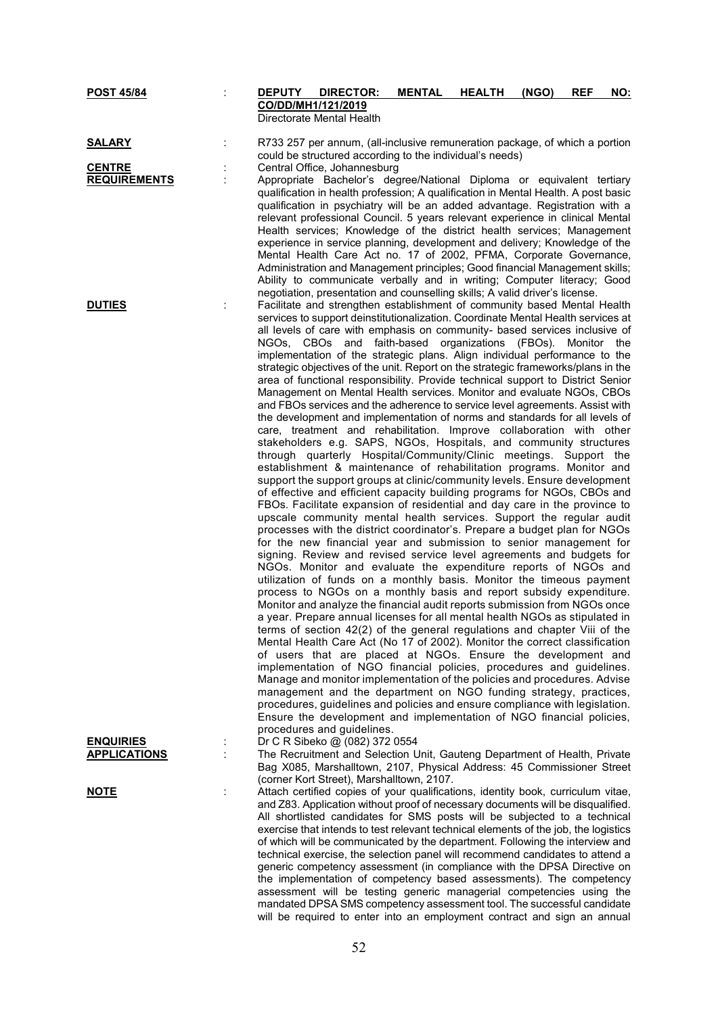| <b>POST 45/84</b>                       | DEPUTY DIRECTOR:<br>CO/DD/MH1/121/2019                                                                                                                                                                                                                                                                                                                                                                                                                                                                                                                                                                                                                                                                                                                                                                                                                                                                                                                                                                                                                                                                                                                                                                                                                                                                                                                                                                                                                                                                                                                                                                                                                                                                                                                                                                                                                                                                                                                                                                                                                                                                                                                                                                                                                                                                                                                                                                                                                                                                                                                                                                               |  | <b>MENTAL</b> | <b>HEALTH</b> | (NGO) | <b>REF</b> | <u>NO:</u> |
|-----------------------------------------|----------------------------------------------------------------------------------------------------------------------------------------------------------------------------------------------------------------------------------------------------------------------------------------------------------------------------------------------------------------------------------------------------------------------------------------------------------------------------------------------------------------------------------------------------------------------------------------------------------------------------------------------------------------------------------------------------------------------------------------------------------------------------------------------------------------------------------------------------------------------------------------------------------------------------------------------------------------------------------------------------------------------------------------------------------------------------------------------------------------------------------------------------------------------------------------------------------------------------------------------------------------------------------------------------------------------------------------------------------------------------------------------------------------------------------------------------------------------------------------------------------------------------------------------------------------------------------------------------------------------------------------------------------------------------------------------------------------------------------------------------------------------------------------------------------------------------------------------------------------------------------------------------------------------------------------------------------------------------------------------------------------------------------------------------------------------------------------------------------------------------------------------------------------------------------------------------------------------------------------------------------------------------------------------------------------------------------------------------------------------------------------------------------------------------------------------------------------------------------------------------------------------------------------------------------------------------------------------------------------------|--|---------------|---------------|-------|------------|------------|
|                                         | Directorate Mental Health                                                                                                                                                                                                                                                                                                                                                                                                                                                                                                                                                                                                                                                                                                                                                                                                                                                                                                                                                                                                                                                                                                                                                                                                                                                                                                                                                                                                                                                                                                                                                                                                                                                                                                                                                                                                                                                                                                                                                                                                                                                                                                                                                                                                                                                                                                                                                                                                                                                                                                                                                                                            |  |               |               |       |            |            |
| <b>SALARY</b>                           | R733 257 per annum, (all-inclusive remuneration package, of which a portion<br>could be structured according to the individual's needs)                                                                                                                                                                                                                                                                                                                                                                                                                                                                                                                                                                                                                                                                                                                                                                                                                                                                                                                                                                                                                                                                                                                                                                                                                                                                                                                                                                                                                                                                                                                                                                                                                                                                                                                                                                                                                                                                                                                                                                                                                                                                                                                                                                                                                                                                                                                                                                                                                                                                              |  |               |               |       |            |            |
| <b>CENTRE</b>                           | Central Office, Johannesburg                                                                                                                                                                                                                                                                                                                                                                                                                                                                                                                                                                                                                                                                                                                                                                                                                                                                                                                                                                                                                                                                                                                                                                                                                                                                                                                                                                                                                                                                                                                                                                                                                                                                                                                                                                                                                                                                                                                                                                                                                                                                                                                                                                                                                                                                                                                                                                                                                                                                                                                                                                                         |  |               |               |       |            |            |
| <b>REQUIREMENTS</b>                     | Appropriate Bachelor's degree/National Diploma or equivalent tertiary<br>qualification in health profession; A qualification in Mental Health. A post basic<br>qualification in psychiatry will be an added advantage. Registration with a<br>relevant professional Council. 5 years relevant experience in clinical Mental<br>Health services; Knowledge of the district health services; Management<br>experience in service planning, development and delivery; Knowledge of the<br>Mental Health Care Act no. 17 of 2002, PFMA, Corporate Governance,<br>Administration and Management principles; Good financial Management skills;<br>Ability to communicate verbally and in writing; Computer literacy; Good<br>negotiation, presentation and counselling skills; A valid driver's license.                                                                                                                                                                                                                                                                                                                                                                                                                                                                                                                                                                                                                                                                                                                                                                                                                                                                                                                                                                                                                                                                                                                                                                                                                                                                                                                                                                                                                                                                                                                                                                                                                                                                                                                                                                                                                   |  |               |               |       |            |            |
| <b>DUTIES</b>                           | Facilitate and strengthen establishment of community based Mental Health<br>services to support deinstitutionalization. Coordinate Mental Health services at<br>all levels of care with emphasis on community- based services inclusive of<br>NGOs, CBOs and faith-based organizations (FBOs).<br>implementation of the strategic plans. Align individual performance to the<br>strategic objectives of the unit. Report on the strategic frameworks/plans in the<br>area of functional responsibility. Provide technical support to District Senior<br>Management on Mental Health services. Monitor and evaluate NGOs, CBOs<br>and FBOs services and the adherence to service level agreements. Assist with<br>the development and implementation of norms and standards for all levels of<br>care, treatment and rehabilitation. Improve collaboration with other<br>stakeholders e.g. SAPS, NGOs, Hospitals, and community structures<br>through quarterly Hospital/Community/Clinic meetings. Support the<br>establishment & maintenance of rehabilitation programs. Monitor and<br>support the support groups at clinic/community levels. Ensure development<br>of effective and efficient capacity building programs for NGOs, CBOs and<br>FBOs. Facilitate expansion of residential and day care in the province to<br>upscale community mental health services. Support the regular audit<br>processes with the district coordinator's. Prepare a budget plan for NGOs<br>for the new financial year and submission to senior management for<br>signing. Review and revised service level agreements and budgets for<br>NGOs. Monitor and evaluate the expenditure reports of NGOs and<br>utilization of funds on a monthly basis. Monitor the timeous payment<br>process to NGOs on a monthly basis and report subsidy expenditure.<br>Monitor and analyze the financial audit reports submission from NGOs once<br>a year. Prepare annual licenses for all mental health NGOs as stipulated in<br>terms of section 42(2) of the general regulations and chapter Viii of the<br>Mental Health Care Act (No 17 of 2002). Monitor the correct classification<br>of users that are placed at NGOs. Ensure the development and<br>implementation of NGO financial policies, procedures and guidelines.<br>Manage and monitor implementation of the policies and procedures. Advise<br>management and the department on NGO funding strategy, practices,<br>procedures, guidelines and policies and ensure compliance with legislation.<br>Ensure the development and implementation of NGO financial policies, |  |               |               |       | Monitor    | the        |
| <b>ENQUIRIES</b><br><b>APPLICATIONS</b> | procedures and guidelines.<br>Dr C R Sibeko @ (082) 372 0554<br>The Recruitment and Selection Unit, Gauteng Department of Health, Private                                                                                                                                                                                                                                                                                                                                                                                                                                                                                                                                                                                                                                                                                                                                                                                                                                                                                                                                                                                                                                                                                                                                                                                                                                                                                                                                                                                                                                                                                                                                                                                                                                                                                                                                                                                                                                                                                                                                                                                                                                                                                                                                                                                                                                                                                                                                                                                                                                                                            |  |               |               |       |            |            |
|                                         | Bag X085, Marshalltown, 2107, Physical Address: 45 Commissioner Street<br>(corner Kort Street), Marshalltown, 2107.                                                                                                                                                                                                                                                                                                                                                                                                                                                                                                                                                                                                                                                                                                                                                                                                                                                                                                                                                                                                                                                                                                                                                                                                                                                                                                                                                                                                                                                                                                                                                                                                                                                                                                                                                                                                                                                                                                                                                                                                                                                                                                                                                                                                                                                                                                                                                                                                                                                                                                  |  |               |               |       |            |            |
| <u>NOTE</u>                             | Attach certified copies of your qualifications, identity book, curriculum vitae,<br>and Z83. Application without proof of necessary documents will be disqualified.<br>All shortlisted candidates for SMS posts will be subjected to a technical<br>exercise that intends to test relevant technical elements of the job, the logistics<br>of which will be communicated by the department. Following the interview and<br>technical exercise, the selection panel will recommend candidates to attend a<br>generic competency assessment (in compliance with the DPSA Directive on<br>the implementation of competency based assessments). The competency<br>assessment will be testing generic managerial competencies using the<br>mandated DPSA SMS competency assessment tool. The successful candidate<br>will be required to enter into an employment contract and sign an annual                                                                                                                                                                                                                                                                                                                                                                                                                                                                                                                                                                                                                                                                                                                                                                                                                                                                                                                                                                                                                                                                                                                                                                                                                                                                                                                                                                                                                                                                                                                                                                                                                                                                                                                             |  |               |               |       |            |            |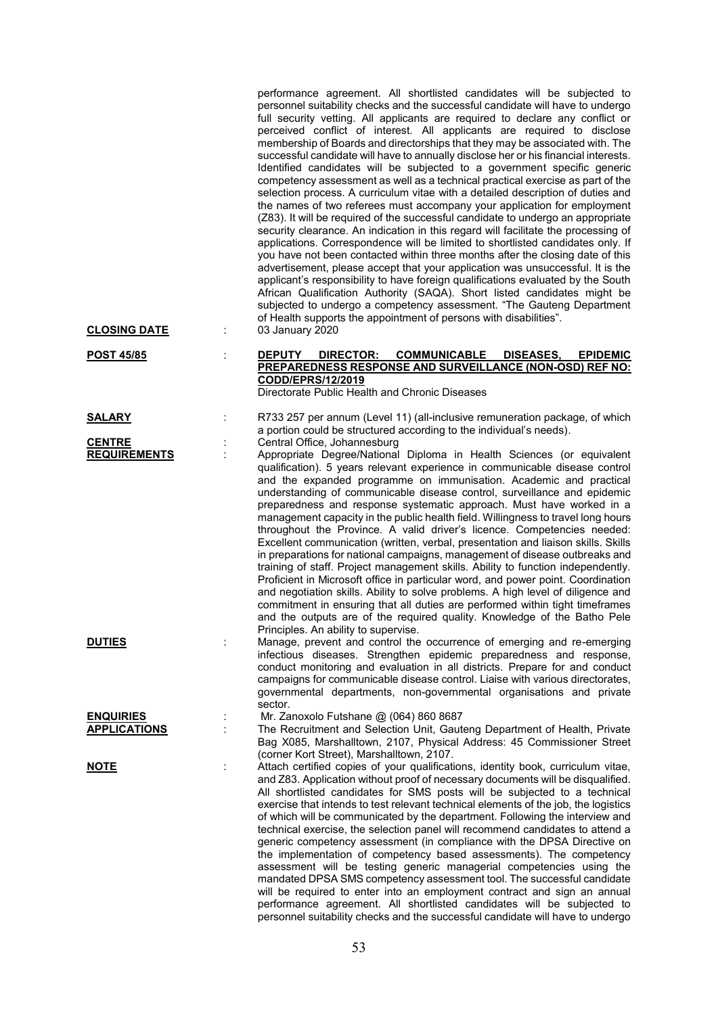| <b>CLOSING DATE</b>                     | performance agreement. All shortlisted candidates will be subjected to<br>personnel suitability checks and the successful candidate will have to undergo<br>full security vetting. All applicants are required to declare any conflict or<br>perceived conflict of interest. All applicants are required to disclose<br>membership of Boards and directorships that they may be associated with. The<br>successful candidate will have to annually disclose her or his financial interests.<br>Identified candidates will be subjected to a government specific generic<br>competency assessment as well as a technical practical exercise as part of the<br>selection process. A curriculum vitae with a detailed description of duties and<br>the names of two referees must accompany your application for employment<br>(Z83). It will be required of the successful candidate to undergo an appropriate<br>security clearance. An indication in this regard will facilitate the processing of<br>applications. Correspondence will be limited to shortlisted candidates only. If<br>you have not been contacted within three months after the closing date of this<br>advertisement, please accept that your application was unsuccessful. It is the<br>applicant's responsibility to have foreign qualifications evaluated by the South<br>African Qualification Authority (SAQA). Short listed candidates might be<br>subjected to undergo a competency assessment. "The Gauteng Department<br>of Health supports the appointment of persons with disabilities".<br>03 January 2020 |
|-----------------------------------------|--------------------------------------------------------------------------------------------------------------------------------------------------------------------------------------------------------------------------------------------------------------------------------------------------------------------------------------------------------------------------------------------------------------------------------------------------------------------------------------------------------------------------------------------------------------------------------------------------------------------------------------------------------------------------------------------------------------------------------------------------------------------------------------------------------------------------------------------------------------------------------------------------------------------------------------------------------------------------------------------------------------------------------------------------------------------------------------------------------------------------------------------------------------------------------------------------------------------------------------------------------------------------------------------------------------------------------------------------------------------------------------------------------------------------------------------------------------------------------------------------------------------------------------------------------------------------------------------|
| <b>POST 45/85</b>                       | <b>COMMUNICABLE</b><br><b>DEPUTY</b><br>DIRECTOR:<br>DISEASES,<br><b>EPIDEMIC</b><br>PREPAREDNESS RESPONSE AND SURVEILLANCE (NON-OSD) REF NO:<br>CODD/EPRS/12/2019<br>Directorate Public Health and Chronic Diseases                                                                                                                                                                                                                                                                                                                                                                                                                                                                                                                                                                                                                                                                                                                                                                                                                                                                                                                                                                                                                                                                                                                                                                                                                                                                                                                                                                       |
| <b>SALARY</b>                           | R733 257 per annum (Level 11) (all-inclusive remuneration package, of which<br>a portion could be structured according to the individual's needs).                                                                                                                                                                                                                                                                                                                                                                                                                                                                                                                                                                                                                                                                                                                                                                                                                                                                                                                                                                                                                                                                                                                                                                                                                                                                                                                                                                                                                                         |
| <b>CENTRE</b><br><b>REQUIREMENTS</b>    | Central Office, Johannesburg<br>Appropriate Degree/National Diploma in Health Sciences (or equivalent<br>qualification). 5 years relevant experience in communicable disease control<br>and the expanded programme on immunisation. Academic and practical<br>understanding of communicable disease control, surveillance and epidemic<br>preparedness and response systematic approach. Must have worked in a<br>management capacity in the public health field. Willingness to travel long hours<br>throughout the Province. A valid driver's licence. Competencies needed:<br>Excellent communication (written, verbal, presentation and liaison skills. Skills<br>in preparations for national campaigns, management of disease outbreaks and<br>training of staff. Project management skills. Ability to function independently.<br>Proficient in Microsoft office in particular word, and power point. Coordination<br>and negotiation skills. Ability to solve problems. A high level of diligence and<br>commitment in ensuring that all duties are performed within tight timeframes<br>and the outputs are of the required quality. Knowledge of the Batho Pele<br>Principles. An ability to supervise.                                                                                                                                                                                                                                                                                                                                                                          |
| <b>DUTIES</b>                           | Manage, prevent and control the occurrence of emerging and re-emerging<br>infectious diseases. Strengthen epidemic preparedness and response,<br>conduct monitoring and evaluation in all districts. Prepare for and conduct<br>campaigns for communicable disease control. Liaise with various directorates,<br>governmental departments, non-governmental organisations and private<br>sector.                                                                                                                                                                                                                                                                                                                                                                                                                                                                                                                                                                                                                                                                                                                                                                                                                                                                                                                                                                                                                                                                                                                                                                                           |
| <b>ENQUIRIES</b><br><b>APPLICATIONS</b> | Mr. Zanoxolo Futshane @ (064) 860 8687<br>The Recruitment and Selection Unit, Gauteng Department of Health, Private<br>Bag X085, Marshalltown, 2107, Physical Address: 45 Commissioner Street<br>(corner Kort Street), Marshalltown, 2107.                                                                                                                                                                                                                                                                                                                                                                                                                                                                                                                                                                                                                                                                                                                                                                                                                                                                                                                                                                                                                                                                                                                                                                                                                                                                                                                                                 |
| <u>NOTE</u>                             | Attach certified copies of your qualifications, identity book, curriculum vitae,<br>and Z83. Application without proof of necessary documents will be disqualified.<br>All shortlisted candidates for SMS posts will be subjected to a technical<br>exercise that intends to test relevant technical elements of the job, the logistics<br>of which will be communicated by the department. Following the interview and<br>technical exercise, the selection panel will recommend candidates to attend a<br>generic competency assessment (in compliance with the DPSA Directive on<br>the implementation of competency based assessments). The competency<br>assessment will be testing generic managerial competencies using the<br>mandated DPSA SMS competency assessment tool. The successful candidate<br>will be required to enter into an employment contract and sign an annual<br>performance agreement. All shortlisted candidates will be subjected to<br>personnel suitability checks and the successful candidate will have to undergo                                                                                                                                                                                                                                                                                                                                                                                                                                                                                                                                       |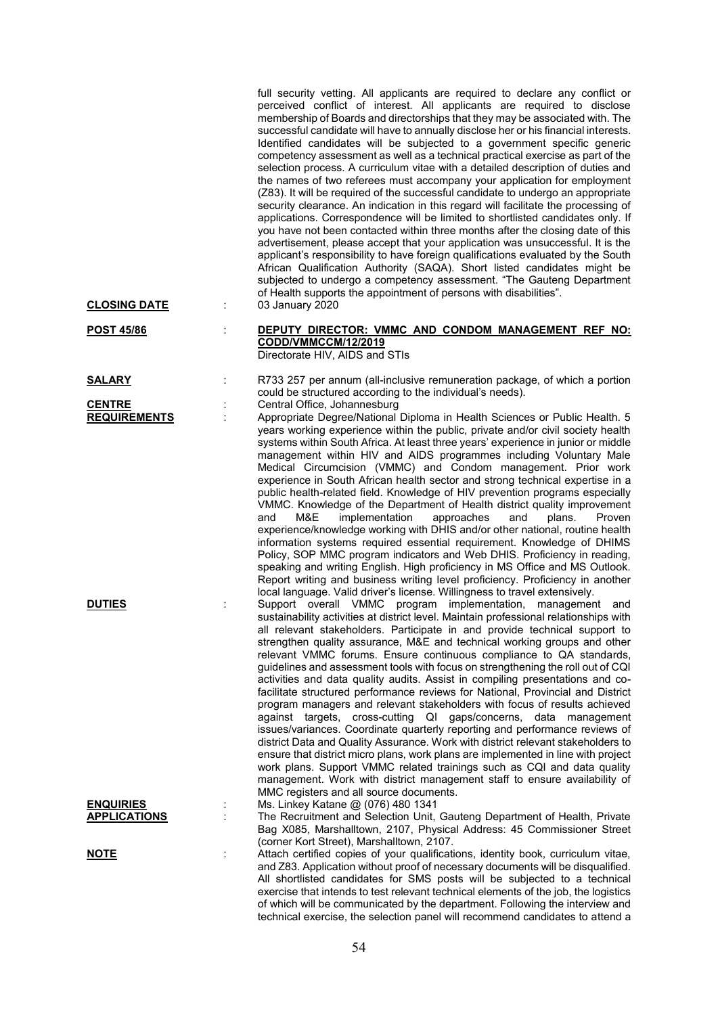|                                         |   | full security vetting. All applicants are required to declare any conflict or<br>perceived conflict of interest. All applicants are required to disclose<br>membership of Boards and directorships that they may be associated with. The<br>successful candidate will have to annually disclose her or his financial interests.<br>Identified candidates will be subjected to a government specific generic<br>competency assessment as well as a technical practical exercise as part of the<br>selection process. A curriculum vitae with a detailed description of duties and<br>the names of two referees must accompany your application for employment<br>(Z83). It will be required of the successful candidate to undergo an appropriate<br>security clearance. An indication in this regard will facilitate the processing of<br>applications. Correspondence will be limited to shortlisted candidates only. If<br>you have not been contacted within three months after the closing date of this<br>advertisement, please accept that your application was unsuccessful. It is the<br>applicant's responsibility to have foreign qualifications evaluated by the South<br>African Qualification Authority (SAQA). Short listed candidates might be<br>subjected to undergo a competency assessment. "The Gauteng Department<br>of Health supports the appointment of persons with disabilities". |
|-----------------------------------------|---|-------------------------------------------------------------------------------------------------------------------------------------------------------------------------------------------------------------------------------------------------------------------------------------------------------------------------------------------------------------------------------------------------------------------------------------------------------------------------------------------------------------------------------------------------------------------------------------------------------------------------------------------------------------------------------------------------------------------------------------------------------------------------------------------------------------------------------------------------------------------------------------------------------------------------------------------------------------------------------------------------------------------------------------------------------------------------------------------------------------------------------------------------------------------------------------------------------------------------------------------------------------------------------------------------------------------------------------------------------------------------------------------------------------|
| <b>CLOSING DATE</b>                     |   | 03 January 2020                                                                                                                                                                                                                                                                                                                                                                                                                                                                                                                                                                                                                                                                                                                                                                                                                                                                                                                                                                                                                                                                                                                                                                                                                                                                                                                                                                                             |
| <b>POST 45/86</b>                       |   | DEPUTY DIRECTOR: VMMC AND CONDOM MANAGEMENT REF NO:<br>CODD/VMMCCM/12/2019<br>Directorate HIV, AIDS and STIs                                                                                                                                                                                                                                                                                                                                                                                                                                                                                                                                                                                                                                                                                                                                                                                                                                                                                                                                                                                                                                                                                                                                                                                                                                                                                                |
| <b>SALARY</b>                           |   | R733 257 per annum (all-inclusive remuneration package, of which a portion<br>could be structured according to the individual's needs).                                                                                                                                                                                                                                                                                                                                                                                                                                                                                                                                                                                                                                                                                                                                                                                                                                                                                                                                                                                                                                                                                                                                                                                                                                                                     |
| <b>CENTRE</b><br><b>REQUIREMENTS</b>    |   | Central Office, Johannesburg<br>Appropriate Degree/National Diploma in Health Sciences or Public Health. 5<br>years working experience within the public, private and/or civil society health<br>systems within South Africa. At least three years' experience in junior or middle<br>management within HIV and AIDS programmes including Voluntary Male<br>Medical Circumcision (VMMC) and Condom management. Prior work<br>experience in South African health sector and strong technical expertise in a<br>public health-related field. Knowledge of HIV prevention programs especially<br>VMMC. Knowledge of the Department of Health district quality improvement<br>M&E<br>implementation<br>approaches<br>and<br>and<br>plans.<br>Proven<br>experience/knowledge working with DHIS and/or other national, routine health<br>information systems required essential requirement. Knowledge of DHIMS<br>Policy, SOP MMC program indicators and Web DHIS. Proficiency in reading,<br>speaking and writing English. High proficiency in MS Office and MS Outlook.<br>Report writing and business writing level proficiency. Proficiency in another<br>local language. Valid driver's license. Willingness to travel extensively.                                                                                                                                                                         |
| <b>DUTIES</b>                           |   | Support overall VMMC program implementation,<br>management and<br>sustainability activities at district level. Maintain professional relationships with<br>all relevant stakeholders. Participate in and provide technical support to<br>strengthen quality assurance, M&E and technical working groups and other<br>relevant VMMC forums. Ensure continuous compliance to QA standards,<br>guidelines and assessment tools with focus on strengthening the roll out of CQI<br>activities and data quality audits. Assist in compiling presentations and co-<br>facilitate structured performance reviews for National, Provincial and District<br>program managers and relevant stakeholders with focus of results achieved<br>against targets, cross-cutting QI gaps/concerns, data<br>management<br>issues/variances. Coordinate quarterly reporting and performance reviews of<br>district Data and Quality Assurance. Work with district relevant stakeholders to<br>ensure that district micro plans, work plans are implemented in line with project<br>work plans. Support VMMC related trainings such as CQI and data quality<br>management. Work with district management staff to ensure availability of<br>MMC registers and all source documents.                                                                                                                                              |
| <b>ENQUIRIES</b><br><b>APPLICATIONS</b> |   | Ms. Linkey Katane @ (076) 480 1341<br>The Recruitment and Selection Unit, Gauteng Department of Health, Private                                                                                                                                                                                                                                                                                                                                                                                                                                                                                                                                                                                                                                                                                                                                                                                                                                                                                                                                                                                                                                                                                                                                                                                                                                                                                             |
|                                         |   | Bag X085, Marshalltown, 2107, Physical Address: 45 Commissioner Street<br>(corner Kort Street), Marshalltown, 2107.                                                                                                                                                                                                                                                                                                                                                                                                                                                                                                                                                                                                                                                                                                                                                                                                                                                                                                                                                                                                                                                                                                                                                                                                                                                                                         |
| <u>NOTE</u>                             | t | Attach certified copies of your qualifications, identity book, curriculum vitae,<br>and Z83. Application without proof of necessary documents will be disqualified.<br>All shortlisted candidates for SMS posts will be subjected to a technical<br>exercise that intends to test relevant technical elements of the job, the logistics<br>of which will be communicated by the department. Following the interview and                                                                                                                                                                                                                                                                                                                                                                                                                                                                                                                                                                                                                                                                                                                                                                                                                                                                                                                                                                                     |

technical exercise, the selection panel will recommend candidates to attend a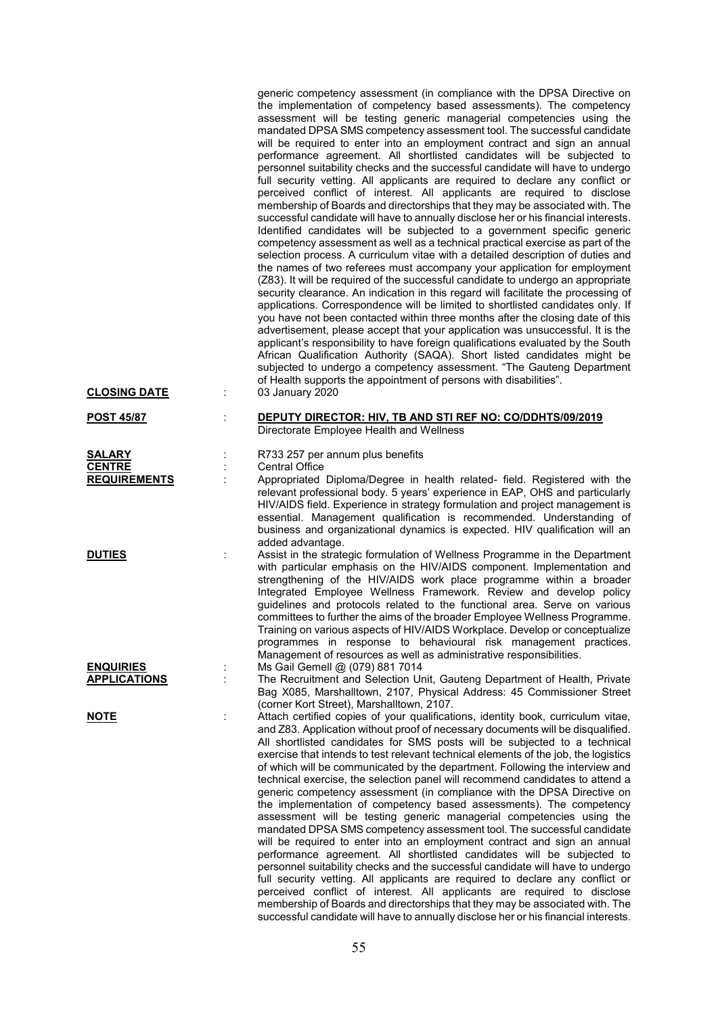|                                                       |   | generic competency assessment (in compliance with the DPSA Directive on<br>the implementation of competency based assessments). The competency<br>assessment will be testing generic managerial competencies using the<br>mandated DPSA SMS competency assessment tool. The successful candidate<br>will be required to enter into an employment contract and sign an annual<br>performance agreement. All shortlisted candidates will be subjected to<br>personnel suitability checks and the successful candidate will have to undergo<br>full security vetting. All applicants are required to declare any conflict or<br>perceived conflict of interest. All applicants are required to disclose<br>membership of Boards and directorships that they may be associated with. The<br>successful candidate will have to annually disclose her or his financial interests.<br>Identified candidates will be subjected to a government specific generic<br>competency assessment as well as a technical practical exercise as part of the<br>selection process. A curriculum vitae with a detailed description of duties and<br>the names of two referees must accompany your application for employment<br>(Z83). It will be required of the successful candidate to undergo an appropriate<br>security clearance. An indication in this regard will facilitate the processing of<br>applications. Correspondence will be limited to shortlisted candidates only. If<br>you have not been contacted within three months after the closing date of this<br>advertisement, please accept that your application was unsuccessful. It is the<br>applicant's responsibility to have foreign qualifications evaluated by the South<br>African Qualification Authority (SAQA). Short listed candidates might be<br>subjected to undergo a competency assessment. "The Gauteng Department<br>of Health supports the appointment of persons with disabilities". |
|-------------------------------------------------------|---|---------------------------------------------------------------------------------------------------------------------------------------------------------------------------------------------------------------------------------------------------------------------------------------------------------------------------------------------------------------------------------------------------------------------------------------------------------------------------------------------------------------------------------------------------------------------------------------------------------------------------------------------------------------------------------------------------------------------------------------------------------------------------------------------------------------------------------------------------------------------------------------------------------------------------------------------------------------------------------------------------------------------------------------------------------------------------------------------------------------------------------------------------------------------------------------------------------------------------------------------------------------------------------------------------------------------------------------------------------------------------------------------------------------------------------------------------------------------------------------------------------------------------------------------------------------------------------------------------------------------------------------------------------------------------------------------------------------------------------------------------------------------------------------------------------------------------------------------------------------------------------------------------------------------------------------------------------|
| <b>CLOSING DATE</b>                                   | t | 03 January 2020                                                                                                                                                                                                                                                                                                                                                                                                                                                                                                                                                                                                                                                                                                                                                                                                                                                                                                                                                                                                                                                                                                                                                                                                                                                                                                                                                                                                                                                                                                                                                                                                                                                                                                                                                                                                                                                                                                                                         |
| <b>POST 45/87</b>                                     | t | DEPUTY DIRECTOR: HIV, TB AND STI REF NO: CO/DDHTS/09/2019<br>Directorate Employee Health and Wellness                                                                                                                                                                                                                                                                                                                                                                                                                                                                                                                                                                                                                                                                                                                                                                                                                                                                                                                                                                                                                                                                                                                                                                                                                                                                                                                                                                                                                                                                                                                                                                                                                                                                                                                                                                                                                                                   |
| <b>SALARY</b><br><b>CENTRE</b><br><b>REQUIREMENTS</b> |   | R733 257 per annum plus benefits<br>Central Office<br>Appropriated Diploma/Degree in health related- field. Registered with the<br>relevant professional body. 5 years' experience in EAP, OHS and particularly<br>HIV/AIDS field. Experience in strategy formulation and project management is<br>essential. Management qualification is recommended. Understanding of<br>business and organizational dynamics is expected. HIV qualification will an                                                                                                                                                                                                                                                                                                                                                                                                                                                                                                                                                                                                                                                                                                                                                                                                                                                                                                                                                                                                                                                                                                                                                                                                                                                                                                                                                                                                                                                                                                  |
| <b>DUTIES</b>                                         |   | added advantage.<br>Assist in the strategic formulation of Wellness Programme in the Department<br>with particular emphasis on the HIV/AIDS component. Implementation and<br>strengthening of the HIV/AIDS work place programme within a broader<br>Integrated Employee Wellness Framework. Review and develop policy<br>guidelines and protocols related to the functional area. Serve on various<br>committees to further the aims of the broader Employee Wellness Programme.<br>Training on various aspects of HIV/AIDS Workplace. Develop or conceptualize<br>programmes in response to behavioural risk management practices.<br>Management of resources as well as administrative responsibilities.                                                                                                                                                                                                                                                                                                                                                                                                                                                                                                                                                                                                                                                                                                                                                                                                                                                                                                                                                                                                                                                                                                                                                                                                                                              |
| <b>ENQUIRIES</b><br><b>APPLICATIONS</b>               |   | Ms Gail Gemell @ (079) 881 7014<br>The Recruitment and Selection Unit, Gauteng Department of Health, Private<br>Bag X085, Marshalltown, 2107, Physical Address: 45 Commissioner Street<br>(corner Kort Street), Marshalltown, 2107.                                                                                                                                                                                                                                                                                                                                                                                                                                                                                                                                                                                                                                                                                                                                                                                                                                                                                                                                                                                                                                                                                                                                                                                                                                                                                                                                                                                                                                                                                                                                                                                                                                                                                                                     |
| <u>NOTE</u>                                           | t | Attach certified copies of your qualifications, identity book, curriculum vitae,<br>and Z83. Application without proof of necessary documents will be disqualified.<br>All shortlisted candidates for SMS posts will be subjected to a technical<br>exercise that intends to test relevant technical elements of the job, the logistics<br>of which will be communicated by the department. Following the interview and<br>technical exercise, the selection panel will recommend candidates to attend a<br>generic competency assessment (in compliance with the DPSA Directive on<br>the implementation of competency based assessments). The competency<br>assessment will be testing generic managerial competencies using the<br>mandated DPSA SMS competency assessment tool. The successful candidate<br>will be required to enter into an employment contract and sign an annual<br>performance agreement. All shortlisted candidates will be subjected to<br>personnel suitability checks and the successful candidate will have to undergo<br>full security vetting. All applicants are required to declare any conflict or<br>perceived conflict of interest. All applicants are required to disclose<br>membership of Boards and directorships that they may be associated with. The<br>successful candidate will have to annually disclose her or his financial interests.                                                                                                                                                                                                                                                                                                                                                                                                                                                                                                                                                                 |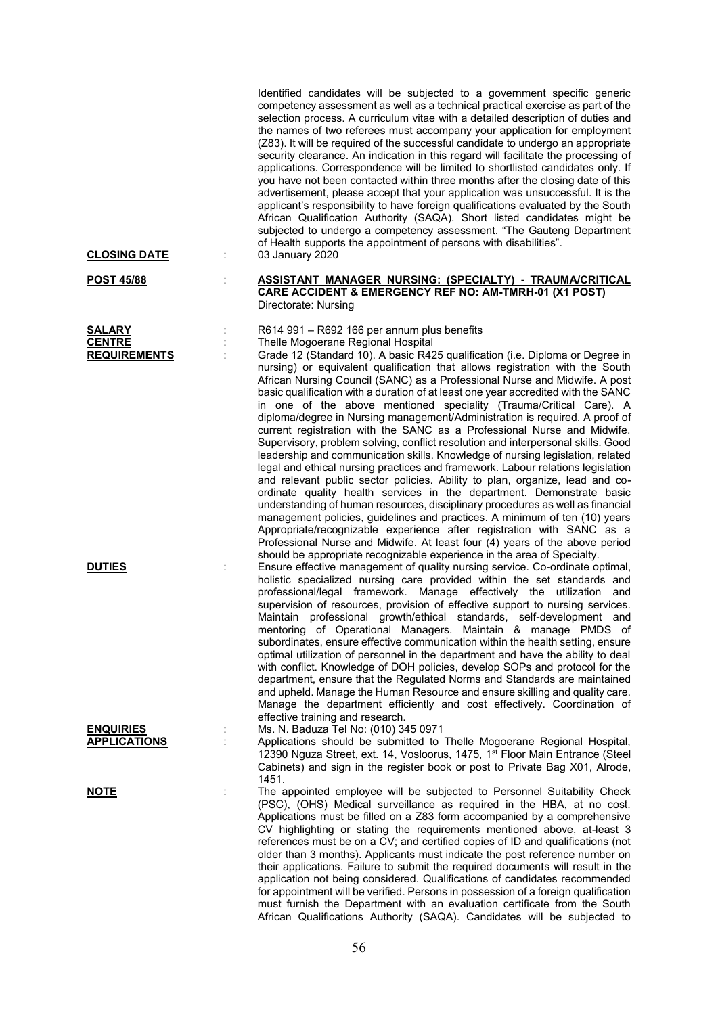| <b>CLOSING DATE</b>                                   | ÷ | Identified candidates will be subjected to a government specific generic<br>competency assessment as well as a technical practical exercise as part of the<br>selection process. A curriculum vitae with a detailed description of duties and<br>the names of two referees must accompany your application for employment<br>(Z83). It will be required of the successful candidate to undergo an appropriate<br>security clearance. An indication in this regard will facilitate the processing of<br>applications. Correspondence will be limited to shortlisted candidates only. If<br>you have not been contacted within three months after the closing date of this<br>advertisement, please accept that your application was unsuccessful. It is the<br>applicant's responsibility to have foreign qualifications evaluated by the South<br>African Qualification Authority (SAQA). Short listed candidates might be<br>subjected to undergo a competency assessment. "The Gauteng Department<br>of Health supports the appointment of persons with disabilities".<br>03 January 2020                                                                                                                                                                                                                                                                                                                                                                                |
|-------------------------------------------------------|---|----------------------------------------------------------------------------------------------------------------------------------------------------------------------------------------------------------------------------------------------------------------------------------------------------------------------------------------------------------------------------------------------------------------------------------------------------------------------------------------------------------------------------------------------------------------------------------------------------------------------------------------------------------------------------------------------------------------------------------------------------------------------------------------------------------------------------------------------------------------------------------------------------------------------------------------------------------------------------------------------------------------------------------------------------------------------------------------------------------------------------------------------------------------------------------------------------------------------------------------------------------------------------------------------------------------------------------------------------------------------------------------------------------------------------------------------------------------------------|
| <b>POST 45/88</b>                                     |   | <b>ASSISTANT MANAGER NURSING: (SPECIALTY) - TRAUMA/CRITICAL</b><br><b>CARE ACCIDENT &amp; EMERGENCY REF NO: AM-TMRH-01 (X1 POST)</b><br>Directorate: Nursing                                                                                                                                                                                                                                                                                                                                                                                                                                                                                                                                                                                                                                                                                                                                                                                                                                                                                                                                                                                                                                                                                                                                                                                                                                                                                                               |
| <b>SALARY</b><br><b>CENTRE</b><br><b>REQUIREMENTS</b> | ÷ | R614 991 - R692 166 per annum plus benefits<br>Thelle Mogoerane Regional Hospital<br>Grade 12 (Standard 10). A basic R425 qualification (i.e. Diploma or Degree in<br>nursing) or equivalent qualification that allows registration with the South<br>African Nursing Council (SANC) as a Professional Nurse and Midwife. A post<br>basic qualification with a duration of at least one year accredited with the SANC<br>in one of the above mentioned speciality (Trauma/Critical Care). A<br>diploma/degree in Nursing management/Administration is required. A proof of<br>current registration with the SANC as a Professional Nurse and Midwife.<br>Supervisory, problem solving, conflict resolution and interpersonal skills. Good<br>leadership and communication skills. Knowledge of nursing legislation, related<br>legal and ethical nursing practices and framework. Labour relations legislation<br>and relevant public sector policies. Ability to plan, organize, lead and co-<br>ordinate quality health services in the department. Demonstrate basic<br>understanding of human resources, disciplinary procedures as well as financial<br>management policies, guidelines and practices. A minimum of ten (10) years<br>Appropriate/recognizable experience after registration with SANC as a<br>Professional Nurse and Midwife. At least four (4) years of the above period<br>should be appropriate recognizable experience in the area of Specialty. |
| <b>DUTIES</b>                                         |   | Ensure effective management of quality nursing service. Co-ordinate optimal,<br>holistic specialized nursing care provided within the set standards and<br>professional/legal framework. Manage effectively the utilization<br>and<br>supervision of resources, provision of effective support to nursing services.<br>Maintain professional growth/ethical standards, self-development and<br>mentoring of Operational Managers. Maintain & manage PMDS of<br>subordinates, ensure effective communication within the health setting, ensure<br>optimal utilization of personnel in the department and have the ability to deal<br>with conflict. Knowledge of DOH policies, develop SOPs and protocol for the<br>department, ensure that the Regulated Norms and Standards are maintained<br>and upheld. Manage the Human Resource and ensure skilling and quality care.<br>Manage the department efficiently and cost effectively. Coordination of<br>effective training and research.                                                                                                                                                                                                                                                                                                                                                                                                                                                                                  |
| <b>ENQUIRIES</b><br><b>APPLICATIONS</b>               |   | Ms. N. Baduza Tel No: (010) 345 0971<br>Applications should be submitted to Thelle Mogoerane Regional Hospital,<br>12390 Nguza Street, ext. 14, Vosloorus, 1475, 1 <sup>st</sup> Floor Main Entrance (Steel<br>Cabinets) and sign in the register book or post to Private Bag X01, Alrode,                                                                                                                                                                                                                                                                                                                                                                                                                                                                                                                                                                                                                                                                                                                                                                                                                                                                                                                                                                                                                                                                                                                                                                                 |
| <u>NOTE</u>                                           |   | 1451.<br>The appointed employee will be subjected to Personnel Suitability Check<br>(PSC), (OHS) Medical surveillance as required in the HBA, at no cost.<br>Applications must be filled on a Z83 form accompanied by a comprehensive<br>CV highlighting or stating the requirements mentioned above, at-least 3<br>references must be on a CV; and certified copies of ID and qualifications (not<br>older than 3 months). Applicants must indicate the post reference number on<br>their applications. Failure to submit the required documents will result in the<br>application not being considered. Qualifications of candidates recommended<br>for appointment will be verified. Persons in possession of a foreign qualification<br>must furnish the Department with an evaluation certificate from the South<br>African Qualifications Authority (SAQA). Candidates will be subjected to                                                                                                                                                                                                                                                                                                                                                                                                                                                                                                                                                                          |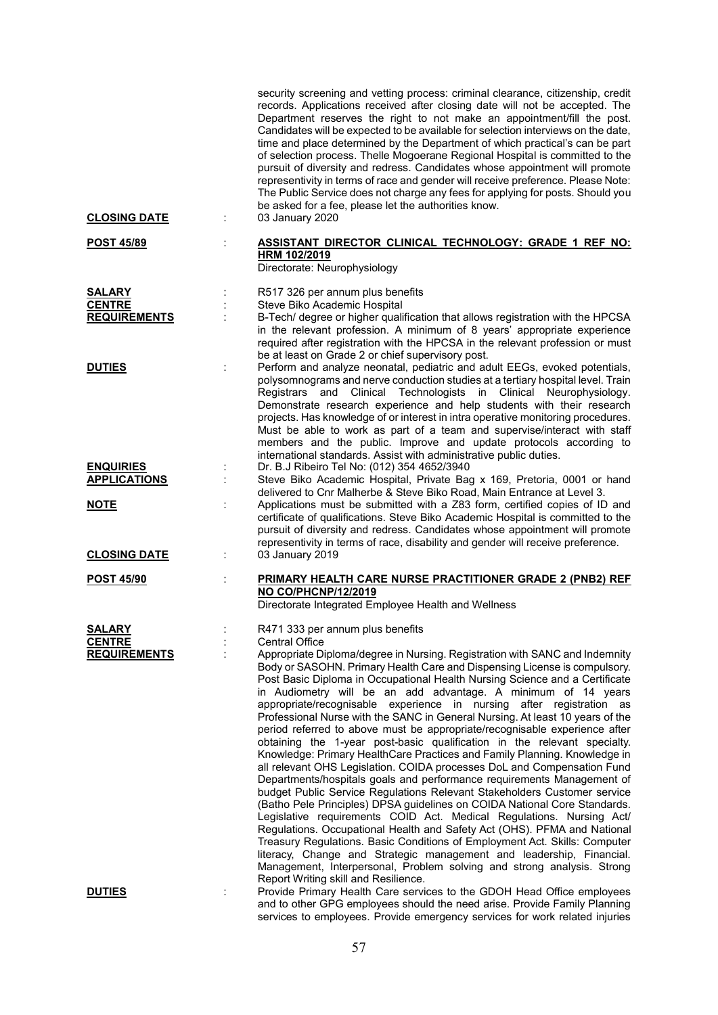|                                                       | security screening and vetting process: criminal clearance, citizenship, credit<br>records. Applications received after closing date will not be accepted. The<br>Department reserves the right to not make an appointment/fill the post.<br>Candidates will be expected to be available for selection interviews on the date,<br>time and place determined by the Department of which practical's can be part<br>of selection process. Thelle Mogoerane Regional Hospital is committed to the<br>pursuit of diversity and redress. Candidates whose appointment will promote<br>representivity in terms of race and gender will receive preference. Please Note:<br>The Public Service does not charge any fees for applying for posts. Should you<br>be asked for a fee, please let the authorities know.                                                                                                                                                                                                                                                                                                                                                                                                                                                                                                                                                                                                                                           |
|-------------------------------------------------------|-------------------------------------------------------------------------------------------------------------------------------------------------------------------------------------------------------------------------------------------------------------------------------------------------------------------------------------------------------------------------------------------------------------------------------------------------------------------------------------------------------------------------------------------------------------------------------------------------------------------------------------------------------------------------------------------------------------------------------------------------------------------------------------------------------------------------------------------------------------------------------------------------------------------------------------------------------------------------------------------------------------------------------------------------------------------------------------------------------------------------------------------------------------------------------------------------------------------------------------------------------------------------------------------------------------------------------------------------------------------------------------------------------------------------------------------------------|
| <b>CLOSING DATE</b>                                   | 03 January 2020                                                                                                                                                                                                                                                                                                                                                                                                                                                                                                                                                                                                                                                                                                                                                                                                                                                                                                                                                                                                                                                                                                                                                                                                                                                                                                                                                                                                                                       |
| <b>POST 45/89</b>                                     | ASSISTANT DIRECTOR CLINICAL TECHNOLOGY: GRADE 1 REF NO:<br>HRM 102/2019<br>Directorate: Neurophysiology                                                                                                                                                                                                                                                                                                                                                                                                                                                                                                                                                                                                                                                                                                                                                                                                                                                                                                                                                                                                                                                                                                                                                                                                                                                                                                                                               |
| <b>SALARY</b><br><b>CENTRE</b><br><b>REQUIREMENTS</b> | R517 326 per annum plus benefits<br>Steve Biko Academic Hospital<br>B-Tech/ degree or higher qualification that allows registration with the HPCSA<br>in the relevant profession. A minimum of 8 years' appropriate experience<br>required after registration with the HPCSA in the relevant profession or must<br>be at least on Grade 2 or chief supervisory post.                                                                                                                                                                                                                                                                                                                                                                                                                                                                                                                                                                                                                                                                                                                                                                                                                                                                                                                                                                                                                                                                                  |
| <b>DUTIES</b>                                         | Perform and analyze neonatal, pediatric and adult EEGs, evoked potentials,<br>polysomnograms and nerve conduction studies at a tertiary hospital level. Train<br>Registrars and Clinical Technologists in Clinical Neurophysiology.<br>Demonstrate research experience and help students with their research<br>projects. Has knowledge of or interest in intra operative monitoring procedures.<br>Must be able to work as part of a team and supervise/interact with staff<br>members and the public. Improve and update protocols according to<br>international standards. Assist with administrative public duties.                                                                                                                                                                                                                                                                                                                                                                                                                                                                                                                                                                                                                                                                                                                                                                                                                               |
| <b>ENQUIRIES</b><br><b>APPLICATIONS</b>               | Dr. B.J Ribeiro Tel No: (012) 354 4652/3940<br>Steve Biko Academic Hospital, Private Bag x 169, Pretoria, 0001 or hand                                                                                                                                                                                                                                                                                                                                                                                                                                                                                                                                                                                                                                                                                                                                                                                                                                                                                                                                                                                                                                                                                                                                                                                                                                                                                                                                |
| <b>NOTE</b>                                           | delivered to Cnr Malherbe & Steve Biko Road, Main Entrance at Level 3.<br>Applications must be submitted with a Z83 form, certified copies of ID and<br>certificate of qualifications. Steve Biko Academic Hospital is committed to the<br>pursuit of diversity and redress. Candidates whose appointment will promote<br>representivity in terms of race, disability and gender will receive preference.                                                                                                                                                                                                                                                                                                                                                                                                                                                                                                                                                                                                                                                                                                                                                                                                                                                                                                                                                                                                                                             |
| <b>CLOSING DATE</b>                                   | 03 January 2019                                                                                                                                                                                                                                                                                                                                                                                                                                                                                                                                                                                                                                                                                                                                                                                                                                                                                                                                                                                                                                                                                                                                                                                                                                                                                                                                                                                                                                       |
| <b>POST 45/90</b>                                     | PRIMARY HEALTH CARE NURSE PRACTITIONER GRADE 2 (PNB2) REF<br>NO CO/PHCNP/12/2019<br>Directorate Integrated Employee Health and Wellness                                                                                                                                                                                                                                                                                                                                                                                                                                                                                                                                                                                                                                                                                                                                                                                                                                                                                                                                                                                                                                                                                                                                                                                                                                                                                                               |
| <b>SALARY</b><br><b>CENTRE</b>                        | R471 333 per annum plus benefits<br><b>Central Office</b>                                                                                                                                                                                                                                                                                                                                                                                                                                                                                                                                                                                                                                                                                                                                                                                                                                                                                                                                                                                                                                                                                                                                                                                                                                                                                                                                                                                             |
| <b>REQUIREMENTS</b>                                   | Appropriate Diploma/degree in Nursing. Registration with SANC and Indemnity<br>Body or SASOHN. Primary Health Care and Dispensing License is compulsory.<br>Post Basic Diploma in Occupational Health Nursing Science and a Certificate<br>in Audiometry will be an add advantage. A minimum of 14 years<br>appropriate/recognisable experience in nursing<br>after registration as<br>Professional Nurse with the SANC in General Nursing. At least 10 years of the<br>period referred to above must be appropriate/recognisable experience after<br>obtaining the 1-year post-basic qualification in the relevant specialty.<br>Knowledge: Primary HealthCare Practices and Family Planning. Knowledge in<br>all relevant OHS Legislation. COIDA processes DoL and Compensation Fund<br>Departments/hospitals goals and performance requirements Management of<br>budget Public Service Regulations Relevant Stakeholders Customer service<br>(Batho Pele Principles) DPSA guidelines on COIDA National Core Standards.<br>Legislative requirements COID Act. Medical Regulations. Nursing Act/<br>Regulations. Occupational Health and Safety Act (OHS). PFMA and National<br>Treasury Regulations. Basic Conditions of Employment Act. Skills: Computer<br>literacy, Change and Strategic management and leadership, Financial.<br>Management, Interpersonal, Problem solving and strong analysis. Strong<br>Report Writing skill and Resilience. |
| <b>DUTIES</b>                                         | Provide Primary Health Care services to the GDOH Head Office employees<br>and to other GPG employees should the need arise. Provide Family Planning<br>services to employees. Provide emergency services for work related injuries                                                                                                                                                                                                                                                                                                                                                                                                                                                                                                                                                                                                                                                                                                                                                                                                                                                                                                                                                                                                                                                                                                                                                                                                                    |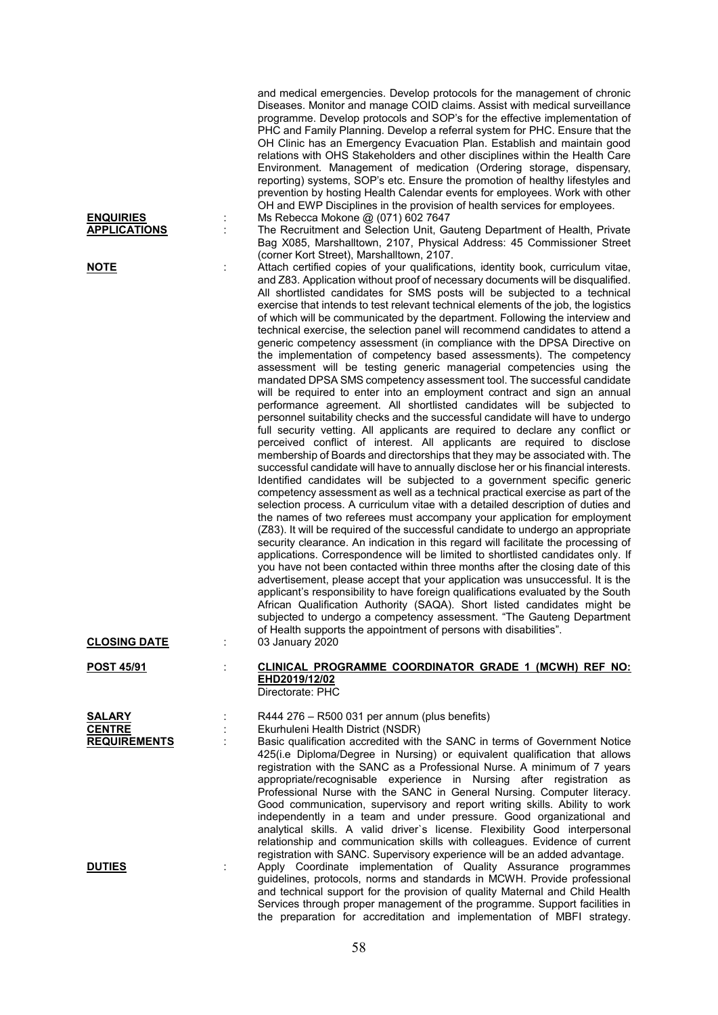|                                                | and medical emergencies. Develop protocols for the management of chronic<br>Diseases. Monitor and manage COID claims. Assist with medical surveillance<br>programme. Develop protocols and SOP's for the effective implementation of<br>PHC and Family Planning. Develop a referral system for PHC. Ensure that the<br>OH Clinic has an Emergency Evacuation Plan. Establish and maintain good<br>relations with OHS Stakeholders and other disciplines within the Health Care<br>Environment. Management of medication (Ordering storage, dispensary,<br>reporting) systems, SOP's etc. Ensure the promotion of healthy lifestyles and<br>prevention by hosting Health Calendar events for employees. Work with other<br>OH and EWP Disciplines in the provision of health services for employees.                                                                                                                                                                                                                                                                                                                                                                                                                                                                                                                                                                                                                                                                                                                                                                                                                                                                                                                                                                                                                                                                                                                                                                                                                                                                                                                                                                                                                                                                                                                                                                                                                                         |
|------------------------------------------------|---------------------------------------------------------------------------------------------------------------------------------------------------------------------------------------------------------------------------------------------------------------------------------------------------------------------------------------------------------------------------------------------------------------------------------------------------------------------------------------------------------------------------------------------------------------------------------------------------------------------------------------------------------------------------------------------------------------------------------------------------------------------------------------------------------------------------------------------------------------------------------------------------------------------------------------------------------------------------------------------------------------------------------------------------------------------------------------------------------------------------------------------------------------------------------------------------------------------------------------------------------------------------------------------------------------------------------------------------------------------------------------------------------------------------------------------------------------------------------------------------------------------------------------------------------------------------------------------------------------------------------------------------------------------------------------------------------------------------------------------------------------------------------------------------------------------------------------------------------------------------------------------------------------------------------------------------------------------------------------------------------------------------------------------------------------------------------------------------------------------------------------------------------------------------------------------------------------------------------------------------------------------------------------------------------------------------------------------------------------------------------------------------------------------------------------------|
| <b>ENQUIRIES</b><br><b>APPLICATIONS</b>        | Ms Rebecca Mokone @ (071) 602 7647<br>The Recruitment and Selection Unit, Gauteng Department of Health, Private<br>Bag X085, Marshalltown, 2107, Physical Address: 45 Commissioner Street                                                                                                                                                                                                                                                                                                                                                                                                                                                                                                                                                                                                                                                                                                                                                                                                                                                                                                                                                                                                                                                                                                                                                                                                                                                                                                                                                                                                                                                                                                                                                                                                                                                                                                                                                                                                                                                                                                                                                                                                                                                                                                                                                                                                                                                   |
| <u>NOTE</u>                                    | (corner Kort Street), Marshalltown, 2107.<br>Attach certified copies of your qualifications, identity book, curriculum vitae,<br>and Z83. Application without proof of necessary documents will be disqualified.<br>All shortlisted candidates for SMS posts will be subjected to a technical<br>exercise that intends to test relevant technical elements of the job, the logistics<br>of which will be communicated by the department. Following the interview and<br>technical exercise, the selection panel will recommend candidates to attend a<br>generic competency assessment (in compliance with the DPSA Directive on<br>the implementation of competency based assessments). The competency<br>assessment will be testing generic managerial competencies using the<br>mandated DPSA SMS competency assessment tool. The successful candidate<br>will be required to enter into an employment contract and sign an annual<br>performance agreement. All shortlisted candidates will be subjected to<br>personnel suitability checks and the successful candidate will have to undergo<br>full security vetting. All applicants are required to declare any conflict or<br>perceived conflict of interest. All applicants are required to disclose<br>membership of Boards and directorships that they may be associated with. The<br>successful candidate will have to annually disclose her or his financial interests.<br>Identified candidates will be subjected to a government specific generic<br>competency assessment as well as a technical practical exercise as part of the<br>selection process. A curriculum vitae with a detailed description of duties and<br>the names of two referees must accompany your application for employment<br>(Z83). It will be required of the successful candidate to undergo an appropriate<br>security clearance. An indication in this regard will facilitate the processing of<br>applications. Correspondence will be limited to shortlisted candidates only. If<br>you have not been contacted within three months after the closing date of this<br>advertisement, please accept that your application was unsuccessful. It is the<br>applicant's responsibility to have foreign qualifications evaluated by the South<br>African Qualification Authority (SAQA). Short listed candidates might be<br>subjected to undergo a competency assessment. "The Gauteng Department |
| <b>CLOSING DATE</b>                            | of Health supports the appointment of persons with disabilities".<br>03 January 2020                                                                                                                                                                                                                                                                                                                                                                                                                                                                                                                                                                                                                                                                                                                                                                                                                                                                                                                                                                                                                                                                                                                                                                                                                                                                                                                                                                                                                                                                                                                                                                                                                                                                                                                                                                                                                                                                                                                                                                                                                                                                                                                                                                                                                                                                                                                                                        |
| <b>POST 45/91</b>                              | CLINICAL PROGRAMME COORDINATOR GRADE 1 (MCWH) REF NO:<br>EHD2019/12/02<br>Directorate: PHC                                                                                                                                                                                                                                                                                                                                                                                                                                                                                                                                                                                                                                                                                                                                                                                                                                                                                                                                                                                                                                                                                                                                                                                                                                                                                                                                                                                                                                                                                                                                                                                                                                                                                                                                                                                                                                                                                                                                                                                                                                                                                                                                                                                                                                                                                                                                                  |
| SALARY<br><b>CENTRE</b><br><b>REQUIREMENTS</b> | R444 276 - R500 031 per annum (plus benefits)<br>Ekurhuleni Health District (NSDR)<br>Basic qualification accredited with the SANC in terms of Government Notice<br>425(i.e Diploma/Degree in Nursing) or equivalent qualification that allows<br>registration with the SANC as a Professional Nurse. A minimum of 7 years<br>appropriate/recognisable experience in Nursing after registration as<br>Professional Nurse with the SANC in General Nursing. Computer literacy.<br>Good communication, supervisory and report writing skills. Ability to work<br>independently in a team and under pressure. Good organizational and<br>analytical skills. A valid driver's license. Flexibility Good interpersonal<br>relationship and communication skills with colleagues. Evidence of current                                                                                                                                                                                                                                                                                                                                                                                                                                                                                                                                                                                                                                                                                                                                                                                                                                                                                                                                                                                                                                                                                                                                                                                                                                                                                                                                                                                                                                                                                                                                                                                                                                             |
| <b>DUTIES</b>                                  | registration with SANC. Supervisory experience will be an added advantage.<br>Apply Coordinate implementation of Quality Assurance programmes<br>guidelines, protocols, norms and standards in MCWH. Provide professional<br>and technical support for the provision of quality Maternal and Child Health<br>Services through proper management of the programme. Support facilities in                                                                                                                                                                                                                                                                                                                                                                                                                                                                                                                                                                                                                                                                                                                                                                                                                                                                                                                                                                                                                                                                                                                                                                                                                                                                                                                                                                                                                                                                                                                                                                                                                                                                                                                                                                                                                                                                                                                                                                                                                                                     |

the preparation for accreditation and implementation of MBFI strategy.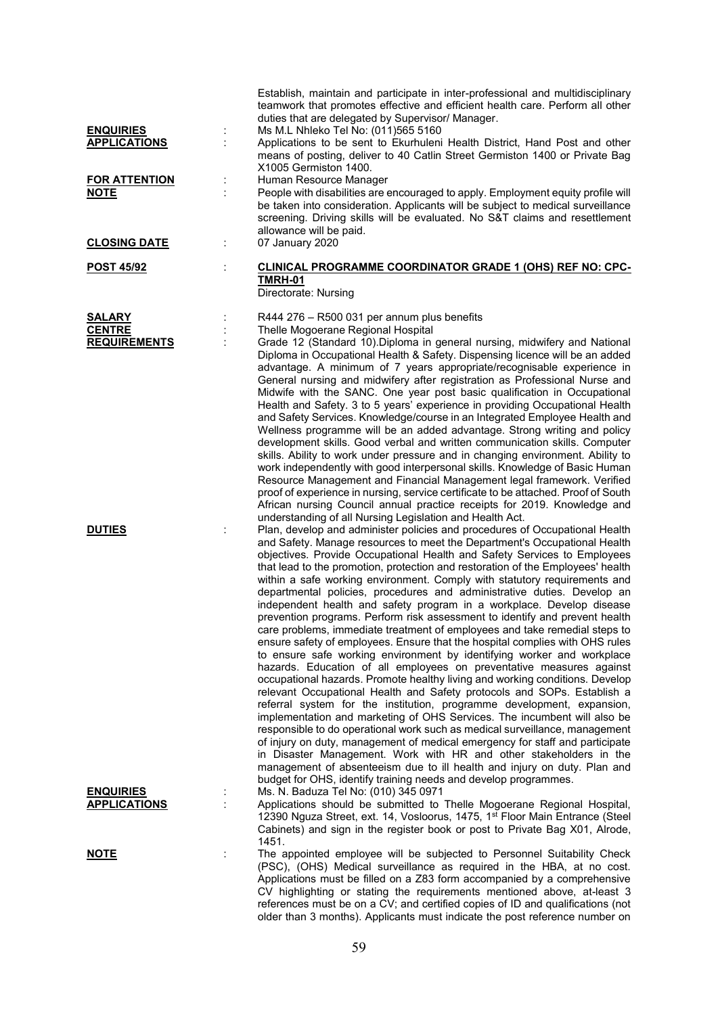| <b>ENQUIRIES</b>                               | İ,                   | Establish, maintain and participate in inter-professional and multidisciplinary<br>teamwork that promotes effective and efficient health care. Perform all other<br>duties that are delegated by Supervisor/ Manager.<br>Ms M.L Nhleko Tel No: (011)565 5160                                                                                                                                                                                                                                                                                                                                                                                                                                                                                                                                                                                                                                                                                                                                                                                                                                                                                                                                                                                                                                                                                                                                                                                                                                                                                                                                                                                                 |
|------------------------------------------------|----------------------|--------------------------------------------------------------------------------------------------------------------------------------------------------------------------------------------------------------------------------------------------------------------------------------------------------------------------------------------------------------------------------------------------------------------------------------------------------------------------------------------------------------------------------------------------------------------------------------------------------------------------------------------------------------------------------------------------------------------------------------------------------------------------------------------------------------------------------------------------------------------------------------------------------------------------------------------------------------------------------------------------------------------------------------------------------------------------------------------------------------------------------------------------------------------------------------------------------------------------------------------------------------------------------------------------------------------------------------------------------------------------------------------------------------------------------------------------------------------------------------------------------------------------------------------------------------------------------------------------------------------------------------------------------------|
| <b>APPLICATIONS</b>                            |                      | Applications to be sent to Ekurhuleni Health District, Hand Post and other<br>means of posting, deliver to 40 Catlin Street Germiston 1400 or Private Bag<br>X1005 Germiston 1400.                                                                                                                                                                                                                                                                                                                                                                                                                                                                                                                                                                                                                                                                                                                                                                                                                                                                                                                                                                                                                                                                                                                                                                                                                                                                                                                                                                                                                                                                           |
| <b>FOR ATTENTION</b><br><b>NOTE</b>            | ĵ,                   | Human Resource Manager<br>People with disabilities are encouraged to apply. Employment equity profile will<br>be taken into consideration. Applicants will be subject to medical surveillance<br>screening. Driving skills will be evaluated. No S&T claims and resettlement<br>allowance will be paid.                                                                                                                                                                                                                                                                                                                                                                                                                                                                                                                                                                                                                                                                                                                                                                                                                                                                                                                                                                                                                                                                                                                                                                                                                                                                                                                                                      |
| <b>CLOSING DATE</b>                            | ÷                    | 07 January 2020                                                                                                                                                                                                                                                                                                                                                                                                                                                                                                                                                                                                                                                                                                                                                                                                                                                                                                                                                                                                                                                                                                                                                                                                                                                                                                                                                                                                                                                                                                                                                                                                                                              |
| <b>POST 45/92</b>                              | $\ddot{\phantom{a}}$ | <b>CLINICAL PROGRAMME COORDINATOR GRADE 1 (OHS) REF NO: CPC-</b><br><b>TMRH-01</b><br>Directorate: Nursing                                                                                                                                                                                                                                                                                                                                                                                                                                                                                                                                                                                                                                                                                                                                                                                                                                                                                                                                                                                                                                                                                                                                                                                                                                                                                                                                                                                                                                                                                                                                                   |
| SALARY<br><b>CENTRE</b><br><b>REQUIREMENTS</b> |                      | R444 276 - R500 031 per annum plus benefits<br>Thelle Mogoerane Regional Hospital<br>Grade 12 (Standard 10). Diploma in general nursing, midwifery and National<br>Diploma in Occupational Health & Safety. Dispensing licence will be an added<br>advantage. A minimum of 7 years appropriate/recognisable experience in<br>General nursing and midwifery after registration as Professional Nurse and<br>Midwife with the SANC. One year post basic qualification in Occupational<br>Health and Safety. 3 to 5 years' experience in providing Occupational Health<br>and Safety Services. Knowledge/course in an Integrated Employee Health and<br>Wellness programme will be an added advantage. Strong writing and policy<br>development skills. Good verbal and written communication skills. Computer<br>skills. Ability to work under pressure and in changing environment. Ability to<br>work independently with good interpersonal skills. Knowledge of Basic Human<br>Resource Management and Financial Management legal framework. Verified<br>proof of experience in nursing, service certificate to be attached. Proof of South<br>African nursing Council annual practice receipts for 2019. Knowledge and<br>understanding of all Nursing Legislation and Health Act.                                                                                                                                                                                                                                                                                                                                                                         |
| <b>DUTIES</b>                                  |                      | Plan, develop and administer policies and procedures of Occupational Health<br>and Safety. Manage resources to meet the Department's Occupational Health<br>objectives. Provide Occupational Health and Safety Services to Employees<br>that lead to the promotion, protection and restoration of the Employees' health<br>within a safe working environment. Comply with statutory requirements and<br>departmental policies, procedures and administrative duties. Develop an<br>independent health and safety program in a workplace. Develop disease<br>prevention programs. Perform risk assessment to identify and prevent health<br>care problems, immediate treatment of employees and take remedial steps to<br>ensure safety of employees. Ensure that the hospital complies with OHS rules<br>to ensure safe working environment by identifying worker and workplace<br>hazards. Education of all employees on preventative measures against<br>occupational hazards. Promote healthy living and working conditions. Develop<br>relevant Occupational Health and Safety protocols and SOPs. Establish a<br>referral system for the institution, programme development, expansion,<br>implementation and marketing of OHS Services. The incumbent will also be<br>responsible to do operational work such as medical surveillance, management<br>of injury on duty, management of medical emergency for staff and participate<br>in Disaster Management. Work with HR and other stakeholders in the<br>management of absenteeism due to ill health and injury on duty. Plan and<br>budget for OHS, identify training needs and develop programmes. |
| <b>ENQUIRIES</b><br><b>APPLICATIONS</b>        | İ,                   | Ms. N. Baduza Tel No: (010) 345 0971<br>Applications should be submitted to Thelle Mogoerane Regional Hospital,<br>12390 Nguza Street, ext. 14, Vosloorus, 1475, 1 <sup>st</sup> Floor Main Entrance (Steel<br>Cabinets) and sign in the register book or post to Private Bag X01, Alrode,<br>1451.                                                                                                                                                                                                                                                                                                                                                                                                                                                                                                                                                                                                                                                                                                                                                                                                                                                                                                                                                                                                                                                                                                                                                                                                                                                                                                                                                          |
| <u>NOTE</u>                                    |                      | The appointed employee will be subjected to Personnel Suitability Check<br>(PSC), (OHS) Medical surveillance as required in the HBA, at no cost.<br>Applications must be filled on a Z83 form accompanied by a comprehensive<br>CV highlighting or stating the requirements mentioned above, at-least 3<br>references must be on a CV; and certified copies of ID and qualifications (not<br>older than 3 months). Applicants must indicate the post reference number on                                                                                                                                                                                                                                                                                                                                                                                                                                                                                                                                                                                                                                                                                                                                                                                                                                                                                                                                                                                                                                                                                                                                                                                     |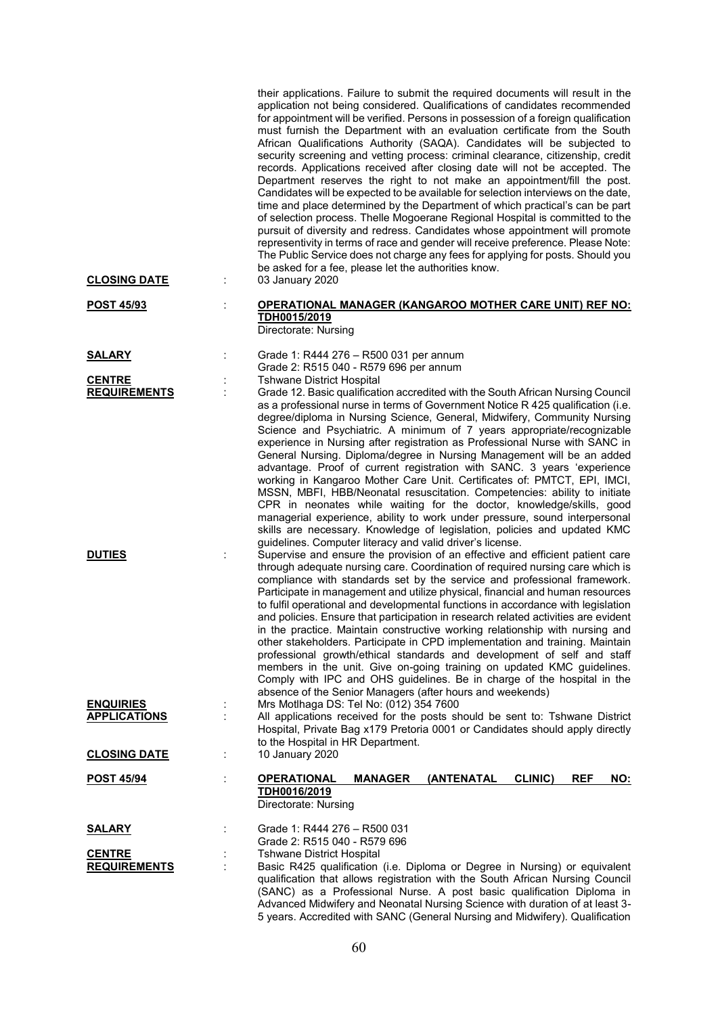|                     | their applications. Failure to submit the required documents will result in the<br>application not being considered. Qualifications of candidates recommended<br>for appointment will be verified. Persons in possession of a foreign qualification<br>must furnish the Department with an evaluation certificate from the South<br>African Qualifications Authority (SAQA). Candidates will be subjected to<br>security screening and vetting process: criminal clearance, citizenship, credit<br>records. Applications received after closing date will not be accepted. The<br>Department reserves the right to not make an appointment/fill the post.<br>Candidates will be expected to be available for selection interviews on the date,<br>time and place determined by the Department of which practical's can be part<br>of selection process. Thelle Mogoerane Regional Hospital is committed to the<br>pursuit of diversity and redress. Candidates whose appointment will promote<br>representivity in terms of race and gender will receive preference. Please Note:<br>The Public Service does not charge any fees for applying for posts. Should you<br>be asked for a fee, please let the authorities know. |                   |
|---------------------|-----------------------------------------------------------------------------------------------------------------------------------------------------------------------------------------------------------------------------------------------------------------------------------------------------------------------------------------------------------------------------------------------------------------------------------------------------------------------------------------------------------------------------------------------------------------------------------------------------------------------------------------------------------------------------------------------------------------------------------------------------------------------------------------------------------------------------------------------------------------------------------------------------------------------------------------------------------------------------------------------------------------------------------------------------------------------------------------------------------------------------------------------------------------------------------------------------------------------------|-------------------|
| <b>CLOSING DATE</b> | 03 January 2020                                                                                                                                                                                                                                                                                                                                                                                                                                                                                                                                                                                                                                                                                                                                                                                                                                                                                                                                                                                                                                                                                                                                                                                                             |                   |
| <b>POST 45/93</b>   | <b>OPERATIONAL MANAGER (KANGAROO MOTHER CARE UNIT) REF NO:</b><br>TDH0015/2019<br>Directorate: Nursing                                                                                                                                                                                                                                                                                                                                                                                                                                                                                                                                                                                                                                                                                                                                                                                                                                                                                                                                                                                                                                                                                                                      |                   |
| <b>SALARY</b>       | Grade 1: R444 276 - R500 031 per annum<br>Grade 2: R515 040 - R579 696 per annum                                                                                                                                                                                                                                                                                                                                                                                                                                                                                                                                                                                                                                                                                                                                                                                                                                                                                                                                                                                                                                                                                                                                            |                   |
| <b>CENTRE</b>       | <b>Tshwane District Hospital</b>                                                                                                                                                                                                                                                                                                                                                                                                                                                                                                                                                                                                                                                                                                                                                                                                                                                                                                                                                                                                                                                                                                                                                                                            |                   |
| <b>REQUIREMENTS</b> | Grade 12. Basic qualification accredited with the South African Nursing Council<br>as a professional nurse in terms of Government Notice R 425 qualification (i.e.<br>degree/diploma in Nursing Science, General, Midwifery, Community Nursing<br>Science and Psychiatric. A minimum of 7 years appropriate/recognizable<br>experience in Nursing after registration as Professional Nurse with SANC in<br>General Nursing. Diploma/degree in Nursing Management will be an added<br>advantage. Proof of current registration with SANC. 3 years 'experience<br>working in Kangaroo Mother Care Unit. Certificates of: PMTCT, EPI, IMCI,<br>MSSN, MBFI, HBB/Neonatal resuscitation. Competencies: ability to initiate<br>CPR in neonates while waiting for the doctor, knowledge/skills, good<br>managerial experience, ability to work under pressure, sound interpersonal<br>skills are necessary. Knowledge of legislation, policies and updated KMC                                                                                                                                                                                                                                                                     |                   |
| <b>DUTIES</b>       | guidelines. Computer literacy and valid driver's license.<br>Supervise and ensure the provision of an effective and efficient patient care<br>through adequate nursing care. Coordination of required nursing care which is<br>compliance with standards set by the service and professional framework.<br>Participate in management and utilize physical, financial and human resources<br>to fulfil operational and developmental functions in accordance with legislation<br>and policies. Ensure that participation in research related activities are evident<br>in the practice. Maintain constructive working relationship with nursing and<br>other stakeholders. Participate in CPD implementation and training. Maintain<br>professional growth/ethical standards and development of self and staff<br>members in the unit. Give on-going training on updated KMC guidelines.<br>Comply with IPC and OHS guidelines. Be in charge of the hospital in the<br>absence of the Senior Managers (after hours and weekends)                                                                                                                                                                                             |                   |
| <b>ENQUIRIES</b>    | Mrs Motlhaga DS: Tel No: (012) 354 7600                                                                                                                                                                                                                                                                                                                                                                                                                                                                                                                                                                                                                                                                                                                                                                                                                                                                                                                                                                                                                                                                                                                                                                                     |                   |
| <b>APPLICATIONS</b> | All applications received for the posts should be sent to: Tshwane District<br>Hospital, Private Bag x179 Pretoria 0001 or Candidates should apply directly<br>to the Hospital in HR Department.                                                                                                                                                                                                                                                                                                                                                                                                                                                                                                                                                                                                                                                                                                                                                                                                                                                                                                                                                                                                                            |                   |
| <b>CLOSING DATE</b> | 10 January 2020                                                                                                                                                                                                                                                                                                                                                                                                                                                                                                                                                                                                                                                                                                                                                                                                                                                                                                                                                                                                                                                                                                                                                                                                             |                   |
| <b>POST 45/94</b>   | <b>OPERATIONAL</b><br><b>MANAGER</b><br>(ANTENATAL<br><b>CLINIC)</b><br>TDH0016/2019<br>Directorate: Nursing                                                                                                                                                                                                                                                                                                                                                                                                                                                                                                                                                                                                                                                                                                                                                                                                                                                                                                                                                                                                                                                                                                                | <b>REF</b><br>NO: |
| <b>SALARY</b>       | Grade 1: R444 276 - R500 031<br>Grade 2: R515 040 - R579 696                                                                                                                                                                                                                                                                                                                                                                                                                                                                                                                                                                                                                                                                                                                                                                                                                                                                                                                                                                                                                                                                                                                                                                |                   |
| <b>CENTRE</b>       | <b>Tshwane District Hospital</b>                                                                                                                                                                                                                                                                                                                                                                                                                                                                                                                                                                                                                                                                                                                                                                                                                                                                                                                                                                                                                                                                                                                                                                                            |                   |
| <b>REQUIREMENTS</b> | Basic R425 qualification (i.e. Diploma or Degree in Nursing) or equivalent<br>qualification that allows registration with the South African Nursing Council<br>(SANC) as a Professional Nurse. A post basic qualification Diploma in<br>Advanced Midwifery and Neonatal Nursing Science with duration of at least 3-<br>5 years. Accredited with SANC (General Nursing and Midwifery). Qualification                                                                                                                                                                                                                                                                                                                                                                                                                                                                                                                                                                                                                                                                                                                                                                                                                        |                   |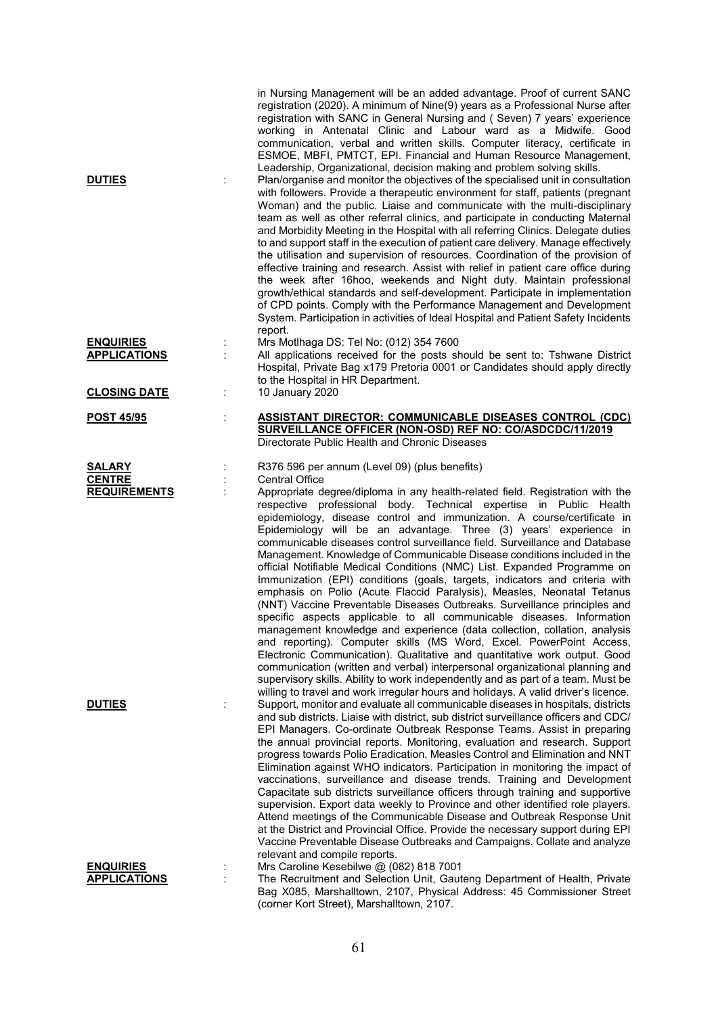| <b>DUTIES</b>       |                | in Nursing Management will be an added advantage. Proof of current SANC<br>registration (2020). A minimum of Nine(9) years as a Professional Nurse after<br>registration with SANC in General Nursing and (Seven) 7 years' experience<br>working in Antenatal Clinic and Labour ward as a Midwife. Good<br>communication, verbal and written skills. Computer literacy, certificate in<br>ESMOE, MBFI, PMTCT, EPI. Financial and Human Resource Management,<br>Leadership, Organizational, decision making and problem solving skills.<br>Plan/organise and monitor the objectives of the specialised unit in consultation<br>with followers. Provide a therapeutic environment for staff, patients (pregnant<br>Woman) and the public. Liaise and communicate with the multi-disciplinary<br>team as well as other referral clinics, and participate in conducting Maternal<br>and Morbidity Meeting in the Hospital with all referring Clinics. Delegate duties<br>to and support staff in the execution of patient care delivery. Manage effectively<br>the utilisation and supervision of resources. Coordination of the provision of<br>effective training and research. Assist with relief in patient care office during<br>the week after 16hoo, weekends and Night duty. Maintain professional<br>growth/ethical standards and self-development. Participate in implementation<br>of CPD points. Comply with the Performance Management and Development<br>System. Participation in activities of Ideal Hospital and Patient Safety Incidents<br>report. |
|---------------------|----------------|------------------------------------------------------------------------------------------------------------------------------------------------------------------------------------------------------------------------------------------------------------------------------------------------------------------------------------------------------------------------------------------------------------------------------------------------------------------------------------------------------------------------------------------------------------------------------------------------------------------------------------------------------------------------------------------------------------------------------------------------------------------------------------------------------------------------------------------------------------------------------------------------------------------------------------------------------------------------------------------------------------------------------------------------------------------------------------------------------------------------------------------------------------------------------------------------------------------------------------------------------------------------------------------------------------------------------------------------------------------------------------------------------------------------------------------------------------------------------------------------------------------------------------------------------------------|
| <b>ENQUIRIES</b>    |                | Mrs Motlhaga DS: Tel No: (012) 354 7600                                                                                                                                                                                                                                                                                                                                                                                                                                                                                                                                                                                                                                                                                                                                                                                                                                                                                                                                                                                                                                                                                                                                                                                                                                                                                                                                                                                                                                                                                                                          |
| <b>APPLICATIONS</b> | ÷              | All applications received for the posts should be sent to: Tshwane District                                                                                                                                                                                                                                                                                                                                                                                                                                                                                                                                                                                                                                                                                                                                                                                                                                                                                                                                                                                                                                                                                                                                                                                                                                                                                                                                                                                                                                                                                      |
|                     |                | Hospital, Private Bag x179 Pretoria 0001 or Candidates should apply directly                                                                                                                                                                                                                                                                                                                                                                                                                                                                                                                                                                                                                                                                                                                                                                                                                                                                                                                                                                                                                                                                                                                                                                                                                                                                                                                                                                                                                                                                                     |
|                     |                | to the Hospital in HR Department.                                                                                                                                                                                                                                                                                                                                                                                                                                                                                                                                                                                                                                                                                                                                                                                                                                                                                                                                                                                                                                                                                                                                                                                                                                                                                                                                                                                                                                                                                                                                |
| <b>CLOSING DATE</b> | ÷              | 10 January 2020                                                                                                                                                                                                                                                                                                                                                                                                                                                                                                                                                                                                                                                                                                                                                                                                                                                                                                                                                                                                                                                                                                                                                                                                                                                                                                                                                                                                                                                                                                                                                  |
| <u>POST 45/95</u>   | $\ddot{\cdot}$ | <b>ASSISTANT DIRECTOR: COMMUNICABLE DISEASES CONTROL (CDC)</b>                                                                                                                                                                                                                                                                                                                                                                                                                                                                                                                                                                                                                                                                                                                                                                                                                                                                                                                                                                                                                                                                                                                                                                                                                                                                                                                                                                                                                                                                                                   |
|                     |                | SURVEILLANCE OFFICER (NON-OSD) REF NO: CO/ASDCDC/11/2019                                                                                                                                                                                                                                                                                                                                                                                                                                                                                                                                                                                                                                                                                                                                                                                                                                                                                                                                                                                                                                                                                                                                                                                                                                                                                                                                                                                                                                                                                                         |
|                     |                | Directorate Public Health and Chronic Diseases                                                                                                                                                                                                                                                                                                                                                                                                                                                                                                                                                                                                                                                                                                                                                                                                                                                                                                                                                                                                                                                                                                                                                                                                                                                                                                                                                                                                                                                                                                                   |
| <b>SALARY</b>       |                | R376 596 per annum (Level 09) (plus benefits)                                                                                                                                                                                                                                                                                                                                                                                                                                                                                                                                                                                                                                                                                                                                                                                                                                                                                                                                                                                                                                                                                                                                                                                                                                                                                                                                                                                                                                                                                                                    |
| <b>CENTRE</b>       |                | <b>Central Office</b>                                                                                                                                                                                                                                                                                                                                                                                                                                                                                                                                                                                                                                                                                                                                                                                                                                                                                                                                                                                                                                                                                                                                                                                                                                                                                                                                                                                                                                                                                                                                            |
| <b>REQUIREMENTS</b> |                | Appropriate degree/diploma in any health-related field. Registration with the                                                                                                                                                                                                                                                                                                                                                                                                                                                                                                                                                                                                                                                                                                                                                                                                                                                                                                                                                                                                                                                                                                                                                                                                                                                                                                                                                                                                                                                                                    |
| <b>DUTIES</b>       |                | respective professional body. Technical expertise in Public Health<br>epidemiology, disease control and immunization. A course/certificate in<br>Epidemiology will be an advantage. Three (3) years' experience in<br>communicable diseases control surveillance field. Surveillance and Database<br>Management. Knowledge of Communicable Disease conditions included in the<br>official Notifiable Medical Conditions (NMC) List. Expanded Programme on<br>Immunization (EPI) conditions (goals, targets, indicators and criteria with<br>emphasis on Polio (Acute Flaccid Paralysis), Measles, Neonatal Tetanus<br>(NNT) Vaccine Preventable Diseases Outbreaks. Surveillance principles and<br>specific aspects applicable to all communicable diseases. Information<br>management knowledge and experience (data collection, collation, analysis<br>and reporting). Computer skills (MS Word, Excel. PowerPoint Access,<br>Electronic Communication). Qualitative and quantitative work output. Good<br>communication (written and verbal) interpersonal organizational planning and<br>supervisory skills. Ability to work independently and as part of a team. Must be<br>willing to travel and work irregular hours and holidays. A valid driver's licence.<br>Support, monitor and evaluate all communicable diseases in hospitals, districts                                                                                                                                                                                                           |
|                     |                | and sub districts. Liaise with district, sub district surveillance officers and CDC/<br>EPI Managers. Co-ordinate Outbreak Response Teams. Assist in preparing<br>the annual provincial reports. Monitoring, evaluation and research. Support<br>progress towards Polio Eradication, Measles Control and Elimination and NNT<br>Elimination against WHO indicators. Participation in monitoring the impact of<br>vaccinations, surveillance and disease trends. Training and Development<br>Capacitate sub districts surveillance officers through training and supportive<br>supervision. Export data weekly to Province and other identified role players.<br>Attend meetings of the Communicable Disease and Outbreak Response Unit<br>at the District and Provincial Office. Provide the necessary support during EPI<br>Vaccine Preventable Disease Outbreaks and Campaigns. Collate and analyze<br>relevant and compile reports.                                                                                                                                                                                                                                                                                                                                                                                                                                                                                                                                                                                                                           |
| <b>ENQUIRIES</b>    |                | Mrs Caroline Kesebilwe @ (082) 818 7001                                                                                                                                                                                                                                                                                                                                                                                                                                                                                                                                                                                                                                                                                                                                                                                                                                                                                                                                                                                                                                                                                                                                                                                                                                                                                                                                                                                                                                                                                                                          |
| <b>APPLICATIONS</b> |                | The Recruitment and Selection Unit, Gauteng Department of Health, Private                                                                                                                                                                                                                                                                                                                                                                                                                                                                                                                                                                                                                                                                                                                                                                                                                                                                                                                                                                                                                                                                                                                                                                                                                                                                                                                                                                                                                                                                                        |
|                     |                | Bag X085, Marshalltown, 2107, Physical Address: 45 Commissioner Street<br>(corner Kort Street), Marshalltown, 2107.                                                                                                                                                                                                                                                                                                                                                                                                                                                                                                                                                                                                                                                                                                                                                                                                                                                                                                                                                                                                                                                                                                                                                                                                                                                                                                                                                                                                                                              |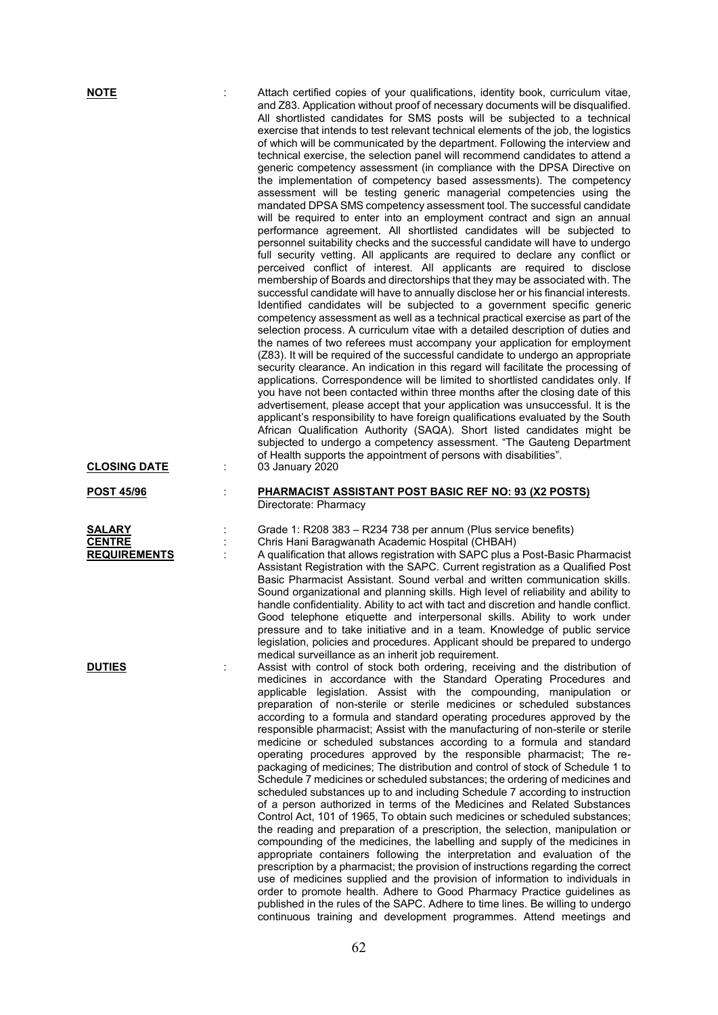| <b>NOTE</b><br><b>CLOSING DATE</b>                    | ÷ | Attach certified copies of your qualifications, identity book, curriculum vitae,<br>and Z83. Application without proof of necessary documents will be disqualified.<br>All shortlisted candidates for SMS posts will be subjected to a technical<br>exercise that intends to test relevant technical elements of the job, the logistics<br>of which will be communicated by the department. Following the interview and<br>technical exercise, the selection panel will recommend candidates to attend a<br>generic competency assessment (in compliance with the DPSA Directive on<br>the implementation of competency based assessments). The competency<br>assessment will be testing generic managerial competencies using the<br>mandated DPSA SMS competency assessment tool. The successful candidate<br>will be required to enter into an employment contract and sign an annual<br>performance agreement. All shortlisted candidates will be subjected to<br>personnel suitability checks and the successful candidate will have to undergo<br>full security vetting. All applicants are required to declare any conflict or<br>perceived conflict of interest. All applicants are required to disclose<br>membership of Boards and directorships that they may be associated with. The<br>successful candidate will have to annually disclose her or his financial interests.<br>Identified candidates will be subjected to a government specific generic<br>competency assessment as well as a technical practical exercise as part of the<br>selection process. A curriculum vitae with a detailed description of duties and<br>the names of two referees must accompany your application for employment<br>(Z83). It will be required of the successful candidate to undergo an appropriate<br>security clearance. An indication in this regard will facilitate the processing of<br>applications. Correspondence will be limited to shortlisted candidates only. If<br>you have not been contacted within three months after the closing date of this<br>advertisement, please accept that your application was unsuccessful. It is the<br>applicant's responsibility to have foreign qualifications evaluated by the South<br>African Qualification Authority (SAQA). Short listed candidates might be<br>subjected to undergo a competency assessment. "The Gauteng Department<br>of Health supports the appointment of persons with disabilities".<br>03 January 2020 |
|-------------------------------------------------------|---|----------------------------------------------------------------------------------------------------------------------------------------------------------------------------------------------------------------------------------------------------------------------------------------------------------------------------------------------------------------------------------------------------------------------------------------------------------------------------------------------------------------------------------------------------------------------------------------------------------------------------------------------------------------------------------------------------------------------------------------------------------------------------------------------------------------------------------------------------------------------------------------------------------------------------------------------------------------------------------------------------------------------------------------------------------------------------------------------------------------------------------------------------------------------------------------------------------------------------------------------------------------------------------------------------------------------------------------------------------------------------------------------------------------------------------------------------------------------------------------------------------------------------------------------------------------------------------------------------------------------------------------------------------------------------------------------------------------------------------------------------------------------------------------------------------------------------------------------------------------------------------------------------------------------------------------------------------------------------------------------------------------------------------------------------------------------------------------------------------------------------------------------------------------------------------------------------------------------------------------------------------------------------------------------------------------------------------------------------------------------------------------------------------------------------------------------------------------------------------------|
| <b>POST 45/96</b>                                     | t | <b>PHARMACIST ASSISTANT POST BASIC REF NO: 93 (X2 POSTS)</b><br>Directorate: Pharmacy                                                                                                                                                                                                                                                                                                                                                                                                                                                                                                                                                                                                                                                                                                                                                                                                                                                                                                                                                                                                                                                                                                                                                                                                                                                                                                                                                                                                                                                                                                                                                                                                                                                                                                                                                                                                                                                                                                                                                                                                                                                                                                                                                                                                                                                                                                                                                                                                  |
| <b>SALARY</b><br><b>CENTRE</b><br><b>REQUIREMENTS</b> |   | Grade 1: R208 383 - R234 738 per annum (Plus service benefits)<br>Chris Hani Baragwanath Academic Hospital (CHBAH)<br>A qualification that allows registration with SAPC plus a Post-Basic Pharmacist<br>Assistant Registration with the SAPC. Current registration as a Qualified Post<br>Basic Pharmacist Assistant. Sound verbal and written communication skills.<br>Sound organizational and planning skills. High level of reliability and ability to<br>handle confidentiality. Ability to act with tact and discretion and handle conflict.<br>Good telephone etiquette and interpersonal skills. Ability to work under<br>pressure and to take initiative and in a team. Knowledge of public service<br>legislation, policies and procedures. Applicant should be prepared to undergo<br>medical surveillance as an inherit job requirement.                                                                                                                                                                                                                                                                                                                                                                                                                                                                                                                                                                                                                                                                                                                                                                                                                                                                                                                                                                                                                                                                                                                                                                                                                                                                                                                                                                                                                                                                                                                                                                                                                                  |
| <b>DUTIES</b>                                         |   | Assist with control of stock both ordering, receiving and the distribution of<br>medicines in accordance with the Standard Operating Procedures and<br>applicable legislation. Assist with the compounding, manipulation or<br>preparation of non-sterile or sterile medicines or scheduled substances<br>according to a formula and standard operating procedures approved by the<br>responsible pharmacist; Assist with the manufacturing of non-sterile or sterile<br>medicine or scheduled substances according to a formula and standard<br>operating procedures approved by the responsible pharmacist; The re-<br>packaging of medicines; The distribution and control of stock of Schedule 1 to<br>Schedule 7 medicines or scheduled substances; the ordering of medicines and<br>scheduled substances up to and including Schedule 7 according to instruction<br>of a person authorized in terms of the Medicines and Related Substances<br>Control Act, 101 of 1965, To obtain such medicines or scheduled substances;<br>the reading and preparation of a prescription, the selection, manipulation or<br>compounding of the medicines, the labelling and supply of the medicines in<br>appropriate containers following the interpretation and evaluation of the<br>prescription by a pharmacist; the provision of instructions regarding the correct                                                                                                                                                                                                                                                                                                                                                                                                                                                                                                                                                                                                                                                                                                                                                                                                                                                                                                                                                                                                                                                                                                                      |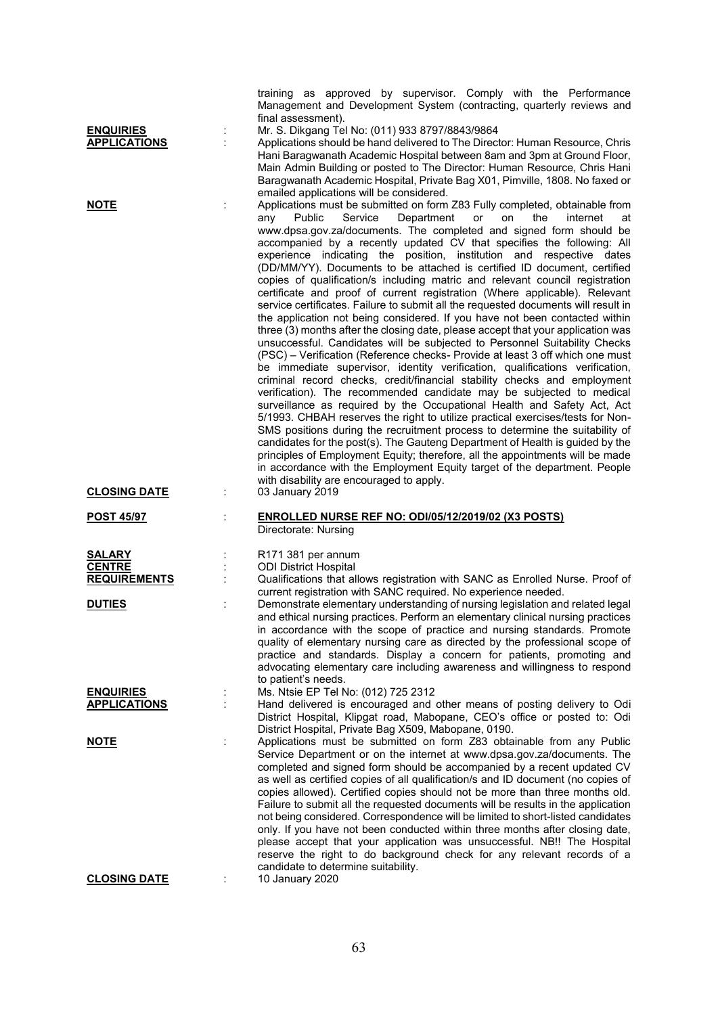|                                         |   | training as approved by supervisor. Comply with the Performance<br>Management and Development System (contracting, quarterly reviews and<br>final assessment).                                                                                                                                                                                                                                                                                                                                                                                                                                                                                                                                                                                                                                                                                                                                                                                                                                                                                                                                                                                                                                                                                                                                                                                                                                                                                                                                                                                                                                                                                                                                                                                                                                                                   |
|-----------------------------------------|---|----------------------------------------------------------------------------------------------------------------------------------------------------------------------------------------------------------------------------------------------------------------------------------------------------------------------------------------------------------------------------------------------------------------------------------------------------------------------------------------------------------------------------------------------------------------------------------------------------------------------------------------------------------------------------------------------------------------------------------------------------------------------------------------------------------------------------------------------------------------------------------------------------------------------------------------------------------------------------------------------------------------------------------------------------------------------------------------------------------------------------------------------------------------------------------------------------------------------------------------------------------------------------------------------------------------------------------------------------------------------------------------------------------------------------------------------------------------------------------------------------------------------------------------------------------------------------------------------------------------------------------------------------------------------------------------------------------------------------------------------------------------------------------------------------------------------------------|
| <b>ENQUIRIES</b><br><b>APPLICATIONS</b> | İ | Mr. S. Dikgang Tel No: (011) 933 8797/8843/9864<br>Applications should be hand delivered to The Director: Human Resource, Chris<br>Hani Baragwanath Academic Hospital between 8am and 3pm at Ground Floor,<br>Main Admin Building or posted to The Director: Human Resource, Chris Hani<br>Baragwanath Academic Hospital, Private Bag X01, Pimville, 1808. No faxed or<br>emailed applications will be considered.                                                                                                                                                                                                                                                                                                                                                                                                                                                                                                                                                                                                                                                                                                                                                                                                                                                                                                                                                                                                                                                                                                                                                                                                                                                                                                                                                                                                               |
| <u>NOTE</u>                             |   | Applications must be submitted on form Z83 Fully completed, obtainable from<br>Public<br>Service<br>Department<br>the<br>internet<br>any<br>or<br>on<br>at<br>www.dpsa.gov.za/documents. The completed and signed form should be<br>accompanied by a recently updated CV that specifies the following: All<br>experience indicating the position, institution and respective dates<br>(DD/MM/YY). Documents to be attached is certified ID document, certified<br>copies of qualification/s including matric and relevant council registration<br>certificate and proof of current registration (Where applicable). Relevant<br>service certificates. Failure to submit all the requested documents will result in<br>the application not being considered. If you have not been contacted within<br>three (3) months after the closing date, please accept that your application was<br>unsuccessful. Candidates will be subjected to Personnel Suitability Checks<br>(PSC) - Verification (Reference checks- Provide at least 3 off which one must<br>be immediate supervisor, identity verification, qualifications verification,<br>criminal record checks, credit/financial stability checks and employment<br>verification). The recommended candidate may be subjected to medical<br>surveillance as required by the Occupational Health and Safety Act, Act<br>5/1993. CHBAH reserves the right to utilize practical exercises/tests for Non-<br>SMS positions during the recruitment process to determine the suitability of<br>candidates for the post(s). The Gauteng Department of Health is guided by the<br>principles of Employment Equity; therefore, all the appointments will be made<br>in accordance with the Employment Equity target of the department. People<br>with disability are encouraged to apply. |
| <b>CLOSING DATE</b>                     |   | 03 January 2019                                                                                                                                                                                                                                                                                                                                                                                                                                                                                                                                                                                                                                                                                                                                                                                                                                                                                                                                                                                                                                                                                                                                                                                                                                                                                                                                                                                                                                                                                                                                                                                                                                                                                                                                                                                                                  |
| <b>POST 45/97</b>                       |   | <b>ENROLLED NURSE REF NO: ODI/05/12/2019/02 (X3 POSTS)</b><br>Directorate: Nursing                                                                                                                                                                                                                                                                                                                                                                                                                                                                                                                                                                                                                                                                                                                                                                                                                                                                                                                                                                                                                                                                                                                                                                                                                                                                                                                                                                                                                                                                                                                                                                                                                                                                                                                                               |
| SALARY                                  |   | R171 381 per annum                                                                                                                                                                                                                                                                                                                                                                                                                                                                                                                                                                                                                                                                                                                                                                                                                                                                                                                                                                                                                                                                                                                                                                                                                                                                                                                                                                                                                                                                                                                                                                                                                                                                                                                                                                                                               |
| <b>CENTRE</b>                           |   | <b>ODI District Hospital</b>                                                                                                                                                                                                                                                                                                                                                                                                                                                                                                                                                                                                                                                                                                                                                                                                                                                                                                                                                                                                                                                                                                                                                                                                                                                                                                                                                                                                                                                                                                                                                                                                                                                                                                                                                                                                     |
| <b>REQUIREMENTS</b>                     |   | Qualifications that allows registration with SANC as Enrolled Nurse. Proof of                                                                                                                                                                                                                                                                                                                                                                                                                                                                                                                                                                                                                                                                                                                                                                                                                                                                                                                                                                                                                                                                                                                                                                                                                                                                                                                                                                                                                                                                                                                                                                                                                                                                                                                                                    |
| <b>DUTIES</b>                           |   | current registration with SANC required. No experience needed.<br>Demonstrate elementary understanding of nursing legislation and related legal                                                                                                                                                                                                                                                                                                                                                                                                                                                                                                                                                                                                                                                                                                                                                                                                                                                                                                                                                                                                                                                                                                                                                                                                                                                                                                                                                                                                                                                                                                                                                                                                                                                                                  |
|                                         |   | and ethical nursing practices. Perform an elementary clinical nursing practices<br>in accordance with the scope of practice and nursing standards. Promote                                                                                                                                                                                                                                                                                                                                                                                                                                                                                                                                                                                                                                                                                                                                                                                                                                                                                                                                                                                                                                                                                                                                                                                                                                                                                                                                                                                                                                                                                                                                                                                                                                                                       |
| <b>ENQUIRIES</b><br><b>APPLICATIONS</b> |   | quality of elementary nursing care as directed by the professional scope of<br>practice and standards. Display a concern for patients, promoting and<br>advocating elementary care including awareness and willingness to respond<br>to patient's needs.<br>Ms. Ntsie EP Tel No: (012) 725 2312<br>Hand delivered is encouraged and other means of posting delivery to Odi<br>District Hospital, Klipgat road, Mabopane, CEO's office or posted to: Odi                                                                                                                                                                                                                                                                                                                                                                                                                                                                                                                                                                                                                                                                                                                                                                                                                                                                                                                                                                                                                                                                                                                                                                                                                                                                                                                                                                          |
|                                         |   | District Hospital, Private Bag X509, Mabopane, 0190.                                                                                                                                                                                                                                                                                                                                                                                                                                                                                                                                                                                                                                                                                                                                                                                                                                                                                                                                                                                                                                                                                                                                                                                                                                                                                                                                                                                                                                                                                                                                                                                                                                                                                                                                                                             |
| <u>NOTE</u><br><b>CLOSING DATE</b>      |   | Applications must be submitted on form Z83 obtainable from any Public<br>Service Department or on the internet at www.dpsa.gov.za/documents. The<br>completed and signed form should be accompanied by a recent updated CV<br>as well as certified copies of all qualification/s and ID document (no copies of<br>copies allowed). Certified copies should not be more than three months old.<br>Failure to submit all the requested documents will be results in the application<br>not being considered. Correspondence will be limited to short-listed candidates<br>only. If you have not been conducted within three months after closing date,<br>please accept that your application was unsuccessful. NB!! The Hospital<br>reserve the right to do background check for any relevant records of a<br>candidate to determine suitability.<br>10 January 2020                                                                                                                                                                                                                                                                                                                                                                                                                                                                                                                                                                                                                                                                                                                                                                                                                                                                                                                                                              |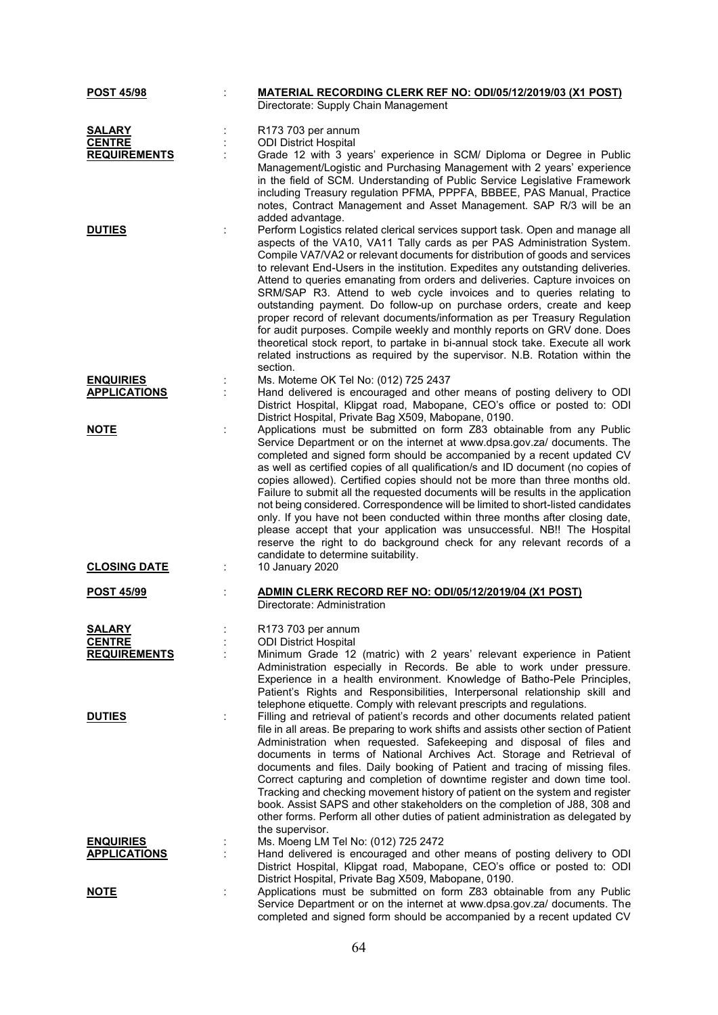| <b>POST 45/98</b>                       | MATERIAL RECORDING CLERK REF NO: ODI/05/12/2019/03 (X1 POST)<br>Directorate: Supply Chain Management                                                                                                                                                                                                                                                                                                                                                                                                                                                                                                                                                                                                                                                                                                                                                                                               |
|-----------------------------------------|----------------------------------------------------------------------------------------------------------------------------------------------------------------------------------------------------------------------------------------------------------------------------------------------------------------------------------------------------------------------------------------------------------------------------------------------------------------------------------------------------------------------------------------------------------------------------------------------------------------------------------------------------------------------------------------------------------------------------------------------------------------------------------------------------------------------------------------------------------------------------------------------------|
| <b>SALARY</b><br><b>CENTRE</b>          | R173 703 per annum<br><b>ODI District Hospital</b>                                                                                                                                                                                                                                                                                                                                                                                                                                                                                                                                                                                                                                                                                                                                                                                                                                                 |
| <b>REQUIREMENTS</b>                     | Grade 12 with 3 years' experience in SCM/ Diploma or Degree in Public<br>Management/Logistic and Purchasing Management with 2 years' experience<br>in the field of SCM. Understanding of Public Service Legislative Framework<br>including Treasury regulation PFMA, PPPFA, BBBEE, PAS Manual, Practice<br>notes, Contract Management and Asset Management. SAP R/3 will be an<br>added advantage.                                                                                                                                                                                                                                                                                                                                                                                                                                                                                                 |
| <b>DUTIES</b>                           | Perform Logistics related clerical services support task. Open and manage all<br>aspects of the VA10, VA11 Tally cards as per PAS Administration System.<br>Compile VA7/VA2 or relevant documents for distribution of goods and services<br>to relevant End-Users in the institution. Expedites any outstanding deliveries.<br>Attend to queries emanating from orders and deliveries. Capture invoices on<br>SRM/SAP R3. Attend to web cycle invoices and to queries relating to<br>outstanding payment. Do follow-up on purchase orders, create and keep<br>proper record of relevant documents/information as per Treasury Regulation<br>for audit purposes. Compile weekly and monthly reports on GRV done. Does<br>theoretical stock report, to partake in bi-annual stock take. Execute all work<br>related instructions as required by the supervisor. N.B. Rotation within the<br>section. |
| <b>ENQUIRIES</b><br><b>APPLICATIONS</b> | Ms. Moteme OK Tel No: (012) 725 2437<br>Hand delivered is encouraged and other means of posting delivery to ODI<br>District Hospital, Klipgat road, Mabopane, CEO's office or posted to: ODI<br>District Hospital, Private Bag X509, Mabopane, 0190.                                                                                                                                                                                                                                                                                                                                                                                                                                                                                                                                                                                                                                               |
| <b>NOTE</b>                             | Applications must be submitted on form Z83 obtainable from any Public<br>Service Department or on the internet at www.dpsa.gov.za/ documents. The<br>completed and signed form should be accompanied by a recent updated CV<br>as well as certified copies of all qualification/s and ID document (no copies of<br>copies allowed). Certified copies should not be more than three months old.<br>Failure to submit all the requested documents will be results in the application<br>not being considered. Correspondence will be limited to short-listed candidates<br>only. If you have not been conducted within three months after closing date,<br>please accept that your application was unsuccessful. NB!! The Hospital<br>reserve the right to do background check for any relevant records of a<br>candidate to determine suitability.                                                  |
| <b>CLOSING DATE</b>                     | 10 January 2020                                                                                                                                                                                                                                                                                                                                                                                                                                                                                                                                                                                                                                                                                                                                                                                                                                                                                    |
| <b>POST 45/99</b>                       | ADMIN CLERK RECORD REF NO: ODI/05/12/2019/04 (X1 POST)<br>Directorate: Administration                                                                                                                                                                                                                                                                                                                                                                                                                                                                                                                                                                                                                                                                                                                                                                                                              |
| <b>SALARY</b><br><b>CENTRE</b>          | R173 703 per annum<br><b>ODI District Hospital</b>                                                                                                                                                                                                                                                                                                                                                                                                                                                                                                                                                                                                                                                                                                                                                                                                                                                 |
| <b>REQUIREMENTS</b>                     | Minimum Grade 12 (matric) with 2 years' relevant experience in Patient<br>Administration especially in Records. Be able to work under pressure.<br>Experience in a health environment. Knowledge of Batho-Pele Principles,<br>Patient's Rights and Responsibilities, Interpersonal relationship skill and<br>telephone etiquette. Comply with relevant prescripts and regulations.                                                                                                                                                                                                                                                                                                                                                                                                                                                                                                                 |
| <b>DUTIES</b>                           | Filling and retrieval of patient's records and other documents related patient<br>file in all areas. Be preparing to work shifts and assists other section of Patient<br>Administration when requested. Safekeeping and disposal of files and<br>documents in terms of National Archives Act. Storage and Retrieval of<br>documents and files. Daily booking of Patient and tracing of missing files.<br>Correct capturing and completion of downtime register and down time tool.<br>Tracking and checking movement history of patient on the system and register<br>book. Assist SAPS and other stakeholders on the completion of J88, 308 and<br>other forms. Perform all other duties of patient administration as delegated by<br>the supervisor.                                                                                                                                             |
| <b>ENQUIRIES</b><br><b>APPLICATIONS</b> | Ms. Moeng LM Tel No: (012) 725 2472<br>Hand delivered is encouraged and other means of posting delivery to ODI                                                                                                                                                                                                                                                                                                                                                                                                                                                                                                                                                                                                                                                                                                                                                                                     |
|                                         | District Hospital, Klipgat road, Mabopane, CEO's office or posted to: ODI<br>District Hospital, Private Bag X509, Mabopane, 0190.                                                                                                                                                                                                                                                                                                                                                                                                                                                                                                                                                                                                                                                                                                                                                                  |
| <u>NOTE</u>                             | Applications must be submitted on form Z83 obtainable from any Public<br>Service Department or on the internet at www.dpsa.gov.za/ documents. The<br>completed and signed form should be accompanied by a recent updated CV                                                                                                                                                                                                                                                                                                                                                                                                                                                                                                                                                                                                                                                                        |